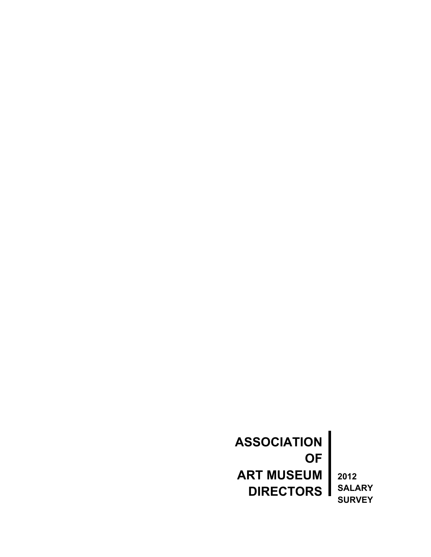**ASSOCIATION OF ART MUSEUM DIRECTORS**

**2012 SALARY SURVEY**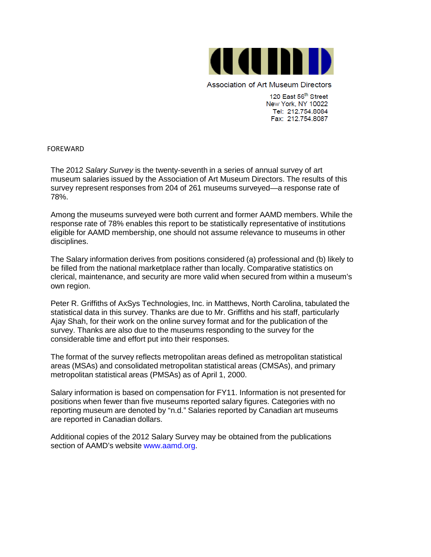

Association of Art Museum Directors

120 East 56<sup>th</sup> Street New York, NY 10022 Tel: 212.754.8084 Fax: 212.754.8087

FOREWARD

The 2012 *Salary Survey* is the twenty-seventh in a series of annual survey of art museum salaries issued by the Association of Art Museum Directors. The results of this survey represent responses from 204 of 261 museums surveyed—a response rate of 78%.

Among the museums surveyed were both current and former AAMD members. While the response rate of 78% enables this report to be statistically representative of institutions eligible for AAMD membership, one should not assume relevance to museums in other disciplines.

The Salary information derives from positions considered (a) professional and (b) likely to be filled from the national marketplace rather than locally. Comparative statistics on clerical, maintenance, and security are more valid when secured from within a museum's own region.

Peter R. Griffiths of AxSys Technologies, Inc. in Matthews, North Carolina, tabulated the statistical data in this survey. Thanks are due to Mr. Griffiths and his staff, particularly Ajay Shah, for their work on the online survey format and for the publication of the survey. Thanks are also due to the museums responding to the survey for the considerable time and effort put into their responses.

The format of the survey reflects metropolitan areas defined as metropolitan statistical areas (MSAs) and consolidated metropolitan statistical areas (CMSAs), and primary metropolitan statistical areas (PMSAs) as of April 1, 2000.

Salary information is based on compensation for FY11. Information is not presented for positions when fewer than five museums reported salary figures. Categories with no reporting museum are denoted by "n.d." Salaries reported by Canadian art museums are reported in Canadian dollars.

Additional copies of the 2012 Salary Survey may be obtained from the publications section of AAMD's website [www.aamd.org.](http://www.aamd.org/)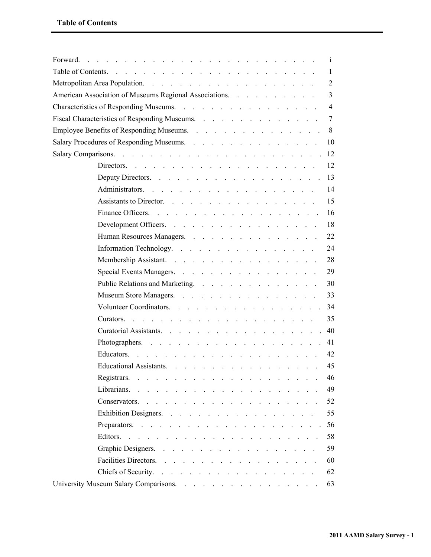| Table of Contents.<br>the contract of the contract of the contract of the contract of the contract of the contract of the contract of the contract of the contract of the contract of the contract of the contract of the contract of the contract o |     |
|------------------------------------------------------------------------------------------------------------------------------------------------------------------------------------------------------------------------------------------------------|-----|
|                                                                                                                                                                                                                                                      | 2   |
| American Association of Museums Regional Associations.                                                                                                                                                                                               | 3   |
|                                                                                                                                                                                                                                                      | 4   |
| Fiscal Characteristics of Responding Museums.                                                                                                                                                                                                        |     |
| Employee Benefits of Responding Museums.                                                                                                                                                                                                             |     |
| Salary Procedures of Responding Museums.                                                                                                                                                                                                             | -10 |
|                                                                                                                                                                                                                                                      |     |
| Directors. $\cdots$ $\cdots$ $\cdots$ $\cdots$ $\cdots$ $\cdots$ $\cdots$ $\cdots$ $\cdots$ $\cdots$                                                                                                                                                 | 12  |
| Deputy Directors. 13                                                                                                                                                                                                                                 |     |
| Administrators.                                                                                                                                                                                                                                      | 14  |
| Assistants to Director.                                                                                                                                                                                                                              | 15  |
|                                                                                                                                                                                                                                                      | -16 |
| Development Officers.                                                                                                                                                                                                                                | 18  |
| Human Resources Managers.                                                                                                                                                                                                                            | 22  |
| Information Technology.                                                                                                                                                                                                                              | 24  |
| Membership Assistant.                                                                                                                                                                                                                                | 28  |
| Special Events Managers.                                                                                                                                                                                                                             | 29  |
| Public Relations and Marketing.                                                                                                                                                                                                                      | 30  |
| Museum Store Managers.                                                                                                                                                                                                                               | 33  |
| Volunteer Coordinators.                                                                                                                                                                                                                              | -34 |
|                                                                                                                                                                                                                                                      | 35  |
| Curatorial Assistants.                                                                                                                                                                                                                               | 40  |
| Photographers. 41                                                                                                                                                                                                                                    |     |
| Educators.<br>and the contract of the contract of the contract of the contract of the contract of the contract of the contract of the contract of the contract of the contract of the contract of the contract of the contract of the contra         | 42  |
| Educational Assistants.                                                                                                                                                                                                                              | 45  |
|                                                                                                                                                                                                                                                      | 46  |
|                                                                                                                                                                                                                                                      | 49  |
|                                                                                                                                                                                                                                                      | 52  |
| Exhibition Designers.                                                                                                                                                                                                                                | 55  |
|                                                                                                                                                                                                                                                      |     |
|                                                                                                                                                                                                                                                      | 58  |
| Graphic Designers.                                                                                                                                                                                                                                   | 59  |
| Facilities Directors.                                                                                                                                                                                                                                | 60  |
| Chiefs of Security.                                                                                                                                                                                                                                  | 62  |
|                                                                                                                                                                                                                                                      | 63  |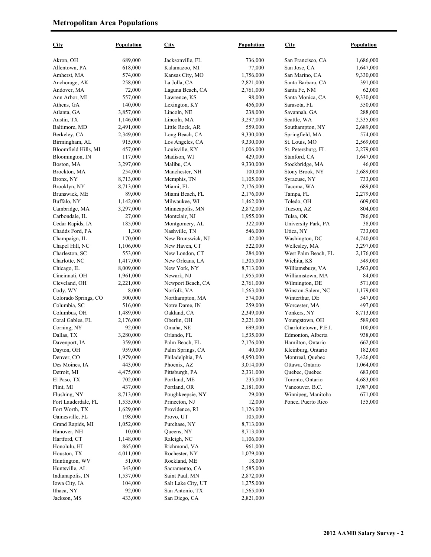| <b>City</b>              | Population         | <b>City</b>                  | Population           | <b>City</b>                         | <b>Population</b>      |
|--------------------------|--------------------|------------------------------|----------------------|-------------------------------------|------------------------|
| Akron, OH                | 689,000            | Jacksonville, FL             | 736,000              | San Francisco, CA                   | 1,686,000              |
| Allentown, PA            | 618,000            | Kalamazoo, MI                | 77,000               | San Jose, CA                        | 1,647,000              |
| Amherst, MA              | 574,000            | Kansas City, MO              | 1,756,000            | San Marino, CA                      | 9,330,000              |
| Anchorage, AK            | 258,000            | La Jolla, CA                 | 2,821,000            | Santa Barbara, CA                   | 391,000                |
| Andover, MA              | 72,000             | Laguna Beach, CA             | 2,761,000            | Santa Fe, NM                        | 62,000                 |
| Ann Arbor, MI            | 557,000            | Lawrence, KS                 | 98,000               | Santa Monica, CA                    | 9,330,000              |
| Athens, GA               | 140,000            | Lexington, KY                | 456,000              | Sarasota, FL                        | 550,000                |
| Atlanta, GA              | 3,857,000          | Lincoln, NE                  | 238,000              | Savannah, GA                        | 288,000                |
| Austin, TX               | 1,146,000          | Lincoln, MA                  | 3,297,000            | Seattle, WA                         | 2,335,000              |
| Baltimore, MD            | 2,491,000          | Little Rock, AR              | 559,000              | Southampton, NY                     | 2,689,000              |
| Berkeley, CA             | 2,349,000          | Long Beach, CA               | 9,330,000            | Springfield, MA                     | 574,000                |
| Birmingham, AL           | 915,000            | Los Angeles, CA              | 9,330,000            | St. Louis, MO                       | 2,569,000              |
| Bloomfield Hills, MI     | 457,000            | Louisville, KY               | 1,006,000            | St. Petersburg, FL                  | 2,279,000              |
| Bloomington, IN          | 117,000            | Madison, WI                  | 429,000              | Stanford, CA                        | 1,647,000              |
| Boston, MA               | 3,297,000          | Malibu, CA                   | 9,330,000            | Stockbridge, MA                     | 46,000                 |
| Brockton, MA             | 254,000            | Manchester, NH               | 100,000              | Stony Brook, NY                     | 2,689,000              |
| Bronx, NY                | 8,713,000          | Memphis, TN                  | 1,105,000            | Syracuse, NY                        | 733,000                |
| Brooklyn, NY             | 8,713,000          | Miami, FL                    | 2,176,000            | Tacoma, WA                          | 689,000                |
| Brunswick, ME            | 89,000             | Miami Beach, FL              | 2,176,000            | Tampa, FL                           | 2,279,000              |
| Buffalo, NY              | 1,142,000          | Milwaukee, WI                | 1,462,000            | Toledo, OH                          | 609,000                |
| Cambridge, MA            | 3,297,000          | Minneapolis, MN              | 2,872,000            | Tucson, AZ                          | 804,000                |
| Carbondale, IL           | 27,000             | Montclair, NJ                | 1,955,000            | Tulsa, OK                           | 786,000                |
| Cedar Rapids, IA         | 185,000            | Montgomery, AL               | 322,000              | University Park, PA                 | 38,000                 |
| Chadds Ford, PA          | 1,300              | Nashville, TN                | 546,000              | Utica, NY                           | 733,000                |
| Champaign, IL            | 170,000            | New Brunswick, NJ            | 42,000               | Washington, DC                      | 4,740,000              |
| Chapel Hill, NC          | 1,106,000          | New Haven, CT                | 522,000              | Wellesley, MA                       | 3,297,000              |
| Charleston, SC           | 553,000            | New London, CT               | 284,000              | West Palm Beach, FL                 | 2,176,000              |
| Charlotte, NC            | 1,417,000          | New Orleans, LA              | 1,305,000            | Wichita, KS                         | 549,000                |
| Chicago, IL              | 8,009,000          | New York, NY                 | 8,713,000            | Williamsburg, VA                    | 1,563,000              |
| Cincinnati, OH           | 1,961,000          | Newark, NJ                   | 1,955,000            | Williamstown, MA                    | 84,000                 |
| Cleveland, OH            | 2,221,000          | Newport Beach, CA            | 2,761,000            | Wilmington, DE                      | 571,000                |
| Cody, WY                 | 8,000              | Norfolk, VA                  | 1,563,000            | Winston-Salem, NC                   | 1,179,000              |
| Colorado Springs, CO     | 500,000            | Northampton, MA              | 574,000              | Winterthur, DE                      | 547,000                |
| Columbia, SC             | 516,000            | Notre Dame, IN               | 259,000              | Worcester, MA                       | 497,000                |
| Columbus, OH             | 1,489,000          | Oakland, CA                  | 2,349,000            | Yonkers, NY                         | 8,713,000              |
| Coral Gables, FL         | 2,176,000          | Oberlin, OH                  | 2,221,000            | Youngstown, OH                      | 589,000                |
| Corning, NY              | 92,000             | Omaha, NE                    | 699,000              | Charlottetown, P.E.I.               | 100,000                |
| Dallas, TX               | 3,280,000          | Orlando, FL                  | 1,535,000            | Edmonton, Alberta                   | 938,000                |
| Davenport, IA            | 359,000            | Palm Beach, FL               | 2,176,000            | Hamilton, Ontario                   | 662,000                |
| Dayton, OH               | 959,000            | Palm Springs, CA             | 40,000               | Kleinburg, Ontario                  | 182,000                |
| Denver, CO               | 1,979,000          | Philadelphia, PA             | 4,950,000            | Montreal, Quebec                    | 3,426,000              |
| Des Moines, IA           | 443,000            | Phoenix, AZ                  | 3,014,000            | Ottawa, Ontario                     | 1,064,000              |
| Detroit, MI              | 4,475,000          | Pittsburgh, PA               | 2,331,000            | Quebec, Quebec                      | 683,000                |
| El Paso, TX<br>Flint, MI | 702,000<br>437,000 | Portland, ME<br>Portland, OR | 235,000<br>2,181,000 | Toronto, Ontario<br>Vancouver, B.C. | 4,683,000<br>1,987,000 |
| Flushing, NY             | 8,713,000          | Poughkeepsie, NY             |                      | Winnipeg, Manitoba                  | 671,000                |
| Fort Lauderdale, FL      | 1,535,000          | Princeton, NJ                | 29,000<br>12,000     | Ponce, Puerto Rico                  | 155,000                |
| Fort Worth, TX           | 1,629,000          | Providence, RI               | 1,126,000            |                                     |                        |
| Gainesville, FL          | 198,000            | Provo, UT                    | 105,000              |                                     |                        |
| Grand Rapids, MI         | 1,052,000          | Purchase, NY                 | 8,713,000            |                                     |                        |
| Hanover, NH              | 10,000             | Queens, NY                   | 8,713,000            |                                     |                        |
| Hartford, CT             | 1,148,000          | Raleigh, NC                  | 1,106,000            |                                     |                        |
| Honolulu, HI             | 865,000            | Richmond, VA                 | 961,000              |                                     |                        |
| Houston, TX              | 4,011,000          | Rochester, NY                | 1,079,000            |                                     |                        |
| Huntington, WV           | 51,000             | Rockland, ME                 | 18,000               |                                     |                        |
| Huntsville, AL           | 343,000            | Sacramento, CA               | 1,585,000            |                                     |                        |
| Indianapolis, IN         | 1,537,000          | Saint Paul, MN               | 2,872,000            |                                     |                        |
| Iowa City, IA            | 104,000            | Salt Lake City, UT           | 1,275,000            |                                     |                        |
| Ithaca, NY               | 92,000             | San Antonio, TX              | 1,565,000            |                                     |                        |
| Jackson, MS              | 433,000            | San Diego, CA                | 2,821,000            |                                     |                        |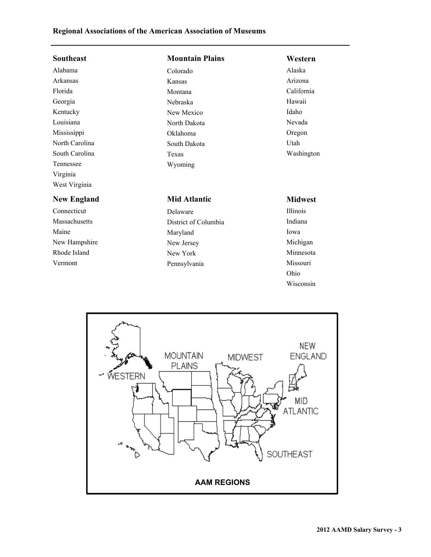## **Regional Associations of the American Association of Museums**

| <b>Southeast</b>   | <b>Mountain Plains</b> | Western         |
|--------------------|------------------------|-----------------|
| Alabama            | Colorado               | Alaska          |
| Arkansas           | Kansas                 | Arizona         |
| Florida            | Montana                | California      |
| Georgia            | Nebraska               | Hawaii          |
| Kentucky           | New Mexico             | Idaho           |
| Louisiana          | North Dakota           | Nevada          |
| Mississippi        | Oklahoma               | Oregon          |
| North Carolina     | South Dakota           | Utah            |
| South Carolina     | Texas                  | Washington      |
| Tennessee          | Wyoming                |                 |
| Virginia           |                        |                 |
| West Virginia      |                        |                 |
| <b>New England</b> | <b>Mid Atlantic</b>    | <b>Midwest</b>  |
| Connecticut        | Delaware               | <b>Illinois</b> |
| Massachusetts      | District of Columbia   | Indiana         |
| Maine              | Maryland               | Iowa            |
| New Hampshire      | New Jersey             | Michigan        |
| Rhode Island       | New York               | Minnesota       |
| Vermont            | Pennsylvania           | Missouri        |
|                    |                        | Ohio            |



Wisconsin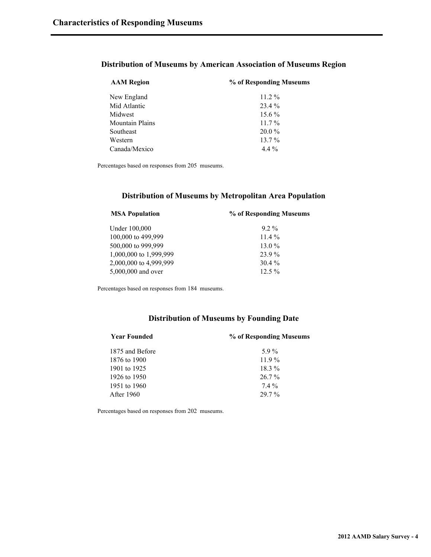#### **Distribution of Museums by American Association of Museums Region**

| % of Responding Museums |  |
|-------------------------|--|
| $11.2\%$                |  |
| $23.4\%$                |  |
| $15.6\%$                |  |
| $11.7\%$                |  |
| $20.0\%$                |  |
| $13.7\%$                |  |
| $4.4\%$                 |  |
|                         |  |

Percentages based on responses from 205 museums.

#### **Distribution of Museums by Metropolitan Area Population**

| <b>MSA Population</b>  | % of Responding Museums |  |
|------------------------|-------------------------|--|
| Under 100,000          | $92\%$                  |  |
| 100,000 to 499,999     | $11.4\%$                |  |
| 500,000 to 999,999     | $13.0\%$                |  |
| 1,000,000 to 1,999,999 | 23.9%                   |  |
| 2,000,000 to 4,999,999 | $30.4\%$                |  |
| 5,000,000 and over     | $12.5\%$                |  |
|                        |                         |  |

Percentages based on responses from 184 museums.

#### **Distribution of Museums by Founding Date**

| <b>Year Founded</b> | % of Responding Museums |  |
|---------------------|-------------------------|--|
| 1875 and Before     | 5.9%                    |  |
| 1876 to 1900        | $11.9\%$                |  |
| 1901 to 1925        | $18.3\%$                |  |
| 1926 to 1950        | $26.7\%$                |  |
| 1951 to 1960        | 74%                     |  |
| <b>After 1960</b>   | $297\%$                 |  |
|                     |                         |  |

Percentages based on responses from 202 museums.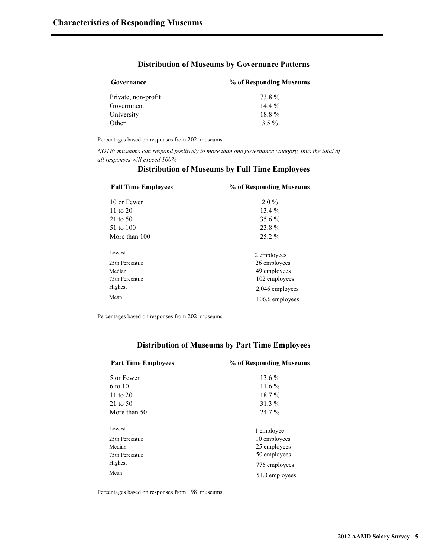#### **Distribution of Museums by Governance Patterns**

| Governance          | % of Responding Museums |
|---------------------|-------------------------|
| Private, non-profit | 73 8 %                  |
| Government          | $144\%$                 |
| University          | 18.8%                   |
| Other               | $3.5\%$                 |

Percentages based on responses from 202 museums.

*NOTE: museums can respond positively to more than one governance category, thus the total of all responses will exceed 100%*

| <b>Full Time Employees</b> | % of Responding Museums |
|----------------------------|-------------------------|
| 10 or Fewer                | $2.0\%$                 |
| 11 to $20$                 | $13.4\%$                |
| $21$ to 50                 | 35.6 %                  |
| 51 to 100                  | 23.8%                   |
| More than 100              | $25.2\%$                |
| Lowest                     | 2 employees             |
| 25th Percentile            | 26 employees            |
| Median                     | 49 employees            |
| 75th Percentile            | 102 employees           |
| Highest                    | 2,046 employees         |
| Mean                       | 106.6 employees         |

#### **Distribution of Museums by Full Time Employees**

Percentages based on responses from 202 museums.

#### **Distribution of Museums by Part Time Employees**

| <b>Part Time Employees</b> | % of Responding Museums |  |
|----------------------------|-------------------------|--|
| 5 or Fewer                 | 13.6 %                  |  |
| 6 to 10                    | $11.6\%$                |  |
| 11 to $20$                 | $18.7\%$                |  |
| 21 to 50                   | 31.3 %                  |  |
| More than 50               | 24.7 %                  |  |
| Lowest                     | 1 employee              |  |
| 25th Percentile            | 10 employees            |  |
| Median                     | 25 employees            |  |
| 75th Percentile            | 50 employees            |  |
| Highest                    | 776 employees           |  |
| Mean                       | 51.0 employees          |  |

Percentages based on responses from 198 museums.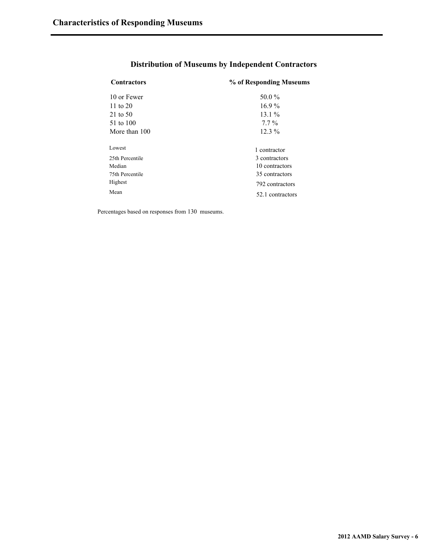| <b>Contractors</b> | % of Responding Museums |
|--------------------|-------------------------|
| 10 or Fewer        | 50.0%                   |
| 11 to $20$         | $16.9\%$                |
| 21 to 50           | $13.1\%$                |
| 51 to 100          | $7.7\%$                 |
| More than 100      | $12.3\%$                |
| Lowest             | 1 contractor            |
| 25th Percentile    | 3 contractors           |
| Median             | 10 contractors          |
| 75th Percentile    | 35 contractors          |
| Highest            | 792 contractors         |
| Mean               | 52.1 contractors        |

## **Distribution of Museums by Independent Contractors**

Percentages based on responses from 130 museums.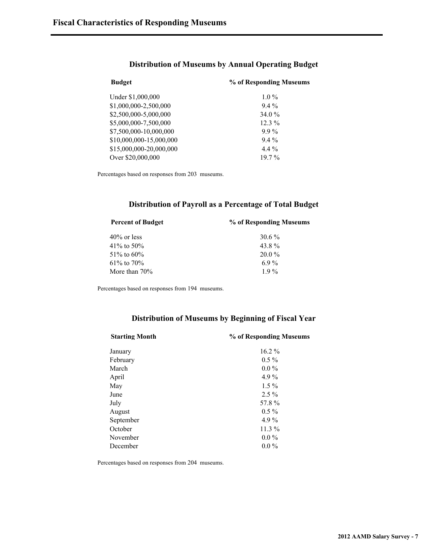| <b>Budget</b>           | % of Responding Museums |  |
|-------------------------|-------------------------|--|
| Under \$1,000,000       | $1.0\%$                 |  |
| \$1,000,000-2,500,000   | $9.4\%$                 |  |
| \$2,500,000-5,000,000   | 34.0 %                  |  |
| \$5,000,000-7,500,000   | $12.3\%$                |  |
| \$7,500,000-10,000,000  | $9.9\%$                 |  |
| \$10,000,000-15,000,000 | $9.4\%$                 |  |
| \$15,000,000-20,000,000 | $4.4\%$                 |  |
| Over \$20,000,000       | $19.7\%$                |  |

#### **Distribution of Museums by Annual Operating Budget**

Percentages based on responses from 203 museums.

#### **Distribution of Payroll as a Percentage of Total Budget**

| <b>Percent of Budget</b> | % of Responding Museums |  |
|--------------------------|-------------------------|--|
| $40\%$ or less           | $30.6\%$                |  |
| 41\% to 50\%             | 43.8%                   |  |
| 51\% to 60\%             | $20.0\%$                |  |
| $61\%$ to $70\%$         | $6.9\%$                 |  |
| More than $70\%$         | 19%                     |  |

Percentages based on responses from 194 museums.

#### **Distribution of Museums by Beginning of Fiscal Year**

| <b>Starting Month</b> | % of Responding Museums |  |  |  |
|-----------------------|-------------------------|--|--|--|
| January               | $16.2\%$                |  |  |  |
| February              | $0.5\%$                 |  |  |  |
| March                 | $0.0\%$                 |  |  |  |
| April                 | $4.9\%$                 |  |  |  |
| May                   | $1.5\%$                 |  |  |  |
| June                  | $2.5\%$                 |  |  |  |
| July                  | 57.8%                   |  |  |  |
| August                | $0.5 \%$                |  |  |  |
| September             | $4.9\%$                 |  |  |  |
| October               | $11.3\%$                |  |  |  |
| November              | $0.0\%$                 |  |  |  |
| December              | $0.0\%$                 |  |  |  |
|                       |                         |  |  |  |

Percentages based on responses from 204 museums.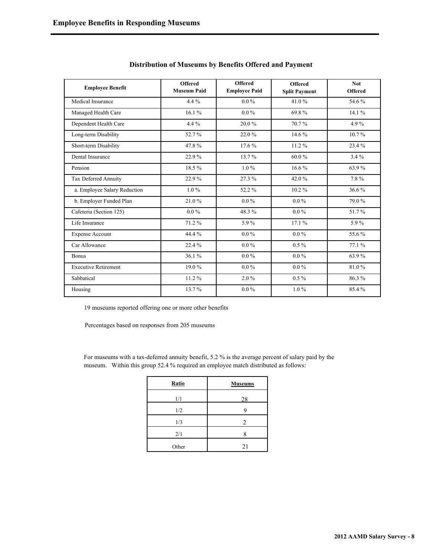| <b>Employee Benefit</b>      | <b>Offered</b><br><b>Museum Paid</b> | <b>Offered</b><br><b>Employee Paid</b> | <b>Offered</b><br><b>Split Payment</b> | Not.<br><b>Offered</b> |
|------------------------------|--------------------------------------|----------------------------------------|----------------------------------------|------------------------|
| Medical Insurance            | $4.4\%$                              | $0.0\%$                                | 41.0%                                  | 54.6%                  |
| Managed Health Care          | 16.1%                                | $0.0\%$                                | 69.8%                                  | 14.1%                  |
| Dependent Health Care        | $4.4\%$                              | 20.0%                                  | 70.7%                                  | 4.9%                   |
| Long-term Disability         | 52.7%                                | 22.0%                                  | 14.6 %                                 | $10.7\%$               |
| Short-term Disability        | 47.8%                                | 17.6 %                                 | 11.2%                                  | 23.4%                  |
| Dental Insurance             | 22.9%                                | 13.7%                                  | 60.0%                                  | 3.4%                   |
| Pension                      | 18.5%                                | $1.0\%$                                | $16.6\%$                               | 63.9%                  |
| <b>Tax Deferred Annuity</b>  | 22.9%                                | 27.3 %                                 | 42.0%                                  | 7.8%                   |
| a. Employee Salary Reduction | $1.0\%$                              | 52.2%                                  | $10.2\%$                               | 36.6%                  |
| b. Employer Funded Plan      | 21.0%                                | $0.0\%$                                | $0.0\,\%$                              | 79.0%                  |
| Cafeteria (Section 125)      | $0.0\%$                              | 48.3%                                  | $0.0\%$                                | 51.7%                  |
| Life Insurance               | 71.2%                                | 5.9%                                   | 17.1%                                  | 5.9%                   |
| <b>Expense Account</b>       | 44.4 %                               | $0.0\%$                                | $0.0\%$                                | 55.6%                  |
| Car Allowance                | 22.4 %                               | $0.0\%$                                | $0.5\%$                                | 77.1 %                 |
| <b>Bonus</b>                 | 36.1%                                | $0.0\%$                                | $0.0\%$                                | 63.9%                  |
| <b>Executive Retirement</b>  | 19.0%                                | $0.0\%$                                | $0.0\%$                                | 81.0%                  |
| Sabbatical                   | 11.2%                                | $2.0\%$                                | $0.5\%$                                | 86.3%                  |
| Housing                      | 13.7%                                | $0.0\%$                                | $1.0\%$                                | 85.4%                  |

#### **Distribution of Museums by Benefits Offered and Payment**

19 museums reported offering one or more other benefits

Percentages based on responses from 205 museums

For museums with a tax-deferred annuity benefit, 5.2 % is the average percent of salary paid by the museum. Within this group 52.4 % required an employee match distributed as follows:

| Ratio | <b>Museums</b> |
|-------|----------------|
| 1/1   | 28             |
| 1/2   |                |
| 1/3   | $\overline{c}$ |
| 2/1   |                |
| Other | 21             |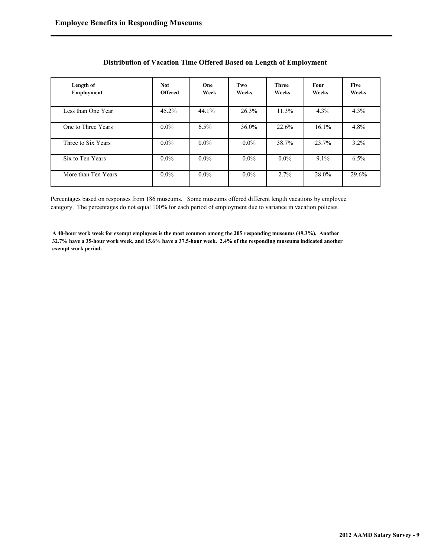| Length of<br>Employment | <b>Not</b><br><b>Offered</b> | One<br>Week | Two<br>Weeks | <b>Three</b><br>Weeks | <b>Four</b><br>Weeks | <b>Five</b><br>Weeks |
|-------------------------|------------------------------|-------------|--------------|-----------------------|----------------------|----------------------|
| Less than One Year      | 45.2%                        | 44.1%       | 26.3%        | 11.3%                 | 4.3%                 | 4.3%                 |
| One to Three Years      | $0.0\%$                      | $6.5\%$     | 36.0%        | 22.6%                 | 16.1%                | 4.8%                 |
| Three to Six Years      | $0.0\%$                      | $0.0\%$     | $0.0\%$      | 38.7%                 | 23.7%                | $3.2\%$              |
| Six to Ten Years        | $0.0\%$                      | $0.0\%$     | $0.0\%$      | $0.0\%$               | $9.1\%$              | $6.5\%$              |
| More than Ten Years     | $0.0\%$                      | $0.0\%$     | $0.0\%$      | 2.7%                  | 28.0%                | 29.6%                |

#### **Distribution of Vacation Time Offered Based on Length of Employment**

Percentages based on responses from 186 museums. Some museums offered different length vacations by employee category. The percentages do not equal 100% for each period of employment due to variance in vacation policies.

**A 40-hour work week for exempt employees is the most common among the 205 responding museums (49.3%). Another 32.7% have a 35-hour work week, and 15.6% have a 37.5-hour week. 2.4% of the responding museums indicated another exempt work period.**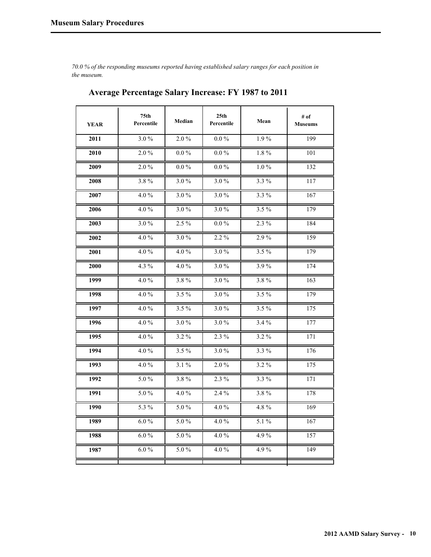*70.0 % of the responding museums reported having established salary ranges for each position in the museum.*

| <b>YEAR</b> | 75 <sub>th</sub><br>Percentile | Median  | 25 <sub>th</sub><br>Percentile | Mean             | # of<br><b>Museums</b> |
|-------------|--------------------------------|---------|--------------------------------|------------------|------------------------|
| 2011        | $3.0\%$                        | 2.0%    | $0.0\ \%$                      | 1.9%             | 199                    |
| 2010        | 2.0%                           | $0.0\%$ | $0.0\%$                        | 1.8%             | 101                    |
| 2009        | $2.0\%$                        | $0.0\%$ | $0.0\%$                        | $1.0\%$          | 132                    |
| 2008        | 3.8%                           | $3.0\%$ | $3.0\%$                        | $3.3\%$          | 117                    |
| 2007        | 4.0%                           | $3.0\%$ | 3.0%                           | $3.3\%$          | 167                    |
| 2006        | $4.0\%$                        | $3.0\%$ | $3.0\%$                        | $3.5\%$          | 179                    |
| 2003        | 3.0%                           | 2.5 %   | $0.0\%$                        | $2.3\%$          | 184                    |
| 2002        | 4.0%                           | $3.0\%$ | 2.2 %                          | 2.9%             | 159                    |
| 2001        | 4.0%                           | 4.0 $%$ | 3.0%                           | 3.5%             | 179                    |
| 2000        | 4.3%                           | $4.0\%$ | $3.0\%$                        | 3.9%             | 174                    |
| 1999        | 4.0%                           | 3.8%    | $3.0\%$                        | 3.8%             | 163                    |
| 1998        | 4.0%                           | $3.5\%$ | $3.0\%$                        | $3.5\%$          | 179                    |
| 1997        | 4.0%                           | 3.5 %   | 3.0%                           | $3.5\%$          | 175                    |
| 1996        | 4.0%                           | 3.0%    | 3.0%                           | 3.4%             | 177                    |
| 1995        | 4.0%                           | $3.2\%$ | 2.3 %                          | $3.2\%$          | 171                    |
| 1994        | 4.0%                           | $3.5\%$ | $3.0\%$                        | 3.3 %            | 176                    |
| 1993        | 4.0%                           | $3.1\%$ | $2.0\%$                        | $3.2\%$          | 175                    |
| 1992        | $5.0\,\%$                      | 3.8%    | $2.3\%$                        | $3.3\sqrt[9]{6}$ | 171                    |
| 1991        | $5.0\%$                        | 4.0 $%$ | $2.4\%$                        | 3.8%             | 178                    |
| 1990        | 5.3 %                          | $5.0\%$ | 4.0%                           | 4.8%             | 169                    |
| 1989        | $6.0\,\%$                      | 5.0%    | 4.0%                           | 5.1 %            | 167                    |
| 1988        | $6.0\%$                        | 5.0%    | 4.0%                           | 4.9%             | 157                    |
| 1987        | $6.0\%$                        | 5.0%    | $4.0\%$                        | 4.9%             | 149                    |
|             |                                |         |                                |                  |                        |

## **Average Percentage Salary Increase: FY 1987 to 2011**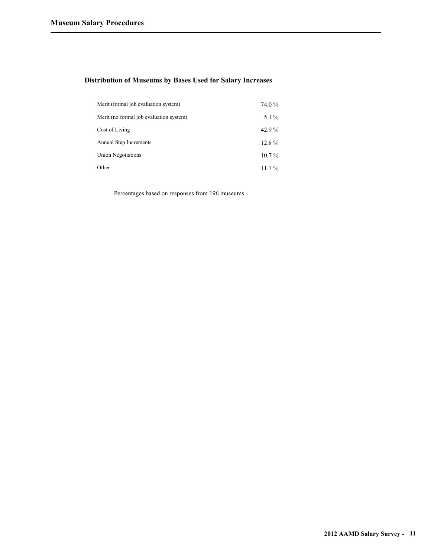#### **Distribution of Museums by Bases Used for Salary Increases**

| Merit (formal job evaluation system)    | 74.0 %    |
|-----------------------------------------|-----------|
| Merit (no formal job evaluation system) | $5.1\%$   |
| Cost of Living                          | 42.9 $\%$ |
| Annual Step Increments                  | $12.8\%$  |
| Union Negotiations                      | $10.7\%$  |
| Other                                   | $11.7\%$  |

Percentages based on responses from 196 museums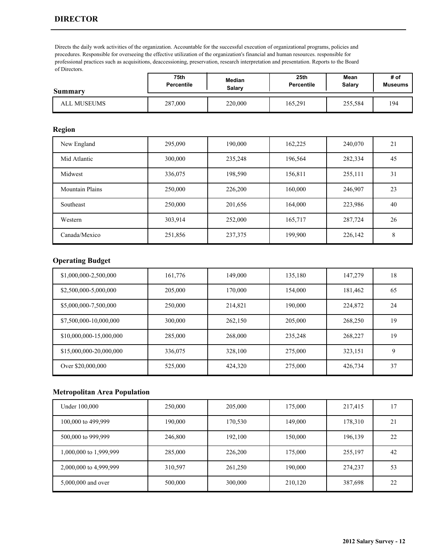Directs the daily work activities of the organization. Accountable for the successful execution of organizational programs, policies and procedures. Responsible for overseeing the effective utilization of the organization's financial and human resources. responsible for professional practices such as acquisitions, deaccessioning, preservation, research interpretation and presentation. Reports to the Board of Directors.

| Summary     | 75th              | Median  | 25th              | Mean    | # of           |
|-------------|-------------------|---------|-------------------|---------|----------------|
|             | <b>Percentile</b> | Salarv  | <b>Percentile</b> | Salary  | <b>Museums</b> |
| ALL MUSEUMS | 287,000           | 220,000 | 165,291           | 255,584 | 194            |

### **Region**

| New England            | 295,090 | 190,000 | 162,225 | 240,070 | 21 |
|------------------------|---------|---------|---------|---------|----|
| Mid Atlantic           | 300,000 | 235,248 | 196,564 | 282,334 | 45 |
| Midwest                | 336,075 | 198,590 | 156,811 | 255,111 | 31 |
| <b>Mountain Plains</b> | 250,000 | 226,200 | 160,000 | 246,907 | 23 |
| Southeast              | 250,000 | 201,656 | 164,000 | 223,986 | 40 |
| Western                | 303,914 | 252,000 | 165,717 | 287,724 | 26 |
| Canada/Mexico          | 251,856 | 237,375 | 199,900 | 226,142 | 8  |

### **Operating Budget**

| \$1,000,000-2,500,000   | 161,776 | 149,000 | 135,180 | 147,279 | 18 |
|-------------------------|---------|---------|---------|---------|----|
| \$2,500,000-5,000,000   | 205,000 | 170,000 | 154,000 | 181,462 | 65 |
| \$5,000,000-7,500,000   | 250,000 | 214,821 | 190,000 | 224,872 | 24 |
| \$7,500,000-10,000,000  | 300,000 | 262,150 | 205,000 | 268,250 | 19 |
| \$10,000,000-15,000,000 | 285,000 | 268,000 | 235,248 | 268,227 | 19 |
| \$15,000,000-20,000,000 | 336,075 | 328,100 | 275,000 | 323,151 | 9  |
| Over \$20,000,000       | 525,000 | 424,320 | 275,000 | 426,734 | 37 |

| Under 100,000          | 250,000 | 205,000 | 175,000 | 217,415 |    |
|------------------------|---------|---------|---------|---------|----|
| 100,000 to 499,999     | 190,000 | 170,530 | 149,000 | 178,310 | 21 |
| 500,000 to 999,999     | 246,800 | 192,100 | 150,000 | 196,139 | 22 |
| 1,000,000 to 1,999,999 | 285,000 | 226,200 | 175,000 | 255,197 | 42 |
| 2,000,000 to 4,999,999 | 310,597 | 261,250 | 190,000 | 274,237 | 53 |
| 5,000,000 and over     | 500,000 | 300,000 | 210,120 | 387,698 | 22 |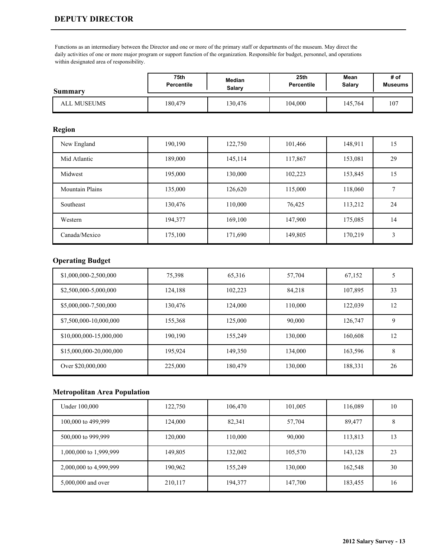#### **DEPUTY DIRECTOR**

Functions as an intermediary between the Director and one or more of the primary staff or departments of the museum. May direct the daily activities of one or more major program or support function of the organization. Responsible for budget, personnel, and operations within designated area of responsibility.

| <b>Summary</b> | 75th              | Median  | 25th              | Mean    | # of           |
|----------------|-------------------|---------|-------------------|---------|----------------|
|                | <b>Percentile</b> | Salary  | <b>Percentile</b> | Salary  | <b>Museums</b> |
| ALL MUSEUMS    | 180,479           | 130,476 | 104,000           | 145,764 | 107            |

### **Region**

| New England            | 190,190 | 122,750 | 101,466 | 148,911 | 15 |
|------------------------|---------|---------|---------|---------|----|
| Mid Atlantic           | 189,000 | 145,114 | 117,867 | 153,081 | 29 |
| Midwest                | 195,000 | 130,000 | 102,223 | 153,845 | 15 |
| <b>Mountain Plains</b> | 135,000 | 126,620 | 115,000 | 118,060 |    |
| Southeast              | 130,476 | 110,000 | 76,425  | 113,212 | 24 |
| Western                | 194,377 | 169,100 | 147,900 | 175,085 | 14 |
| Canada/Mexico          | 175,100 | 171,690 | 149,805 | 170,219 | 3  |

### **Operating Budget**

| \$1,000,000-2,500,000   | 75,398  | 65,316  | 57,704  | 67,152  | 5  |
|-------------------------|---------|---------|---------|---------|----|
| \$2,500,000-5,000,000   | 124,188 | 102,223 | 84,218  | 107,895 | 33 |
| \$5,000,000-7,500,000   | 130,476 | 124,000 | 110,000 | 122,039 | 12 |
| \$7,500,000-10,000,000  | 155,368 | 125,000 | 90,000  | 126,747 | 9  |
| \$10,000,000-15,000,000 | 190,190 | 155.249 | 130,000 | 160,608 | 12 |
| \$15,000,000-20,000,000 | 195.924 | 149,350 | 134,000 | 163,596 | 8  |
| Over \$20,000,000       | 225,000 | 180,479 | 130,000 | 188,331 | 26 |

| Under 100,000          | 122,750 | 106,470 | 101,005 | 116,089 | 10 |
|------------------------|---------|---------|---------|---------|----|
| 100,000 to 499,999     | 124,000 | 82,341  | 57,704  | 89,477  |    |
| 500,000 to 999,999     | 120,000 | 110,000 | 90,000  | 113,813 | 13 |
| 1,000,000 to 1,999,999 | 149,805 | 132,002 | 105,570 | 143,128 | 23 |
| 2,000,000 to 4,999,999 | 190,962 | 155,249 | 130,000 | 162,548 | 30 |
| 5,000,000 and over     | 210,117 | 194,377 | 147,700 | 183,455 | 16 |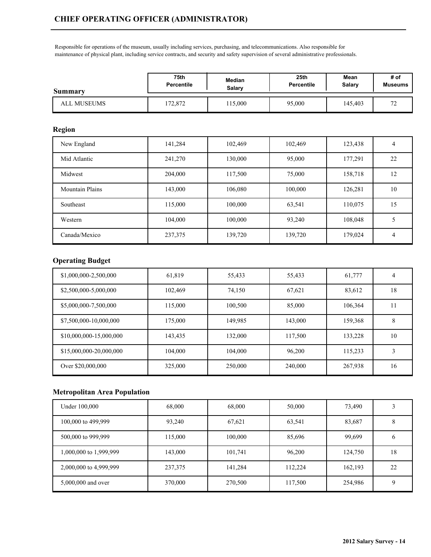Responsible for operations of the museum, usually including services, purchasing, and telecommunications. Also responsible for maintenance of physical plant, including service contracts, and security and safety supervision of several administrative professionals.

| <b>Summary</b> | 75th              | Median | 25 <sub>th</sub>  | Mean    | # of                |
|----------------|-------------------|--------|-------------------|---------|---------------------|
|                | <b>Percentile</b> | Salary | <b>Percentile</b> | Salary  | <b>Museums</b>      |
| ALL MUSEUMS    | 72,872            | 15,000 | 95,000            | 145,403 | $\overline{ }$<br>∼ |

#### **Region**

| New England            | 141,284 | 102,469 | 102,469 | 123,438 | $\overline{4}$ |
|------------------------|---------|---------|---------|---------|----------------|
| Mid Atlantic           | 241,270 | 130,000 | 95,000  | 177,291 | 22             |
| Midwest                | 204,000 | 117,500 | 75,000  | 158,718 | 12             |
| <b>Mountain Plains</b> | 143,000 | 106,080 | 100,000 | 126,281 | 10             |
| Southeast              | 115,000 | 100,000 | 63,541  | 110,075 | 15             |
| Western                | 104,000 | 100,000 | 93.240  | 108,048 |                |
| Canada/Mexico          | 237,375 | 139,720 | 139,720 | 179,024 | 4              |

## **Operating Budget**

| \$1,000,000-2,500,000   | 61,819  | 55,433  | 55,433  | 61,777  | 4  |
|-------------------------|---------|---------|---------|---------|----|
| \$2,500,000-5,000,000   | 102,469 | 74,150  | 67,621  | 83,612  | 18 |
| \$5,000,000-7,500,000   | 115,000 | 100,500 | 85,000  | 106,364 | 11 |
| \$7,500,000-10,000,000  | 175,000 | 149,985 | 143,000 | 159,368 | 8  |
| \$10,000,000-15,000,000 | 143,435 | 132,000 | 117,500 | 133,228 | 10 |
| \$15,000,000-20,000,000 | 104.000 | 104,000 | 96.200  | 115,233 | 3  |
| Over \$20,000,000       | 325,000 | 250,000 | 240,000 | 267,938 | 16 |

| Under 100,000          | 68,000  | 68,000  | 50,000  | 73,490  |    |
|------------------------|---------|---------|---------|---------|----|
| 100,000 to 499,999     | 93,240  | 67,621  | 63,541  | 83,687  |    |
| 500,000 to 999,999     | 115,000 | 100,000 | 85,696  | 99,699  | O  |
| 1,000,000 to 1,999,999 | 143,000 | 101,741 | 96,200  | 124,750 | 18 |
| 2,000,000 to 4,999,999 | 237,375 | 141,284 | 112,224 | 162,193 | 22 |
| 5,000,000 and over     | 370,000 | 270,500 | 117,500 | 254,986 |    |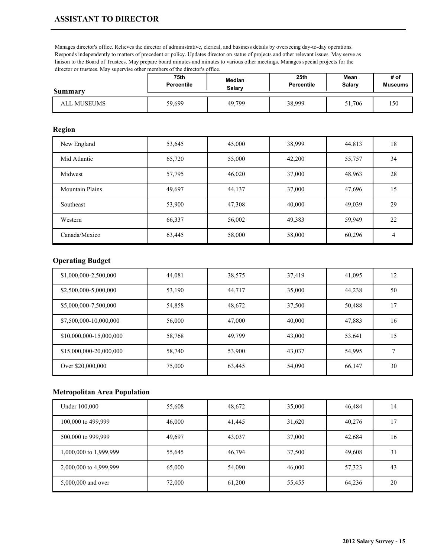Manages director's office. Relieves the director of administrative, clerical, and business details by overseeing day-to-day operations. Responds independently to matters of precedent or policy. Updates director on status of projects and other relevant issues. May serve as liaison to the Board of Trustees. May prepare board minutes and minutes to various other meetings. Manages special projects for the director or trustees. May supervise other members of the director's office.

| Summary     | 75th              | Median | 25th              | Mean   | # of           |
|-------------|-------------------|--------|-------------------|--------|----------------|
|             | <b>Percentile</b> | Salarv | <b>Percentile</b> | Salary | <b>Museums</b> |
| ALL MUSEUMS | 59,699            | 49,799 | 38,999            | 51,706 | 150            |

#### **Region**

| New England            | 53,645 | 45,000 | 38,999 | 44,813 | 18 |
|------------------------|--------|--------|--------|--------|----|
| Mid Atlantic           | 65,720 | 55,000 | 42,200 | 55,757 | 34 |
| Midwest                | 57,795 | 46,020 | 37,000 | 48,963 | 28 |
| <b>Mountain Plains</b> | 49,697 | 44,137 | 37,000 | 47,696 | 15 |
| Southeast              | 53,900 | 47,308 | 40,000 | 49,039 | 29 |
| Western                | 66,337 | 56,002 | 49,383 | 59,949 | 22 |
| Canada/Mexico          | 63,445 | 58,000 | 58,000 | 60,296 | 4  |

## **Operating Budget**

| \$1,000,000-2,500,000   | 44,081 | 38,575 | 37,419 | 41,095 | 12 |
|-------------------------|--------|--------|--------|--------|----|
| \$2,500,000-5,000,000   | 53,190 | 44,717 | 35,000 | 44,238 | 50 |
| \$5,000,000-7,500,000   | 54,858 | 48,672 | 37,500 | 50,488 | 17 |
| \$7,500,000-10,000,000  | 56,000 | 47,000 | 40,000 | 47,883 | 16 |
| \$10,000,000-15,000,000 | 58,768 | 49,799 | 43,000 | 53,641 | 15 |
| \$15,000,000-20,000,000 | 58,740 | 53,900 | 43,037 | 54,995 |    |
| Over \$20,000,000       | 75,000 | 63,445 | 54,090 | 66,147 | 30 |

| Under 100,000          | 55,608 | 48,672 | 35,000 | 46,484 | 14 |
|------------------------|--------|--------|--------|--------|----|
| 100,000 to 499,999     | 46,000 | 41,445 | 31,620 | 40,276 | -7 |
| 500,000 to 999,999     | 49,697 | 43,037 | 37,000 | 42,684 | 16 |
| 1,000,000 to 1,999,999 | 55,645 | 46,794 | 37,500 | 49,608 | 31 |
| 2,000,000 to 4,999,999 | 65,000 | 54,090 | 46,000 | 57,323 | 43 |
| 5,000,000 and over     | 72,000 | 61,200 | 55,455 | 64,236 | 20 |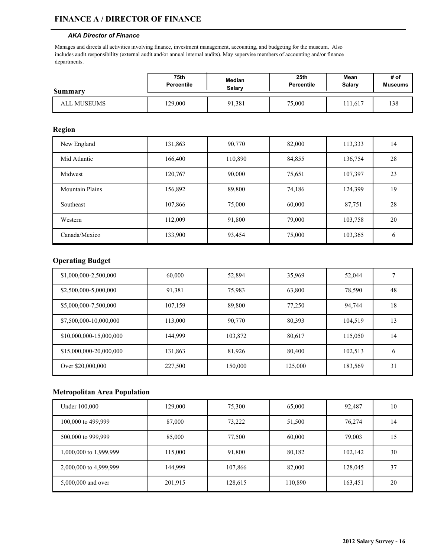#### **FINANCE A / DIRECTOR OF FINANCE**

#### *AKA Director of Finance*

Manages and directs all activities involving finance, investment management, accounting, and budgeting for the museum. Also includes audit responsibility (external audit and/or annual internal audits). May supervise members of accounting and/or finance departments.

| <b>Summary</b> | 75th              | Median | 25th       | Mean   | # of           |
|----------------|-------------------|--------|------------|--------|----------------|
|                | <b>Percentile</b> | Salary | Percentile | Salary | <b>Museums</b> |
| ALL MUSEUMS    | 129,000           | 91,381 | 75,000     | 11.617 | 138            |

#### **Region**

| New England            | 131,863 | 90,770  | 82,000 | 113,333 | 14            |
|------------------------|---------|---------|--------|---------|---------------|
| Mid Atlantic           | 166,400 | 110,890 | 84,855 | 136,754 | 28            |
| Midwest                | 120,767 | 90,000  | 75,651 | 107,397 | 23            |
| <b>Mountain Plains</b> | 156,892 | 89,800  | 74,186 | 124,399 | 19            |
| Southeast              | 107,866 | 75,000  | 60,000 | 87,751  | 28            |
| Western                | 112,009 | 91,800  | 79,000 | 103,758 | 20            |
| Canada/Mexico          | 133,900 | 93,454  | 75,000 | 103,365 | $\mathfrak b$ |

### **Operating Budget**

| \$1,000,000-2,500,000   | 60,000  | 52,894  | 35,969  | 52,044  |    |
|-------------------------|---------|---------|---------|---------|----|
| \$2,500,000-5,000,000   | 91,381  | 75,983  | 63,800  | 78,590  | 48 |
| \$5,000,000-7,500,000   | 107,159 | 89,800  | 77,250  | 94,744  | 18 |
| \$7,500,000-10,000,000  | 113,000 | 90,770  | 80,393  | 104,519 | 13 |
| \$10,000,000-15,000,000 | 144,999 | 103,872 | 80,617  | 115,050 | 14 |
| \$15,000,000-20,000,000 | 131,863 | 81,926  | 80,400  | 102,513 | 6  |
| Over \$20,000,000       | 227,500 | 150,000 | 125,000 | 183,569 | 31 |

| Under 100,000          | 129,000 | 75,300  | 65,000  | 92,487  | 10 |
|------------------------|---------|---------|---------|---------|----|
| 100,000 to 499,999     | 87,000  | 73,222  | 51,500  | 76,274  | 14 |
| 500,000 to 999,999     | 85,000  | 77,500  | 60,000  | 79,003  | 15 |
| 1,000,000 to 1,999,999 | 115,000 | 91,800  | 80,182  | 102,142 | 30 |
| 2,000,000 to 4,999,999 | 144,999 | 107,866 | 82,000  | 128,045 | 37 |
| 5,000,000 and over     | 201,915 | 128,615 | 110,890 | 163,451 | 20 |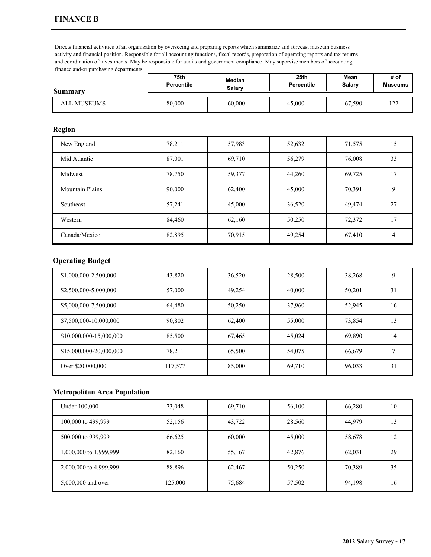Directs financial activities of an organization by overseeing and preparing reports which summarize and forecast museum business activity and financial position. Responsible for all accounting functions, fiscal records, preparation of operating reports and tax returns and coordination of investments. May be responsible for audits and government compliance. May supervise members of accounting, finance and/or purchasing departments.

| <b>Summary</b> | 75th              | Median | 25 <sub>th</sub>  | Mean   | # of           |
|----------------|-------------------|--------|-------------------|--------|----------------|
|                | <b>Percentile</b> | Salarv | <b>Percentile</b> | Salary | <b>Museums</b> |
| ALL MUSEUMS    | 80,000            | 60,000 | 45,000            | 67,590 | $\sim$<br>- 22 |

#### **Region**

| New England            | 78,211 | 57,983 | 52,632 | 71,575 | 15             |
|------------------------|--------|--------|--------|--------|----------------|
| Mid Atlantic           | 87,001 | 69,710 | 56,279 | 76,008 | 33             |
| Midwest                | 78,750 | 59,377 | 44,260 | 69,725 | 17             |
| <b>Mountain Plains</b> | 90,000 | 62,400 | 45,000 | 70,391 | 9              |
| Southeast              | 57,241 | 45,000 | 36,520 | 49,474 | 27             |
| Western                | 84,460 | 62,160 | 50,250 | 72,372 | 17             |
| Canada/Mexico          | 82,895 | 70,915 | 49,254 | 67,410 | $\overline{4}$ |

### **Operating Budget**

| \$1,000,000-2,500,000   | 43,820  | 36,520 | 28,500 | 38,268 | 9  |
|-------------------------|---------|--------|--------|--------|----|
| \$2,500,000-5,000,000   | 57,000  | 49,254 | 40,000 | 50,201 | 31 |
| \$5,000,000-7,500,000   | 64.480  | 50,250 | 37,960 | 52,945 | 16 |
| \$7,500,000-10,000,000  | 90,802  | 62,400 | 55,000 | 73,854 | 13 |
| \$10,000,000-15,000,000 | 85,500  | 67,465 | 45,024 | 69,890 | 14 |
| \$15,000,000-20,000,000 | 78,211  | 65,500 | 54,075 | 66,679 |    |
| Over \$20,000,000       | 117,577 | 85,000 | 69,710 | 96,033 | 31 |

| Under 100,000          | 73,048  | 69,710 | 56,100 | 66,280 | 10 |
|------------------------|---------|--------|--------|--------|----|
| 100,000 to 499,999     | 52,156  | 43,722 | 28,560 | 44,979 | 13 |
| 500,000 to 999,999     | 66,625  | 60,000 | 45,000 | 58,678 | 12 |
| 1,000,000 to 1,999,999 | 82,160  | 55,167 | 42,876 | 62,031 | 29 |
| 2,000,000 to 4,999,999 | 88,896  | 62,467 | 50,250 | 70,389 | 35 |
| 5,000,000 and over     | 125,000 | 75,684 | 57,502 | 94,198 | 16 |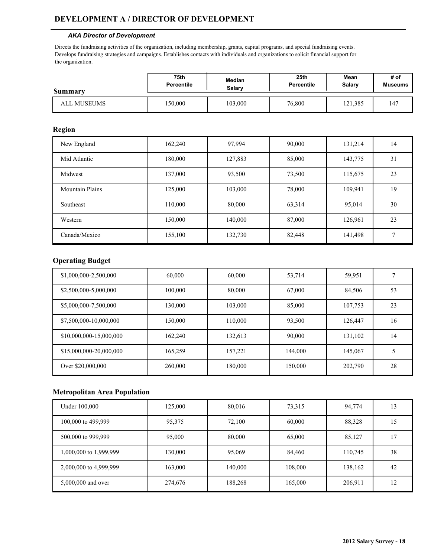### **DEVELOPMENT A / DIRECTOR OF DEVELOPMENT**

#### *AKA Director of Development*

Directs the fundraising activities of the organization, including membership, grants, capital programs, and special fundraising events. Develops fundraising strategies and campaigns. Establishes contacts with individuals and organizations to solicit financial support for the organization.

| Summary     | 75th              | Median  | 25th       | Mean    | # of           |
|-------------|-------------------|---------|------------|---------|----------------|
|             | <b>Percentile</b> | Salary  | Percentile | Salary  | <b>Museums</b> |
| ALL MUSEUMS | 150,000           | 103,000 | 76,800     | 121,385 | 47ء            |

#### **Region**

| New England            | 162,240 | 97,994  | 90,000 | 131,214 | 14           |
|------------------------|---------|---------|--------|---------|--------------|
| Mid Atlantic           | 180,000 | 127,883 | 85,000 | 143,775 | 31           |
| Midwest                | 137,000 | 93,500  | 73,500 | 115,675 | 23           |
| <b>Mountain Plains</b> | 125,000 | 103,000 | 78,000 | 109,941 | 19           |
| Southeast              | 110,000 | 80,000  | 63,314 | 95,014  | 30           |
| Western                | 150,000 | 140,000 | 87,000 | 126,961 | 23           |
| Canada/Mexico          | 155,100 | 132,730 | 82,448 | 141,498 | $\mathbf{r}$ |

### **Operating Budget**

| \$1,000,000-2,500,000   | 60,000  | 60,000  | 53,714  | 59,951  |    |
|-------------------------|---------|---------|---------|---------|----|
| \$2,500,000-5,000,000   | 100,000 | 80,000  | 67,000  | 84,506  | 53 |
| \$5,000,000-7,500,000   | 130.000 | 103,000 | 85,000  | 107,753 | 23 |
| \$7,500,000-10,000,000  | 150.000 | 110,000 | 93,500  | 126,447 | 16 |
| \$10,000,000-15,000,000 | 162,240 | 132,613 | 90,000  | 131,102 | 14 |
| \$15,000,000-20,000,000 | 165,259 | 157,221 | 144,000 | 145,067 | 5  |
| Over \$20,000,000       | 260,000 | 180,000 | 150,000 | 202,790 | 28 |

| Under 100,000          | 125,000 | 80,016  | 73,315  | 94,774  | 13 |
|------------------------|---------|---------|---------|---------|----|
| 100,000 to 499,999     | 95,375  | 72,100  | 60,000  | 88,328  | 15 |
| 500,000 to 999,999     | 95,000  | 80,000  | 65,000  | 85,127  |    |
| 1,000,000 to 1,999,999 | 130,000 | 95,069  | 84,460  | 110,745 | 38 |
| 2,000,000 to 4,999,999 | 163,000 | 140,000 | 108,000 | 138,162 | 42 |
| 5,000,000 and over     | 274,676 | 188,268 | 165,000 | 206,911 | 12 |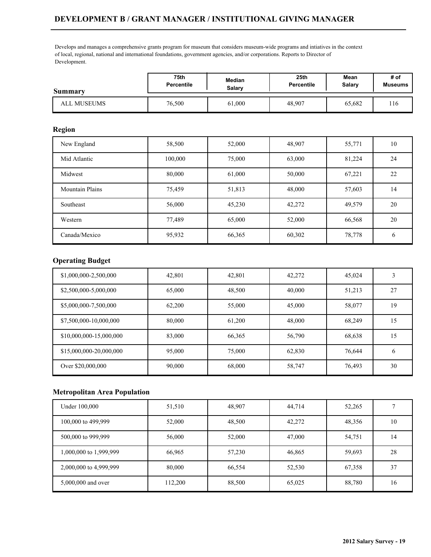## **DEVELOPMENT B / GRANT MANAGER / INSTITUTIONAL GIVING MANAGER**

Develops and manages a comprehensive grants program for museum that considers museum-wide programs and intiatives in the context of local, regional, national and international foundations, government agencies, and/or corporations. Reports to Director of Development.

| <b>Summary</b> | 75th              | Median | 25th              | Mean   | # of           |
|----------------|-------------------|--------|-------------------|--------|----------------|
|                | <b>Percentile</b> | Salary | <b>Percentile</b> | Salary | <b>Museums</b> |
| ALL MUSEUMS    | 76,500            | 61,000 | 48,907            | 65,682 | 116            |

#### **Region**

| New England            | 58,500  | 52,000 | 48,907 | 55,771 | 10            |
|------------------------|---------|--------|--------|--------|---------------|
| Mid Atlantic           | 100,000 | 75,000 | 63,000 | 81,224 | 24            |
| Midwest                | 80,000  | 61,000 | 50,000 | 67,221 | 22            |
| <b>Mountain Plains</b> | 75,459  | 51,813 | 48,000 | 57,603 | 14            |
| Southeast              | 56,000  | 45,230 | 42,272 | 49,579 | 20            |
| Western                | 77,489  | 65,000 | 52,000 | 66,568 | 20            |
| Canada/Mexico          | 95,932  | 66,365 | 60,302 | 78,778 | $\mathfrak b$ |

### **Operating Budget**

| \$1,000,000-2,500,000   | 42.801 | 42,801 | 42,272 | 45,024 | 3  |
|-------------------------|--------|--------|--------|--------|----|
| \$2,500,000-5,000,000   | 65,000 | 48,500 | 40,000 | 51,213 | 27 |
| \$5,000,000-7,500,000   | 62.200 | 55,000 | 45,000 | 58,077 | 19 |
| \$7,500,000-10,000,000  | 80,000 | 61,200 | 48,000 | 68,249 | 15 |
| \$10,000,000-15,000,000 | 83,000 | 66,365 | 56,790 | 68,638 | 15 |
| \$15,000,000-20,000,000 | 95,000 | 75,000 | 62,830 | 76,644 | 6  |
| Over \$20,000,000       | 90,000 | 68,000 | 58,747 | 76,493 | 30 |

| Under 100,000          | 51,510  | 48,907 | 44,714 | 52,265 |                 |
|------------------------|---------|--------|--------|--------|-----------------|
| 100,000 to 499,999     | 52,000  | 48,500 | 42,272 | 48,356 | 10              |
| 500,000 to 999,999     | 56,000  | 52,000 | 47,000 | 54,751 | $\overline{14}$ |
| 1,000,000 to 1,999,999 | 66,965  | 57,230 | 46,865 | 59,693 | 28              |
| 2,000,000 to 4,999,999 | 80,000  | 66,554 | 52,530 | 67,358 | 37              |
| 5,000,000 and over     | 112,200 | 88,500 | 65,025 | 88,780 | 16              |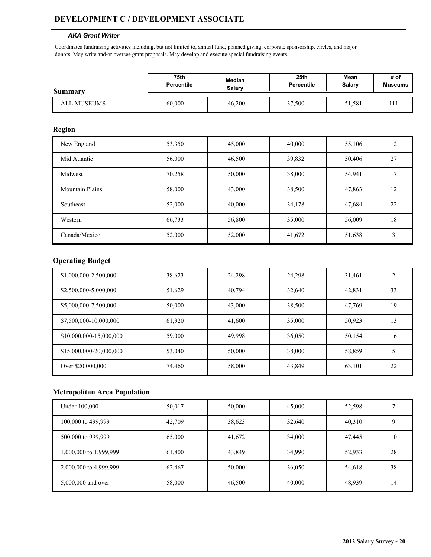### **DEVELOPMENT C / DEVELOPMENT ASSOCIATE**

#### *AKA Grant Writer*

Coordinates fundraising activities including, but not limited to, annual fund, planned giving, corporate sponsorship, circles, and major donors. May write and/or oversee grant proposals. May develop and execute special fundraising events.

| Summary            | 75th              | Median | 25 <sub>th</sub> | Mean   | # of           |
|--------------------|-------------------|--------|------------------|--------|----------------|
|                    | <b>Percentile</b> | Salarv | Percentile       | Salary | <b>Museums</b> |
| <b>ALL MUSEUMS</b> | 60,000            | 46,200 | 37,500           | 51,581 |                |

### **Region**

| New England            | 53,350 | 45,000 | 40,000 | 55,106 | 12 |
|------------------------|--------|--------|--------|--------|----|
| Mid Atlantic           | 56,000 | 46,500 | 39,832 | 50,406 | 27 |
| Midwest                | 70,258 | 50,000 | 38,000 | 54,941 | 17 |
| <b>Mountain Plains</b> | 58,000 | 43,000 | 38,500 | 47,863 | 12 |
| Southeast              | 52,000 | 40,000 | 34,178 | 47,684 | 22 |
| Western                | 66,733 | 56,800 | 35,000 | 56,009 | 18 |
| Canada/Mexico          | 52,000 | 52,000 | 41,672 | 51,638 | 3  |

### **Operating Budget**

| \$1,000,000-2,500,000   | 38,623 | 24,298 | 24.298 | 31,461 | $\mathfrak{D}$ |
|-------------------------|--------|--------|--------|--------|----------------|
| \$2,500,000-5,000,000   | 51,629 | 40,794 | 32,640 | 42,831 | 33             |
| \$5,000,000-7,500,000   | 50,000 | 43,000 | 38,500 | 47,769 | 19             |
| \$7,500,000-10,000,000  | 61,320 | 41,600 | 35,000 | 50,923 | 13             |
| \$10,000,000-15,000,000 | 59,000 | 49,998 | 36,050 | 50,154 | 16             |
| \$15,000,000-20,000,000 | 53,040 | 50,000 | 38,000 | 58,859 | 5              |
| Over \$20,000,000       | 74,460 | 58,000 | 43,849 | 63,101 | 22             |

| Under 100,000          | 50,017 | 50,000 | 45,000 | 52,598 |    |
|------------------------|--------|--------|--------|--------|----|
| 100,000 to 499,999     | 42,709 | 38,623 | 32,640 | 40,310 |    |
| 500,000 to 999,999     | 65,000 | 41,672 | 34,000 | 47,445 | 10 |
| 1,000,000 to 1,999,999 | 61,800 | 43,849 | 34,990 | 52,933 | 28 |
| 2,000,000 to 4,999,999 | 62,467 | 50,000 | 36,050 | 54,618 | 38 |
| 5,000,000 and over     | 58,000 | 46,500 | 40,000 | 48,939 | 14 |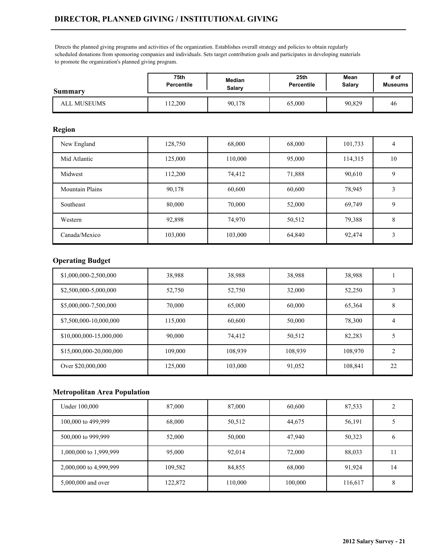## **DIRECTOR, PLANNED GIVING / INSTITUTIONAL GIVING**

Directs the planned giving programs and activities of the organization. Establishes overall strategy and policies to obtain regularly scheduled donations from sponsoring companies and individuals. Sets target contribution goals and participates in developing materials to promote the organization's planned giving program.

| <b>Summary</b> | 75th              | Median | 25th              | Mean   | # of           |
|----------------|-------------------|--------|-------------------|--------|----------------|
|                | <b>Percentile</b> | Salarv | <b>Percentile</b> | Salary | <b>Museums</b> |
| ALL MUSEUMS    | 12.200            | 90,178 | 65,000            | 90,829 | 46             |

#### **Region**

| New England            | 128,750 | 68,000  | 68,000 | 101,733 | $\overline{4}$ |
|------------------------|---------|---------|--------|---------|----------------|
| Mid Atlantic           | 125,000 | 110,000 | 95,000 | 114,315 | 10             |
| Midwest                | 112,200 | 74,412  | 71,888 | 90,610  | 9              |
| <b>Mountain Plains</b> | 90,178  | 60,600  | 60,600 | 78,945  | 3              |
| Southeast              | 80,000  | 70,000  | 52,000 | 69,749  | 9              |
| Western                | 92,898  | 74,970  | 50,512 | 79,388  | 8              |
| Canada/Mexico          | 103,000 | 103,000 | 64,840 | 92,474  | 3              |

## **Operating Budget**

| \$1,000,000-2,500,000   | 38,988  | 38,988  | 38,988  | 38,988  |                |
|-------------------------|---------|---------|---------|---------|----------------|
| \$2,500,000-5,000,000   | 52,750  | 52,750  | 32,000  | 52,250  |                |
| \$5,000,000-7,500,000   | 70,000  | 65,000  | 60,000  | 65,364  | 8              |
| \$7,500,000-10,000,000  | 115,000 | 60,600  | 50,000  | 78,300  | 4              |
| \$10,000,000-15,000,000 | 90,000  | 74,412  | 50,512  | 82,283  |                |
| \$15,000,000-20,000,000 | 109,000 | 108,939 | 108,939 | 108.970 | $\overline{c}$ |
| Over \$20,000,000       | 125,000 | 103,000 | 91,052  | 108,841 | 22             |

| Under 100,000          | 87,000  | 87,000  | 60,600  | 87,533  |    |
|------------------------|---------|---------|---------|---------|----|
| 100,000 to 499,999     | 68,000  | 50,512  | 44,675  | 56,191  |    |
| 500,000 to 999,999     | 52,000  | 50,000  | 47,940  | 50,323  | 6  |
| 1,000,000 to 1,999,999 | 95,000  | 92,014  | 72,000  | 88,033  |    |
| 2,000,000 to 4,999,999 | 109,582 | 84,855  | 68,000  | 91,924  | 14 |
| 5,000,000 and over     | 122,872 | 110,000 | 100,000 | 116,617 | 8  |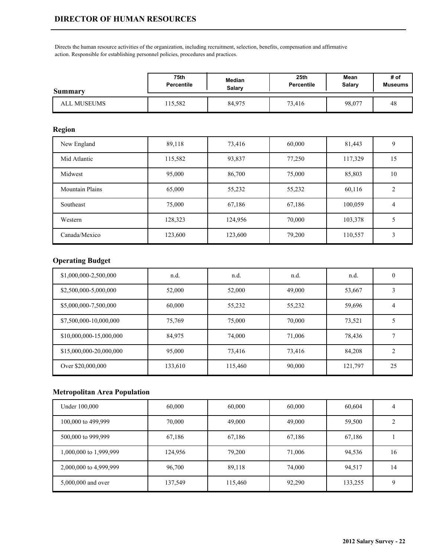Directs the human resource activities of the organization, including recruitment, selection, benefits, compensation and affirmative action. Responsible for establishing personnel policies, procedures and practices.

| Summary            | 75th              | Median | 25 <sub>th</sub> | Mean   | # of           |
|--------------------|-------------------|--------|------------------|--------|----------------|
|                    | <b>Percentile</b> | Salarv | Percentile       | Salary | <b>Museums</b> |
| <b>ALL MUSEUMS</b> | 15,582            | 84,975 | 73,416           | 98,077 | 48             |

### **Region**

| New England            | 89,118  | 73,416  | 60,000 | 81,443  | 9  |
|------------------------|---------|---------|--------|---------|----|
| Mid Atlantic           | 115,582 | 93,837  | 77,250 | 117,329 | 15 |
| Midwest                | 95,000  | 86,700  | 75,000 | 85,803  | 10 |
| <b>Mountain Plains</b> | 65,000  | 55,232  | 55,232 | 60,116  | 2  |
| Southeast              | 75,000  | 67,186  | 67,186 | 100,059 | 4  |
| Western                | 128,323 | 124,956 | 70,000 | 103,378 | 5  |
| Canada/Mexico          | 123,600 | 123,600 | 79,200 | 110,557 | 3  |

# **Operating Budget**

| \$1,000,000-2,500,000   | n.d.    | n.d.    | n.d.   | n.d.    | 0              |
|-------------------------|---------|---------|--------|---------|----------------|
| \$2,500,000-5,000,000   | 52,000  | 52,000  | 49,000 | 53,667  |                |
| \$5,000,000-7,500,000   | 60,000  | 55,232  | 55,232 | 59,696  | 4              |
| \$7,500,000-10,000,000  | 75,769  | 75,000  | 70,000 | 73,521  |                |
| \$10,000,000-15,000,000 | 84,975  | 74,000  | 71,006 | 78,436  |                |
| \$15,000,000-20,000,000 | 95,000  | 73,416  | 73,416 | 84,208  | $\overline{c}$ |
| Over \$20,000,000       | 133,610 | 115,460 | 90,000 | 121,797 | 25             |

| Under 100,000          | 60,000  | 60,000  | 60,000 | 60,604  |    |
|------------------------|---------|---------|--------|---------|----|
| 100,000 to 499,999     | 70,000  | 49,000  | 49,000 | 59,500  |    |
| 500,000 to 999,999     | 67,186  | 67,186  | 67,186 | 67,186  |    |
| 1,000,000 to 1,999,999 | 124,956 | 79,200  | 71,006 | 94,536  | 16 |
| 2,000,000 to 4,999,999 | 96,700  | 89,118  | 74,000 | 94,517  | 14 |
| 5,000,000 and over     | 137,549 | 115,460 | 92,290 | 133,255 |    |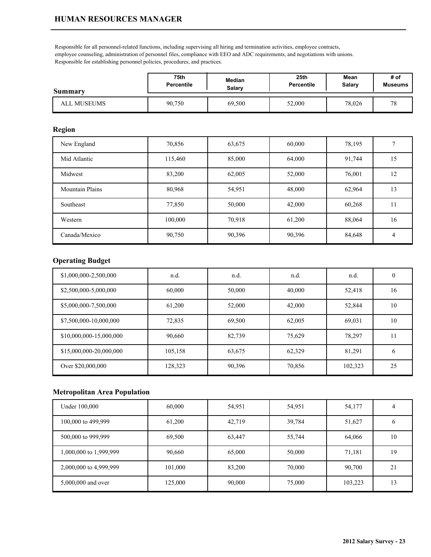Responsible for all personnel-related functions, including supervising all hiring and termination activities, employee contracts, employee counseling, administration of personnel files, compliance with EEO and ADC requirements, and negotiations with unions. Responsible for establishing personnel policies, procedures, and practices.

| <b>Summary</b>     | 75th              | Median | 25th              | Mean   | # of           |
|--------------------|-------------------|--------|-------------------|--------|----------------|
|                    | <b>Percentile</b> | Salary | <b>Percentile</b> | Salary | <b>Museums</b> |
| <b>ALL MUSEUMS</b> | 90,750            | 69,500 | 52,000            | 78,026 | $\pi c$        |

## **Region**

| New England            | 70,856  | 63,675 | 60,000 | 78,195 |                |
|------------------------|---------|--------|--------|--------|----------------|
| Mid Atlantic           | 115,460 | 85,000 | 64,000 | 91,744 | 15             |
| Midwest                | 83,200  | 62,005 | 52,000 | 76,001 | 12             |
| <b>Mountain Plains</b> | 80,968  | 54,951 | 48,000 | 62,964 | 13             |
| Southeast              | 77,850  | 50,000 | 42,000 | 60,268 | 11             |
| Western                | 100,000 | 70,918 | 61,200 | 88,064 | 16             |
| Canada/Mexico          | 90,750  | 90,396 | 90,396 | 84,648 | $\overline{4}$ |

## **Operating Budget**

| \$1,000,000-2,500,000   | n.d.    | n.d.   | n.d.   | n.d.    | $\Omega$ |
|-------------------------|---------|--------|--------|---------|----------|
| \$2,500,000-5,000,000   | 60,000  | 50,000 | 40,000 | 52,418  | 16       |
| \$5,000,000-7,500,000   | 61,200  | 52,000 | 42,000 | 52,844  | 10       |
| \$7,500,000-10,000,000  | 72,835  | 69,500 | 62,005 | 69,031  | 10       |
| \$10,000,000-15,000,000 | 90.660  | 82,739 | 75.629 | 78,297  | 11       |
| \$15,000,000-20,000,000 | 105,158 | 63,675 | 62,329 | 81,291  | 6        |
| Over \$20,000,000       | 128,323 | 90,396 | 70,856 | 102,323 | 25       |

| Under 100,000          | 60,000  | 54,951 | 54,951 | 54,177  | 4  |
|------------------------|---------|--------|--------|---------|----|
| 100,000 to 499,999     | 61,200  | 42,719 | 39,784 | 51,627  |    |
| 500,000 to 999,999     | 69,500  | 63,447 | 55,744 | 64,066  | 10 |
| 1,000,000 to 1,999,999 | 90,660  | 65,000 | 50,000 | 71,181  | 19 |
| 2,000,000 to 4,999,999 | 101,000 | 83,200 | 70,000 | 90,700  | 21 |
| 5,000,000 and over     | 125,000 | 90,000 | 75,000 | 103,223 | 13 |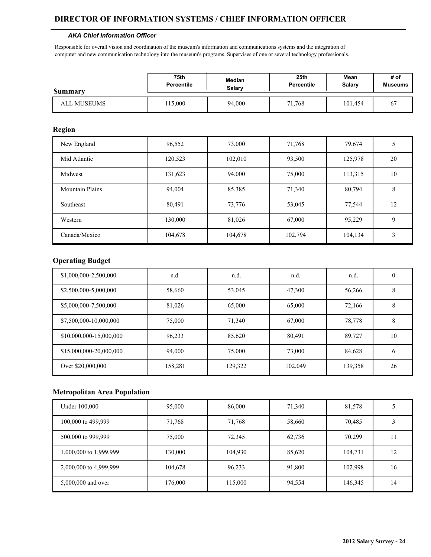#### **DIRECTOR OF INFORMATION SYSTEMS / CHIEF INFORMATION OFFICER**

#### *AKA Chief Information Officer*

Responsible for overall vision and coordination of the museum's information and communications systems and the integration of computer and new communication technology into the museum's programs. Supervises of one or several technology professionals.

| <b>Summary</b> | 75th              | Median | 25 <sub>th</sub>  | Mean    | # of           |
|----------------|-------------------|--------|-------------------|---------|----------------|
|                | <b>Percentile</b> | Salary | <b>Percentile</b> | Salary  | <b>Museums</b> |
| ALL MUSEUMS    | 15,000            | 94.000 | 71,768            | 101.454 | -67            |

### **Region**

| New England            | 96,552  | 73,000  | 71,768  | 79,674  |    |
|------------------------|---------|---------|---------|---------|----|
| Mid Atlantic           | 120,523 | 102,010 | 93,500  | 125,978 | 20 |
| Midwest                | 131,623 | 94,000  | 75,000  | 113,315 | 10 |
| <b>Mountain Plains</b> | 94,004  | 85,385  | 71,340  | 80,794  | 8  |
| Southeast              | 80,491  | 73,776  | 53,045  | 77,544  | 12 |
| Western                | 130,000 | 81,026  | 67,000  | 95,229  | 9  |
| Canada/Mexico          | 104,678 | 104,678 | 102,794 | 104,134 | 3  |

### **Operating Budget**

| \$1,000,000-2,500,000   | n.d.    | n.d.    | n.d.    | n.d.    | 0  |
|-------------------------|---------|---------|---------|---------|----|
| \$2,500,000-5,000,000   | 58,660  | 53,045  | 47,300  | 56,266  | 8  |
| \$5,000,000-7,500,000   | 81,026  | 65,000  | 65,000  | 72,166  | 8  |
| \$7,500,000-10,000,000  | 75,000  | 71,340  | 67,000  | 78,778  | 8  |
| \$10,000,000-15,000,000 | 96,233  | 85,620  | 80,491  | 89,727  | 10 |
| \$15,000,000-20,000,000 | 94,000  | 75,000  | 73,000  | 84,628  | 6  |
| Over \$20,000,000       | 158,281 | 129,322 | 102,049 | 139,358 | 26 |

| Under 100,000          | 95,000  | 86,000  | 71,340 | 81,578  |    |
|------------------------|---------|---------|--------|---------|----|
| 100,000 to 499,999     | 71,768  | 71,768  | 58,660 | 70,485  |    |
| 500,000 to 999,999     | 75,000  | 72,345  | 62,736 | 70,299  |    |
| 1,000,000 to 1,999,999 | 130,000 | 104,930 | 85,620 | 104,731 | 12 |
| 2,000,000 to 4,999,999 | 104,678 | 96,233  | 91,800 | 102,998 | 16 |
| 5,000,000 and over     | 176,000 | 115,000 | 94,554 | 146,345 | 14 |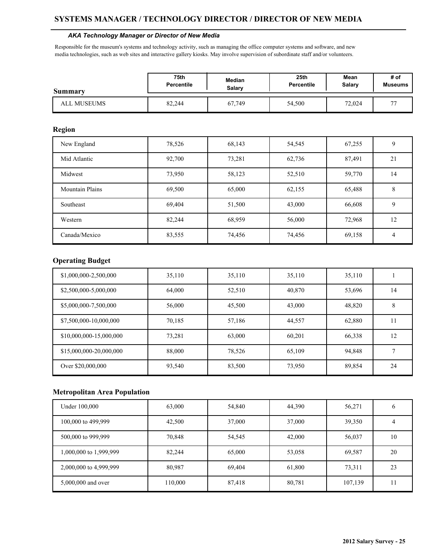#### *AKA Technology Manager or Director of New Media*

Responsible for the museum's systems and technology activity, such as managing the office computer systems and software, and new media technologies, such as web sites and interactive gallery kiosks. May involve supervision of subordinate staff and/or volunteers.

| Summary     | 75th              | Median | 25 <sub>th</sub>  | Mean   | # of           |
|-------------|-------------------|--------|-------------------|--------|----------------|
|             | <b>Percentile</b> | Salarv | <b>Percentile</b> | Salary | <b>Museums</b> |
| ALL MUSEUMS | 82,244            | 67,749 | 54,500            | 72,024 | $\overline{a}$ |

#### **Region**

| New England            | 78,526 | 68,143 | 54,545 | 67,255 | 9  |
|------------------------|--------|--------|--------|--------|----|
| Mid Atlantic           | 92,700 | 73,281 | 62,736 | 87,491 | 21 |
| Midwest                | 73,950 | 58,123 | 52,510 | 59,770 | 14 |
| <b>Mountain Plains</b> | 69,500 | 65,000 | 62,155 | 65,488 | 8  |
| Southeast              | 69,404 | 51,500 | 43,000 | 66,608 | 9  |
| Western                | 82,244 | 68,959 | 56,000 | 72,968 | 12 |
| Canada/Mexico          | 83,555 | 74,456 | 74,456 | 69,158 | 4  |

### **Operating Budget**

| \$1,000,000-2,500,000   | 35,110 | 35,110 | 35,110 | 35,110 |    |
|-------------------------|--------|--------|--------|--------|----|
| \$2,500,000-5,000,000   | 64,000 | 52,510 | 40,870 | 53,696 | 14 |
| \$5,000,000-7,500,000   | 56,000 | 45,500 | 43,000 | 48,820 | 8  |
| \$7,500,000-10,000,000  | 70,185 | 57,186 | 44,557 | 62,880 | 11 |
| \$10,000,000-15,000,000 | 73,281 | 63,000 | 60,201 | 66,338 | 12 |
| \$15,000,000-20,000,000 | 88,000 | 78,526 | 65,109 | 94,848 |    |
| Over \$20,000,000       | 93,540 | 83,500 | 73,950 | 89,854 | 24 |

| Under 100,000          | 63,000  | 54,840 | 44,390 | 56,271  |    |
|------------------------|---------|--------|--------|---------|----|
| 100,000 to 499,999     | 42,500  | 37,000 | 37,000 | 39,350  | 4  |
| 500,000 to 999,999     | 70,848  | 54,545 | 42,000 | 56,037  | 10 |
| 1,000,000 to 1,999,999 | 82,244  | 65,000 | 53,058 | 69,587  | 20 |
| 2,000,000 to 4,999,999 | 80,987  | 69,404 | 61,800 | 73,311  | 23 |
| 5,000,000 and over     | 110,000 | 87,418 | 80,781 | 107,139 |    |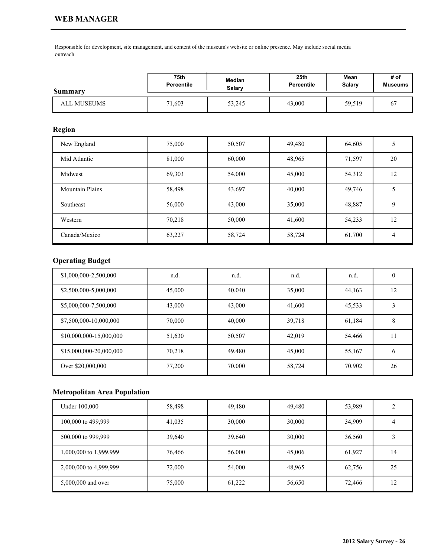Responsible for development, site management, and content of the museum's website or online presence. May include social media outreach.

| Summary     | 75th              | Median | 25 <sub>th</sub> | Mean          | # of           |
|-------------|-------------------|--------|------------------|---------------|----------------|
|             | <b>Percentile</b> | Salarv | Percentile       | <b>Salary</b> | <b>Museums</b> |
| ALL MUSEUMS | 71,603            | 53,245 | 43,000           | 59,519        | 67             |

### **Region**

| New England            | 75,000 | 50,507 | 49,480 | 64,605 |    |
|------------------------|--------|--------|--------|--------|----|
| Mid Atlantic           | 81,000 | 60,000 | 48,965 | 71,597 | 20 |
| Midwest                | 69,303 | 54,000 | 45,000 | 54,312 | 12 |
| <b>Mountain Plains</b> | 58,498 | 43,697 | 40,000 | 49,746 |    |
| Southeast              | 56,000 | 43,000 | 35,000 | 48,887 | 9  |
| Western                | 70,218 | 50,000 | 41,600 | 54,233 | 12 |
| Canada/Mexico          | 63,227 | 58,724 | 58,724 | 61,700 | 4  |

# **Operating Budget**

| \$1,000,000-2,500,000   | n.d.   | n.d.   | n.d.   | n.d.   | 0  |
|-------------------------|--------|--------|--------|--------|----|
| \$2,500,000-5,000,000   | 45,000 | 40,040 | 35,000 | 44,163 | 12 |
| \$5,000,000-7,500,000   | 43,000 | 43,000 | 41,600 | 45,533 | 3  |
| \$7,500,000-10,000,000  | 70,000 | 40,000 | 39,718 | 61,184 | 8  |
| \$10,000,000-15,000,000 | 51,630 | 50,507 | 42,019 | 54,466 | 11 |
| \$15,000,000-20,000,000 | 70,218 | 49,480 | 45,000 | 55,167 | 6  |
| Over \$20,000,000       | 77,200 | 70,000 | 58,724 | 70,902 | 26 |

| Under 100,000          | 58,498 | 49,480 | 49,480 | 53,989 |    |
|------------------------|--------|--------|--------|--------|----|
| 100,000 to 499,999     | 41,035 | 30,000 | 30,000 | 34,909 |    |
| 500,000 to 999,999     | 39,640 | 39,640 | 30,000 | 36,560 |    |
| 1,000,000 to 1,999,999 | 76,466 | 56,000 | 45,006 | 61,927 | 14 |
| 2,000,000 to 4,999,999 | 72,000 | 54,000 | 48,965 | 62,756 | 25 |
| 5,000,000 and over     | 75,000 | 61,222 | 56,650 | 72,466 | 12 |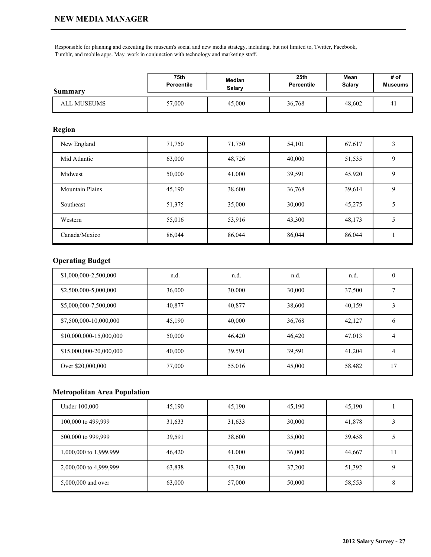#### **NEW MEDIA MANAGER**

Responsible for planning and executing the museum's social and new media strategy, including, but not limited to, Twitter, Facebook, Tumblr, and mobile apps. May work in conjunction with technology and marketing staff.

| Summary     | <b>75th</b>       | Median | 25th       | Mean   | # of           |
|-------------|-------------------|--------|------------|--------|----------------|
|             | <b>Percentile</b> | Salarv | Percentile | Salary | <b>Museums</b> |
| ALL MUSEUMS | 57,000            | 45,000 | 36,768     | 48,602 | 4 <sub>1</sub> |

### **Region**

| New England            | 71,750 | 71,750 | 54,101 | 67,617 |   |
|------------------------|--------|--------|--------|--------|---|
| Mid Atlantic           | 63,000 | 48,726 | 40,000 | 51,535 | 9 |
| Midwest                | 50,000 | 41,000 | 39,591 | 45,920 | 9 |
| <b>Mountain Plains</b> | 45,190 | 38,600 | 36,768 | 39,614 | 9 |
| Southeast              | 51,375 | 35,000 | 30,000 | 45,275 |   |
| Western                | 55,016 | 53,916 | 43,300 | 48,173 |   |
| Canada/Mexico          | 86,044 | 86,044 | 86,044 | 86,044 |   |

### **Operating Budget**

| \$1,000,000-2,500,000   | n.d.   | n.d.   | n.d.   | n.d.   | 0            |
|-------------------------|--------|--------|--------|--------|--------------|
| \$2,500,000-5,000,000   | 36,000 | 30,000 | 30,000 | 37,500 |              |
| \$5,000,000-7,500,000   | 40,877 | 40,877 | 38,600 | 40,159 |              |
| \$7,500,000-10,000,000  | 45,190 | 40,000 | 36,768 | 42,127 | <sub>b</sub> |
| \$10,000,000-15,000,000 | 50,000 | 46,420 | 46,420 | 47,013 | 4            |
| \$15,000,000-20,000,000 | 40,000 | 39,591 | 39,591 | 41,204 | 4            |
| Over \$20,000,000       | 77,000 | 55,016 | 45,000 | 58,482 | 17           |

| Under 100,000          | 45,190 | 45,190 | 45,190 | 45,190 |   |
|------------------------|--------|--------|--------|--------|---|
| 100,000 to 499,999     | 31,633 | 31,633 | 30,000 | 41,878 |   |
| 500,000 to 999,999     | 39,591 | 38,600 | 35,000 | 39,458 |   |
| 1,000,000 to 1,999,999 | 46,420 | 41,000 | 36,000 | 44,667 |   |
| 2,000,000 to 4,999,999 | 63,838 | 43,300 | 37,200 | 51,392 |   |
| 5,000,000 and over     | 63,000 | 57,000 | 50,000 | 58,553 | δ |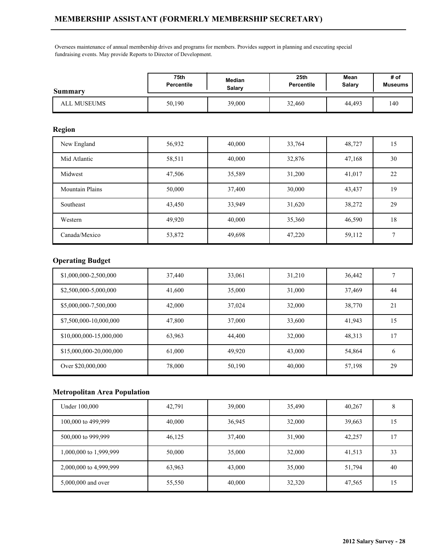Oversees maintenance of annual membership drives and programs for members. Provides support in planning and executing special fundraising events. May provide Reports to Director of Development.

| <b>Summary</b> | 75th              | Median | 25 <sub>th</sub>  | Mean   | # of    |
|----------------|-------------------|--------|-------------------|--------|---------|
|                | <b>Percentile</b> | Salarv | <b>Percentile</b> | Salary | Museums |
| ALL MUSEUMS    | 50,190            | 39,000 | 32,460            | 44.493 | 140     |

### **Region**

| New England            | 56,932 | 40,000 | 33,764 | 48,727 | 15 |
|------------------------|--------|--------|--------|--------|----|
| Mid Atlantic           | 58,511 | 40,000 | 32,876 | 47,168 | 30 |
| Midwest                | 47,506 | 35,589 | 31,200 | 41,017 | 22 |
| <b>Mountain Plains</b> | 50,000 | 37,400 | 30,000 | 43,437 | 19 |
| Southeast              | 43,450 | 33,949 | 31,620 | 38,272 | 29 |
| Western                | 49,920 | 40,000 | 35,360 | 46,590 | 18 |
| Canada/Mexico          | 53,872 | 49,698 | 47,220 | 59,112 |    |

## **Operating Budget**

| \$1,000,000-2,500,000   | 37,440 | 33,061 | 31,210 | 36,442 |    |
|-------------------------|--------|--------|--------|--------|----|
| \$2,500,000-5,000,000   | 41,600 | 35,000 | 31,000 | 37,469 | 44 |
| \$5,000,000-7,500,000   | 42,000 | 37,024 | 32,000 | 38,770 | 21 |
| \$7,500,000-10,000,000  | 47,800 | 37,000 | 33,600 | 41,943 | 15 |
| \$10,000,000-15,000,000 | 63,963 | 44,400 | 32,000 | 48,313 | 17 |
| \$15,000,000-20,000,000 | 61,000 | 49,920 | 43,000 | 54,864 | 6  |
| Over \$20,000,000       | 78,000 | 50,190 | 40,000 | 57,198 | 29 |

| Under 100,000          | 42,791 | 39,000 | 35,490 | 40,267 |    |
|------------------------|--------|--------|--------|--------|----|
| 100,000 to 499,999     | 40,000 | 36,945 | 32,000 | 39,663 | 15 |
| 500,000 to 999,999     | 46,125 | 37,400 | 31,900 | 42,257 | -7 |
| 1,000,000 to 1,999,999 | 50,000 | 35,000 | 32,000 | 41,513 | 33 |
| 2,000,000 to 4,999,999 | 63,963 | 43,000 | 35,000 | 51,794 | 40 |
| 5,000,000 and over     | 55,550 | 40,000 | 32,320 | 47,565 | 15 |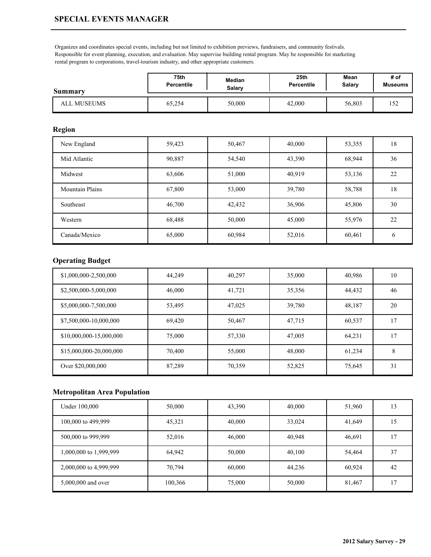## **SPECIAL EVENTS MANAGER**

Organizes and coordinates special events, including but not limited to exhibition previews, fundraisers, and community festivals. Responsible for event planning, execution, and evaluation. May supervise building rental program. May be responsible for marketing rental program to corporations, travel-tourism industry, and other appropriate customers.

| <b>Summary</b>     | 75th              | Median | 25th       | Mean   | # of           |
|--------------------|-------------------|--------|------------|--------|----------------|
|                    | <b>Percentile</b> | Salary | Percentile | Salary | <b>Museums</b> |
| <b>ALL MUSEUMS</b> | 65,254            | 50,000 | 42,000     | 56,803 | 152            |

#### **Region**

| New England            | 59,423 | 50,467 | 40,000 | 53,355 | 18            |
|------------------------|--------|--------|--------|--------|---------------|
| Mid Atlantic           | 90,887 | 54,540 | 43,390 | 68,944 | 36            |
| Midwest                | 63,606 | 51,000 | 40,919 | 53,136 | 22            |
| <b>Mountain Plains</b> | 67,800 | 53,000 | 39,780 | 58,788 | 18            |
| Southeast              | 46,700 | 42,432 | 36,906 | 45,806 | 30            |
| Western                | 68,488 | 50,000 | 45,000 | 55,976 | 22            |
| Canada/Mexico          | 65,000 | 60,984 | 52,016 | 60,461 | $\mathfrak b$ |

## **Operating Budget**

| \$1,000,000-2,500,000   | 44,249 | 40,297 | 35,000 | 40,986 | 10 |
|-------------------------|--------|--------|--------|--------|----|
| \$2,500,000-5,000,000   | 46,000 | 41,721 | 35,356 | 44,432 | 46 |
| \$5,000,000-7,500,000   | 53,495 | 47,025 | 39,780 | 48,187 | 20 |
| \$7,500,000-10,000,000  | 69,420 | 50,467 | 47,715 | 60,537 | 17 |
| \$10,000,000-15,000,000 | 75,000 | 57,330 | 47,005 | 64,231 | 17 |
| \$15,000,000-20,000,000 | 70,400 | 55,000 | 48,000 | 61,234 | 8  |
| Over \$20,000,000       | 87,289 | 70,359 | 52,825 | 75,645 | 31 |

| Under 100,000          | 50,000  | 43,390 | 40,000 | 51,960 | 13 |
|------------------------|---------|--------|--------|--------|----|
| 100,000 to 499,999     | 45,321  | 40,000 | 33,024 | 41,649 | 15 |
| 500,000 to 999,999     | 52,016  | 46,000 | 40,948 | 46,691 | -7 |
| 1,000,000 to 1,999,999 | 64,942  | 50,000 | 40,100 | 54,464 | 37 |
| 2,000,000 to 4,999,999 | 70,794  | 60,000 | 44,236 | 60,924 | 42 |
| 5,000,000 and over     | 100,366 | 75,000 | 50,000 | 81,467 | רו |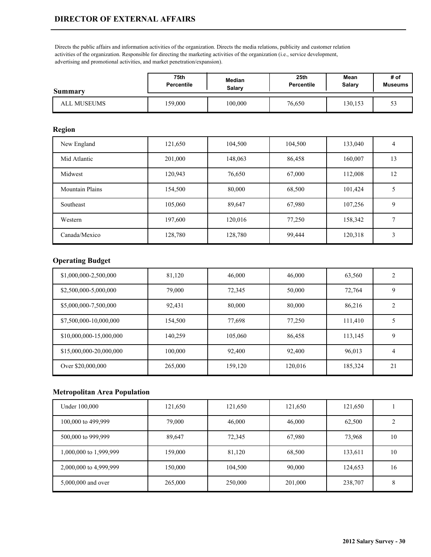Directs the public affairs and information activities of the organization. Directs the media relations, publicity and customer relation activities of the organization. Responsible for directing the marketing activities of the organization (i.e., service development, advertising and promotional activities, and market penetration/expansion).

| <b>Summary</b> | 75th              | Median  | 25th       | Mean    | # of                           |
|----------------|-------------------|---------|------------|---------|--------------------------------|
|                | <b>Percentile</b> | Salary  | Percentile | Salary  | <b>Museums</b>                 |
| ALL MUSEUMS    | 159,000           | 100,000 | 76,650     | 130,153 | $\overline{\phantom{a}}$<br>5: |

## **Region**

| New England            | 121,650 | 104,500 | 104,500 | 133,040 | $\overline{4}$ |
|------------------------|---------|---------|---------|---------|----------------|
| Mid Atlantic           | 201,000 | 148,063 | 86,458  | 160,007 | 13             |
| Midwest                | 120,943 | 76,650  | 67,000  | 112,008 | 12             |
| <b>Mountain Plains</b> | 154,500 | 80,000  | 68,500  | 101,424 |                |
| Southeast              | 105,060 | 89,647  | 67,980  | 107,256 | 9              |
| Western                | 197,600 | 120,016 | 77,250  | 158,342 |                |
| Canada/Mexico          | 128,780 | 128,780 | 99,444  | 120,318 | 3              |

## **Operating Budget**

| \$1,000,000-2,500,000   | 81,120  | 46,000  | 46,000  | 63,560  | $\overline{2}$ |
|-------------------------|---------|---------|---------|---------|----------------|
| \$2,500,000-5,000,000   | 79,000  | 72,345  | 50,000  | 72,764  | 9              |
| \$5,000,000-7,500,000   | 92,431  | 80,000  | 80,000  | 86,216  | $\overline{2}$ |
| \$7,500,000-10,000,000  | 154,500 | 77,698  | 77,250  | 111,410 |                |
| \$10,000,000-15,000,000 | 140,259 | 105,060 | 86,458  | 113,145 | 9              |
| \$15,000,000-20,000,000 | 100,000 | 92,400  | 92,400  | 96,013  | 4              |
| Over \$20,000,000       | 265,000 | 159,120 | 120,016 | 185,324 | 21             |

| Under 100,000          | 121,650 | 121,650 | 121,650 | 121,650 |    |
|------------------------|---------|---------|---------|---------|----|
| 100,000 to 499,999     | 79,000  | 46,000  | 46,000  | 62,500  |    |
| 500,000 to 999,999     | 89,647  | 72,345  | 67,980  | 73,968  | 10 |
| 1,000,000 to 1,999,999 | 159,000 | 81,120  | 68,500  | 133,611 | 10 |
| 2,000,000 to 4,999,999 | 150,000 | 104,500 | 90,000  | 124,653 | 16 |
| 5,000,000 and over     | 265,000 | 250,000 | 201,000 | 238,707 | 8  |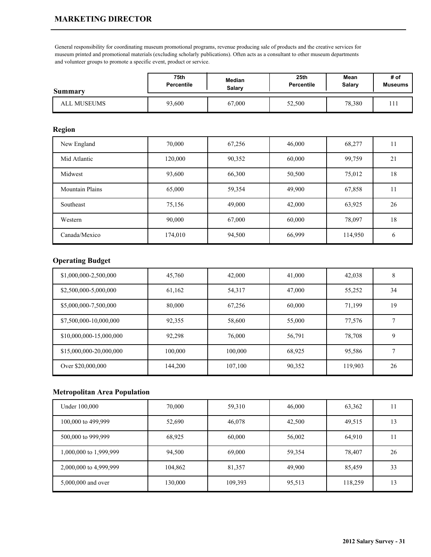## **MARKETING DIRECTOR**

General responsibility for coordinating museum promotional programs, revenue producing sale of products and the creative services for museum printed and promotional materials (excluding scholarly publications). Often acts as a consultant to other museum departments and volunteer groups to promote a specific event, product or service.

| <b>Summary</b> | 75th              | Median | 25 <sub>th</sub> | Mean   | # of           |
|----------------|-------------------|--------|------------------|--------|----------------|
|                | <b>Percentile</b> | Salary | Percentile       | Salary | <b>Museums</b> |
| ALL MUSEUMS    | 93,600            | 67,000 | 52,500           | 78,380 | 1 1 1          |

### **Region**

| New England            | 70,000  | 67,256 | 46,000 | 68,277  | 11            |
|------------------------|---------|--------|--------|---------|---------------|
| Mid Atlantic           | 120,000 | 90,352 | 60,000 | 99,759  | 21            |
| Midwest                | 93,600  | 66,300 | 50,500 | 75,012  | 18            |
| <b>Mountain Plains</b> | 65,000  | 59,354 | 49,900 | 67,858  |               |
| Southeast              | 75,156  | 49,000 | 42,000 | 63,925  | 26            |
| Western                | 90,000  | 67,000 | 60,000 | 78,097  | 18            |
| Canada/Mexico          | 174,010 | 94,500 | 66,999 | 114,950 | $\mathfrak b$ |

### **Operating Budget**

| \$1,000,000-2,500,000   | 45,760  | 42,000  | 41,000 | 42,038  | 8  |
|-------------------------|---------|---------|--------|---------|----|
| \$2,500,000-5,000,000   | 61,162  | 54,317  | 47,000 | 55,252  | 34 |
| \$5,000,000-7,500,000   | 80,000  | 67,256  | 60,000 | 71,199  | 19 |
| \$7,500,000-10,000,000  | 92,355  | 58,600  | 55,000 | 77,576  |    |
| \$10,000,000-15,000,000 | 92,298  | 76,000  | 56,791 | 78,708  | 9  |
| \$15,000,000-20,000,000 | 100,000 | 100,000 | 68,925 | 95,586  | ⇁  |
| Over \$20,000,000       | 144,200 | 107,100 | 90,352 | 119,903 | 26 |

| Under 100,000          | 70,000  | 59,310  | 46,000 | 63,362  |    |
|------------------------|---------|---------|--------|---------|----|
| 100,000 to 499,999     | 52,690  | 46,078  | 42,500 | 49,515  | 13 |
| 500,000 to 999,999     | 68,925  | 60,000  | 56,002 | 64,910  |    |
| 1,000,000 to 1,999,999 | 94,500  | 69,000  | 59,354 | 78,407  | 26 |
| 2,000,000 to 4,999,999 | 104,862 | 81,357  | 49,900 | 85,459  | 33 |
| 5,000,000 and over     | 130,000 | 109,393 | 95,513 | 118,259 | 13 |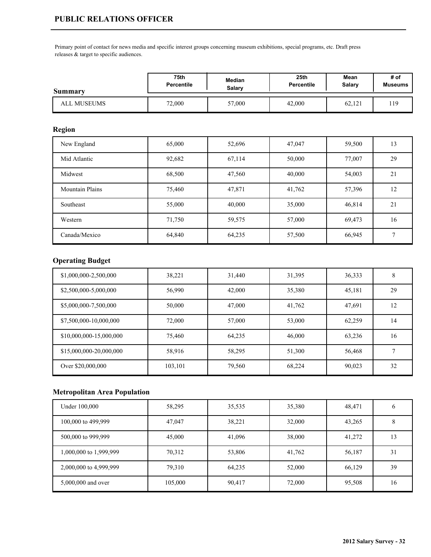Primary point of contact for news media and specific interest groups concerning museum exhibitions, special programs, etc. Draft press releases & target to specific audiences.

| Summary     | 75th              | Median | 25th       | Mean   | # of           |
|-------------|-------------------|--------|------------|--------|----------------|
|             | <b>Percentile</b> | Salarv | Percentile | Salary | <b>Museums</b> |
| ALL MUSEUMS | 72,000            | 57,000 | 42,000     | 62,121 | l 19           |

### **Region**

| New England            | 65,000 | 52,696 | 47,047 | 59,500 | 13 |
|------------------------|--------|--------|--------|--------|----|
| Mid Atlantic           | 92,682 | 67,114 | 50,000 | 77,007 | 29 |
| Midwest                | 68,500 | 47,560 | 40,000 | 54,003 | 21 |
| <b>Mountain Plains</b> | 75,460 | 47,871 | 41,762 | 57,396 | 12 |
| Southeast              | 55,000 | 40,000 | 35,000 | 46,814 | 21 |
| Western                | 71,750 | 59,575 | 57,000 | 69,473 | 16 |
| Canada/Mexico          | 64,840 | 64,235 | 57,500 | 66,945 | 7  |

## **Operating Budget**

| \$1,000,000-2,500,000   | 38,221  | 31,440 | 31,395 | 36,333 | 8  |
|-------------------------|---------|--------|--------|--------|----|
| \$2,500,000-5,000,000   | 56,990  | 42,000 | 35,380 | 45,181 | 29 |
| \$5,000,000-7,500,000   | 50,000  | 47,000 | 41,762 | 47,691 | 12 |
| \$7,500,000-10,000,000  | 72,000  | 57,000 | 53,000 | 62,259 | 14 |
| \$10,000,000-15,000,000 | 75.460  | 64,235 | 46,000 | 63,236 | 16 |
| \$15,000,000-20,000,000 | 58,916  | 58,295 | 51,300 | 56,468 | ⇁  |
| Over \$20,000,000       | 103,101 | 79,560 | 68,224 | 90,023 | 32 |

| Under 100,000          | 58,295  | 35,535 | 35,380 | 48,471 |    |
|------------------------|---------|--------|--------|--------|----|
| 100,000 to 499,999     | 47,047  | 38,221 | 32,000 | 43,265 |    |
| 500,000 to 999,999     | 45,000  | 41,096 | 38,000 | 41,272 | 13 |
| 1,000,000 to 1,999,999 | 70,312  | 53,806 | 41,762 | 56,187 | 31 |
| 2,000,000 to 4,999,999 | 79,310  | 64,235 | 52,000 | 66,129 | 39 |
| 5,000,000 and over     | 105,000 | 90,417 | 72,000 | 95,508 | 16 |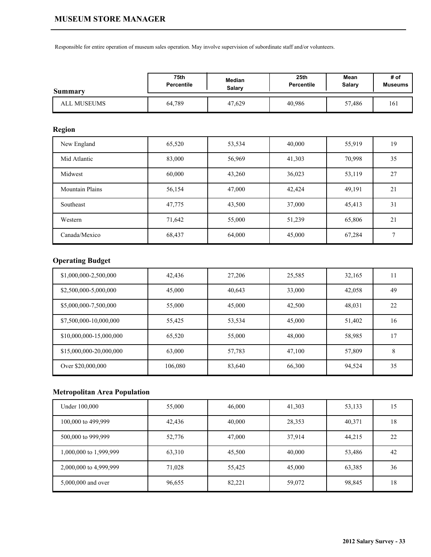#### **MUSEUM STORE MANAGER**

Responsible for entire operation of museum sales operation. May involve supervision of subordinate staff and/or volunteers.

| Summary            | 75th       | Median | 25th       | Mean   | # of           |
|--------------------|------------|--------|------------|--------|----------------|
|                    | Percentile | Salary | Percentile | Salary | <b>Museums</b> |
| <b>ALL MUSEUMS</b> | 64.789     | 47,629 | 40,986     | 57,486 | 161            |

## **Region**

| New England            | 65,520 | 53,534 | 40,000 | 55,919 | 19           |
|------------------------|--------|--------|--------|--------|--------------|
| Mid Atlantic           | 83,000 | 56,969 | 41,303 | 70,998 | 35           |
| Midwest                | 60,000 | 43,260 | 36,023 | 53,119 | 27           |
| <b>Mountain Plains</b> | 56,154 | 47,000 | 42,424 | 49,191 | 21           |
| Southeast              | 47,775 | 43,500 | 37,000 | 45,413 | 31           |
| Western                | 71,642 | 55,000 | 51,239 | 65,806 | 21           |
| Canada/Mexico          | 68,437 | 64,000 | 45,000 | 67,284 | $\mathbf{r}$ |

# **Operating Budget**

| \$1,000,000-2,500,000   | 42,436  | 27,206 | 25,585 | 32,165 | 11 |
|-------------------------|---------|--------|--------|--------|----|
| \$2,500,000-5,000,000   | 45,000  | 40,643 | 33,000 | 42,058 | 49 |
| \$5,000,000-7,500,000   | 55,000  | 45,000 | 42,500 | 48,031 | 22 |
| \$7,500,000-10,000,000  | 55,425  | 53,534 | 45,000 | 51,402 | 16 |
| \$10,000,000-15,000,000 | 65,520  | 55,000 | 48,000 | 58,985 | 17 |
| \$15,000,000-20,000,000 | 63,000  | 57,783 | 47.100 | 57,809 | 8  |
| Over \$20,000,000       | 106,080 | 83,640 | 66,300 | 94,524 | 35 |

| Under 100,000          | 55,000 | 46,000 | 41,303 | 53,133 | 15 |
|------------------------|--------|--------|--------|--------|----|
| 100,000 to 499,999     | 42,436 | 40,000 | 28,353 | 40,371 | 18 |
| 500,000 to 999,999     | 52,776 | 47,000 | 37,914 | 44,215 | 22 |
| 1,000,000 to 1,999,999 | 63,310 | 45,500 | 40,000 | 53,486 | 42 |
| 2,000,000 to 4,999,999 | 71,028 | 55,425 | 45,000 | 63,385 | 36 |
| 5,000,000 and over     | 96,655 | 82,221 | 59,072 | 98,845 | 18 |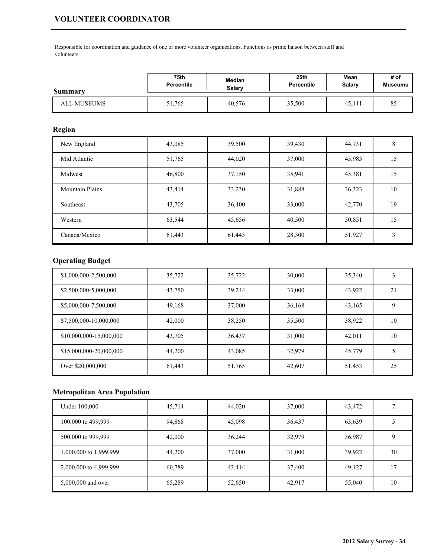# **VOLUNTEER COORDINATOR**

Responsible for coordination and guidance of one or more volunteer organizations. Functions as prime liaison between staff and volunteers.

| <b>Summary</b> | 75th              | Median | 25th       | Mean   | # of           |
|----------------|-------------------|--------|------------|--------|----------------|
|                | <b>Percentile</b> | Salarv | Percentile | Salary | <b>Museums</b> |
| ALL MUSEUMS    | 51,765            | 40,576 | 35,500     | 45,111 | 85             |

### **Region**

| New England            | 43,085 | 39,500 | 39,430 | 44,731 | 8  |
|------------------------|--------|--------|--------|--------|----|
| Mid Atlantic           | 51,765 | 44,020 | 37,000 | 45,983 | 15 |
| Midwest                | 46,800 | 37,150 | 35,941 | 45,381 | 15 |
| <b>Mountain Plains</b> | 43,414 | 33,230 | 31,888 | 36,323 | 10 |
| Southeast              | 43,705 | 36,400 | 33,000 | 42,770 | 19 |
| Western                | 63,544 | 45,656 | 40,500 | 50,851 | 15 |
| Canada/Mexico          | 61,443 | 61,443 | 28,300 | 51,927 | 3  |

# **Operating Budget**

| \$1,000,000-2,500,000   | 35,722 | 35,722 | 30,000 | 35,340 |    |
|-------------------------|--------|--------|--------|--------|----|
| \$2,500,000-5,000,000   | 43,750 | 39,244 | 33,000 | 43,922 | 21 |
| \$5,000,000-7,500,000   | 49,168 | 37,000 | 36,168 | 43,165 | 9  |
| \$7,500,000-10,000,000  | 42,000 | 38,250 | 35,500 | 38,922 | 10 |
| \$10,000,000-15,000,000 | 43,705 | 36,437 | 31,000 | 42,011 | 10 |
| \$15,000,000-20,000,000 | 44,200 | 43,085 | 32,979 | 45,779 | 5  |
| Over \$20,000,000       | 61,443 | 51,765 | 42,607 | 51,453 | 25 |

| Under 100,000          | 45,714 | 44,020 | 37,000 | 43,472 |    |
|------------------------|--------|--------|--------|--------|----|
| 100,000 to 499,999     | 94,868 | 45,098 | 36,437 | 63,639 |    |
| 500,000 to 999,999     | 42,000 | 36,244 | 32,979 | 36,987 |    |
| 1,000,000 to 1,999,999 | 44,200 | 37,000 | 31,000 | 39,922 | 30 |
| 2,000,000 to 4,999,999 | 60,789 | 43,414 | 37,400 | 49,127 | 17 |
| 5,000,000 and over     | 65,289 | 52,650 | 42,917 | 55,040 | 10 |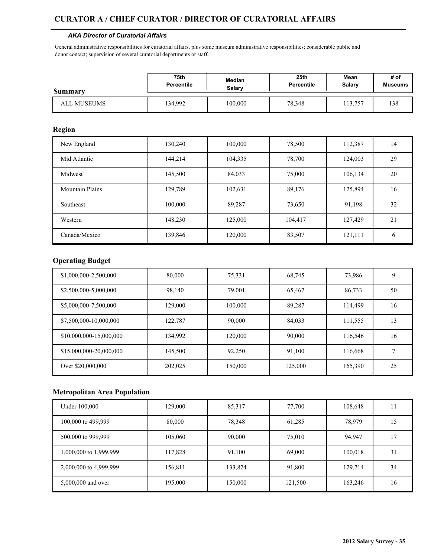### **CURATOR A / CHIEF CURATOR / DIRECTOR OF CURATORIAL AFFAIRS**

#### *AKA Director of Curatorial Affairs*

General administrative responsibilities for curatorial affairs, plus some museum administrative responsibilities; considerable public and donor contact; supervision of several curatorial departments or staff.

| <b>Summary</b> | 75th              | Median  | 25th              | Mean   | # of           |
|----------------|-------------------|---------|-------------------|--------|----------------|
|                | <b>Percentile</b> | Salary  | <b>Percentile</b> | Salary | <b>Museums</b> |
| ALL MUSEUMS    | 34,992            | 100,000 | 78,348            | 13.757 | 138            |

### **Region**

| New England            | 130,240 | 100,000 | 78,500  | 112,387 | 14            |
|------------------------|---------|---------|---------|---------|---------------|
| Mid Atlantic           | 144,214 | 104,335 | 78,700  | 124,003 | 29            |
| Midwest                | 145,500 | 84,033  | 75,000  | 106,134 | 20            |
| <b>Mountain Plains</b> | 129,789 | 102,631 | 89,176  | 125,894 | 16            |
| Southeast              | 100,000 | 89,287  | 73,650  | 91,198  | 32            |
| Western                | 148,230 | 125,000 | 104,417 | 127,429 | 21            |
| Canada/Mexico          | 139,846 | 120,000 | 83,507  | 121,111 | $\mathfrak b$ |

#### **Operating Budget**

| \$1,000,000-2,500,000   | 80,000  | 75,331  | 68,745  | 73,986  | 9  |
|-------------------------|---------|---------|---------|---------|----|
| \$2,500,000-5,000,000   | 98,140  | 79,001  | 65,467  | 86,733  | 50 |
| \$5,000,000-7,500,000   | 129,000 | 100,000 | 89,287  | 114,499 | 16 |
| \$7,500,000-10,000,000  | 122,787 | 90,000  | 84,033  | 111,555 | 13 |
| \$10,000,000-15,000,000 | 134,992 | 120,000 | 90,000  | 116,546 | 16 |
| \$15,000,000-20,000,000 | 145,500 | 92,250  | 91,100  | 116,668 | ⇁  |
| Over \$20,000,000       | 202,025 | 150,000 | 125,000 | 165,390 | 25 |

| Under 100,000          | 129,000 | 85,317  | 77,700  | 108,648 |    |
|------------------------|---------|---------|---------|---------|----|
| 100,000 to 499,999     | 80,000  | 78,348  | 61,285  | 78,979  | 15 |
| 500,000 to 999,999     | 105,060 | 90,000  | 75,010  | 94.947  | -7 |
| 1,000,000 to 1,999,999 | 117,828 | 91,100  | 69,000  | 100,018 | 31 |
| 2,000,000 to 4,999,999 | 156,811 | 133,824 | 91,800  | 129,714 | 34 |
| 5,000,000 and over     | 195,000 | 150,000 | 121,500 | 163,246 | 16 |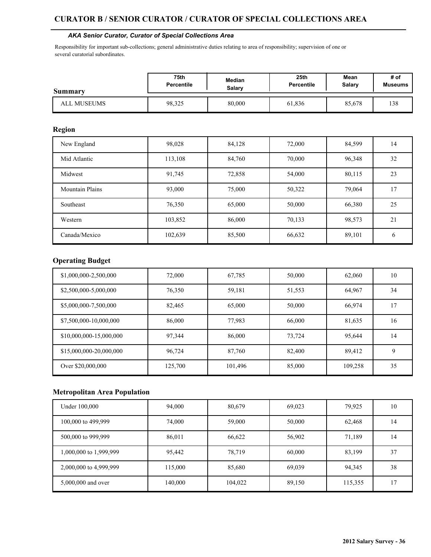#### **CURATOR B / SENIOR CURATOR / CURATOR OF SPECIAL COLLECTIONS AREA**

#### *AKA Senior Curator, Curator of Special Collections Area*

Responsibility for important sub-collections; general administrative duties relating to area of responsibility; supervision of one or several curatorial subordinates.

| Summary     | 75th              | Median | 25 <sub>th</sub>  | Mean   | # of    |
|-------------|-------------------|--------|-------------------|--------|---------|
|             | <b>Percentile</b> | Salary | <b>Percentile</b> | Salary | Museums |
| ALL MUSEUMS | 98,325            | 80,000 | 61,836            | 85,678 | 138     |

## **Region**

| New England            | 98,028  | 84,128 | 72,000 | 84,599 | 14 |
|------------------------|---------|--------|--------|--------|----|
| Mid Atlantic           | 113,108 | 84,760 | 70.000 | 96,348 | 32 |
| Midwest                | 91,745  | 72,858 | 54,000 | 80,115 | 23 |
| <b>Mountain Plains</b> | 93,000  | 75,000 | 50,322 | 79,064 | 17 |
| Southeast              | 76,350  | 65,000 | 50,000 | 66,380 | 25 |
| Western                | 103,852 | 86,000 | 70,133 | 98,573 | 21 |
| Canada/Mexico          | 102,639 | 85,500 | 66,632 | 89,101 | 6  |

#### **Operating Budget**

| \$1,000,000-2,500,000   | 72,000  | 67,785  | 50,000 | 62,060  | 10 |
|-------------------------|---------|---------|--------|---------|----|
| \$2,500,000-5,000,000   | 76,350  | 59,181  | 51,553 | 64,967  | 34 |
| \$5,000,000-7,500,000   | 82,465  | 65,000  | 50,000 | 66,974  | 17 |
| \$7,500,000-10,000,000  | 86,000  | 77,983  | 66,000 | 81,635  | 16 |
| \$10,000,000-15,000,000 | 97,344  | 86,000  | 73.724 | 95,644  | 14 |
| \$15,000,000-20,000,000 | 96.724  | 87,760  | 82,400 | 89,412  | 9  |
| Over \$20,000,000       | 125,700 | 101,496 | 85,000 | 109,258 | 35 |

| Under 100,000          | 94,000  | 80,679  | 69,023 | 79,925  | 10 |
|------------------------|---------|---------|--------|---------|----|
| 100,000 to 499,999     | 74,000  | 59,000  | 50,000 | 62,468  | 14 |
| 500,000 to 999,999     | 86,011  | 66,622  | 56,902 | 71,189  | 14 |
| 1,000,000 to 1,999,999 | 95,442  | 78,719  | 60,000 | 83,199  | 37 |
| 2,000,000 to 4,999,999 | 115,000 | 85,680  | 69,039 | 94,345  | 38 |
| 5,000,000 and over     | 140,000 | 104,022 | 89,150 | 115,355 | -7 |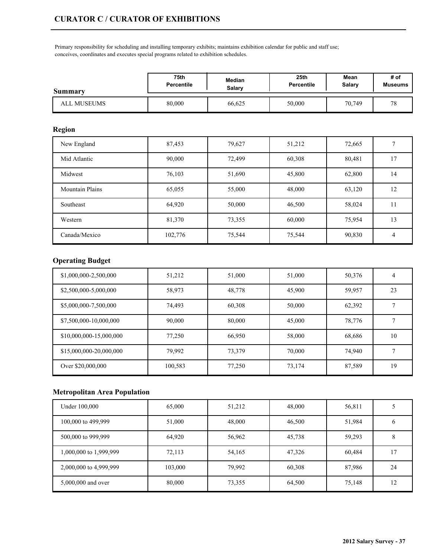Primary responsibility for scheduling and installing temporary exhibits; maintains exhibition calendar for public and staff use; conceives, coordinates and executes special programs related to exhibition schedules.

| Summary     | 75th              | Median | 25th       | Mean   | # of           |
|-------------|-------------------|--------|------------|--------|----------------|
|             | <b>Percentile</b> | Salarv | Percentile | Salary | <b>Museums</b> |
| ALL MUSEUMS | 80,000            | 66,625 | 50,000     | 70,749 | 70<br>◡        |

## **Region**

| New England            | 87,453  | 79,627 | 51,212 | 72,665 |    |
|------------------------|---------|--------|--------|--------|----|
| Mid Atlantic           | 90,000  | 72,499 | 60,308 | 80,481 | 17 |
| Midwest                | 76,103  | 51,690 | 45,800 | 62,800 | 14 |
| <b>Mountain Plains</b> | 65,055  | 55,000 | 48,000 | 63,120 | 12 |
| Southeast              | 64,920  | 50,000 | 46,500 | 58,024 | 11 |
| Western                | 81,370  | 73,355 | 60,000 | 75,954 | 13 |
| Canada/Mexico          | 102,776 | 75,544 | 75,544 | 90,830 | 4  |

# **Operating Budget**

| \$1,000,000-2,500,000   | 51,212  | 51,000 | 51,000 | 50,376 | 4  |
|-------------------------|---------|--------|--------|--------|----|
| \$2,500,000-5,000,000   | 58,973  | 48,778 | 45,900 | 59,957 | 23 |
| \$5,000,000-7,500,000   | 74.493  | 60,308 | 50,000 | 62,392 |    |
| \$7,500,000-10,000,000  | 90,000  | 80,000 | 45,000 | 78,776 |    |
| \$10,000,000-15,000,000 | 77,250  | 66,950 | 58,000 | 68,686 | 10 |
| \$15,000,000-20,000,000 | 79.992  | 73,379 | 70,000 | 74,940 |    |
| Over \$20,000,000       | 100,583 | 77,250 | 73,174 | 87,589 | 19 |

| Under 100,000          | 65,000  | 51,212 | 48,000 | 56,811 |    |
|------------------------|---------|--------|--------|--------|----|
| 100,000 to 499,999     | 51,000  | 48,000 | 46,500 | 51,984 |    |
| 500,000 to 999,999     | 64,920  | 56,962 | 45,738 | 59,293 |    |
| 1,000,000 to 1,999,999 | 72,113  | 54,165 | 47,326 | 60,484 | -7 |
| 2,000,000 to 4,999,999 | 103,000 | 79,992 | 60,308 | 87,986 | 24 |
| 5,000,000 and over     | 80,000  | 73,355 | 64,500 | 75,148 | 12 |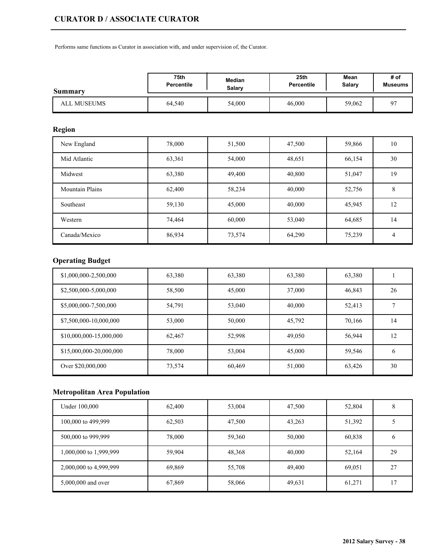Performs same functions as Curator in association with, and under supervision of, the Curator.

| Summary            | <b>75th</b> | Median | 25 <sub>th</sub>  | Mean   | # of           |
|--------------------|-------------|--------|-------------------|--------|----------------|
|                    | Percentile  | Salary | <b>Percentile</b> | Salary | <b>Museums</b> |
| <b>ALL MUSEUMS</b> | 64,540      | 54,000 | 46,000            | 59,062 | 07             |

## **Region**

| New England            | 78,000 | 51,500 | 47,500 | 59,866 | 10 |
|------------------------|--------|--------|--------|--------|----|
| Mid Atlantic           | 63,361 | 54,000 | 48,651 | 66,154 | 30 |
| Midwest                | 63,380 | 49,400 | 40,800 | 51,047 | 19 |
| <b>Mountain Plains</b> | 62,400 | 58,234 | 40,000 | 52,756 | 8  |
| Southeast              | 59,130 | 45,000 | 40,000 | 45,945 | 12 |
| Western                | 74,464 | 60,000 | 53,040 | 64,685 | 14 |
| Canada/Mexico          | 86,934 | 73,574 | 64,290 | 75,239 | 4  |

# **Operating Budget**

| \$1,000,000-2,500,000   | 63,380 | 63,380 | 63,380 | 63,380 |    |
|-------------------------|--------|--------|--------|--------|----|
| \$2,500,000-5,000,000   | 58,500 | 45,000 | 37,000 | 46,843 | 26 |
| \$5,000,000-7,500,000   | 54.791 | 53,040 | 40,000 | 52,413 |    |
| \$7,500,000-10,000,000  | 53,000 | 50,000 | 45,792 | 70,166 | 14 |
| \$10,000,000-15,000,000 | 62,467 | 52,998 | 49,050 | 56,944 | 12 |
| \$15,000,000-20,000,000 | 78,000 | 53,004 | 45,000 | 59,546 | 6  |
| Over \$20,000,000       | 73,574 | 60,469 | 51,000 | 63,426 | 30 |

| Under 100,000          | 62,400 | 53,004 | 47,500 | 52,804 |         |
|------------------------|--------|--------|--------|--------|---------|
| 100,000 to 499,999     | 62,503 | 47,500 | 43,263 | 51,392 |         |
| 500,000 to 999,999     | 78,000 | 59,360 | 50,000 | 60,838 | $\circ$ |
| 1,000,000 to 1,999,999 | 59,904 | 48,368 | 40,000 | 52,164 | 29      |
| 2,000,000 to 4,999,999 | 69,869 | 55,708 | 49,400 | 69,051 | 27      |
| 5,000,000 and over     | 67,869 | 58,066 | 49,631 | 61,271 | 17      |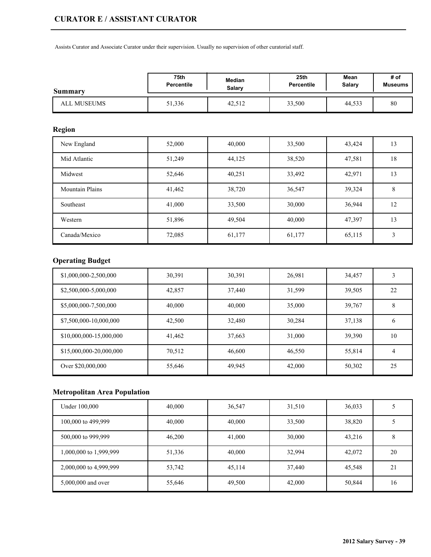Assists Curator and Associate Curator under their supervision. Usually no supervision of other curatorial staff.

| Summary     | 75th              | Median        | 25 <sub>th</sub> | Mean          | # of           |
|-------------|-------------------|---------------|------------------|---------------|----------------|
|             | <b>Percentile</b> | <b>Salary</b> | Percentile       | <b>Salary</b> | <b>Museums</b> |
| ALL MUSEUMS | 51,336            | 42,512        | 33,500           | 44,533        | 80             |

## **Region**

| New England            | 52,000 | 40,000 | 33,500 | 43,424 | 13 |
|------------------------|--------|--------|--------|--------|----|
| Mid Atlantic           | 51,249 | 44,125 | 38,520 | 47,581 | 18 |
| Midwest                | 52,646 | 40,251 | 33,492 | 42,971 | 13 |
| <b>Mountain Plains</b> | 41,462 | 38,720 | 36,547 | 39,324 | 8  |
| Southeast              | 41,000 | 33,500 | 30,000 | 36,944 | 12 |
| Western                | 51,896 | 49,504 | 40,000 | 47,397 | 13 |
| Canada/Mexico          | 72,085 | 61,177 | 61,177 | 65,115 | 3  |

# **Operating Budget**

| \$1,000,000-2,500,000   | 30,391 | 30,391 | 26,981 | 34,457 |    |
|-------------------------|--------|--------|--------|--------|----|
| \$2,500,000-5,000,000   | 42,857 | 37,440 | 31.599 | 39,505 | 22 |
| \$5,000,000-7,500,000   | 40,000 | 40,000 | 35,000 | 39,767 | 8  |
| \$7,500,000-10,000,000  | 42,500 | 32,480 | 30,284 | 37,138 | 6  |
| \$10,000,000-15,000,000 | 41,462 | 37,663 | 31,000 | 39,390 | 10 |
| \$15,000,000-20,000,000 | 70,512 | 46,600 | 46,550 | 55,814 | 4  |
| Over \$20,000,000       | 55,646 | 49,945 | 42,000 | 50,302 | 25 |

| Under 100,000          | 40,000 | 36,547 | 31,510 | 36,033 |    |
|------------------------|--------|--------|--------|--------|----|
| 100,000 to 499,999     | 40,000 | 40,000 | 33,500 | 38,820 |    |
| 500,000 to 999,999     | 46,200 | 41,000 | 30,000 | 43,216 | 8  |
| 1,000,000 to 1,999,999 | 51,336 | 40,000 | 32,994 | 42,072 | 20 |
| 2,000,000 to 4,999,999 | 53,742 | 45,114 | 37,440 | 45,548 | 21 |
| 5,000,000 and over     | 55,646 | 49,500 | 42,000 | 50,844 | 16 |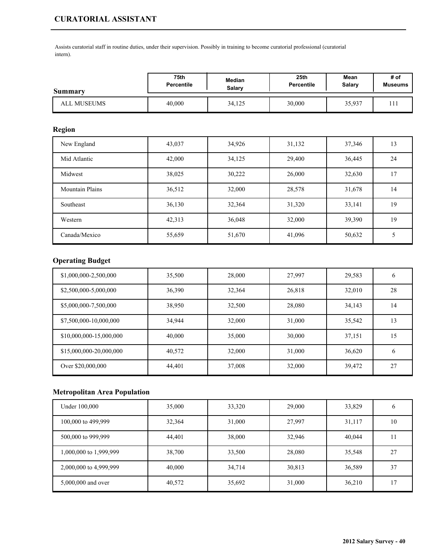# **CURATORIAL ASSISTANT**

Assists curatorial staff in routine duties, under their supervision. Possibly in training to become curatorial professional (curatorial intern).

| Summary     | 75th              | Median | 25 <sub>th</sub> | Mean          | # of           |
|-------------|-------------------|--------|------------------|---------------|----------------|
|             | <b>Percentile</b> | Salarv | Percentile       | <b>Salary</b> | <b>Museums</b> |
| ALL MUSEUMS | 40,000            | 34,125 | 30,000           | 35,937        |                |

### **Region**

| New England            | 43,037 | 34,926 | 31,132 | 37,346 | 13 |
|------------------------|--------|--------|--------|--------|----|
| Mid Atlantic           | 42,000 | 34,125 | 29,400 | 36,445 | 24 |
| Midwest                | 38,025 | 30,222 | 26,000 | 32,630 | 17 |
| <b>Mountain Plains</b> | 36,512 | 32,000 | 28,578 | 31,678 | 14 |
| Southeast              | 36,130 | 32,364 | 31,320 | 33,141 | 19 |
| Western                | 42,313 | 36,048 | 32,000 | 39,390 | 19 |
| Canada/Mexico          | 55,659 | 51,670 | 41,096 | 50,632 |    |

# **Operating Budget**

| \$1,000,000-2,500,000   | 35,500 | 28,000 | 27,997 | 29,583 | 6  |
|-------------------------|--------|--------|--------|--------|----|
| \$2,500,000-5,000,000   | 36,390 | 32,364 | 26,818 | 32,010 | 28 |
| \$5,000,000-7,500,000   | 38,950 | 32,500 | 28,080 | 34,143 | 14 |
| \$7,500,000-10,000,000  | 34,944 | 32,000 | 31,000 | 35,542 | 13 |
| \$10,000,000-15,000,000 | 40,000 | 35,000 | 30,000 | 37,151 | 15 |
| \$15,000,000-20,000,000 | 40,572 | 32,000 | 31,000 | 36,620 | 6  |
| Over \$20,000,000       | 44,401 | 37,008 | 32,000 | 39,472 | 27 |

| Under 100,000          | 35,000 | 33,320 | 29,000 | 33,829 |    |
|------------------------|--------|--------|--------|--------|----|
| 100,000 to 499,999     | 32,364 | 31,000 | 27,997 | 31,117 | 10 |
| 500,000 to 999,999     | 44,401 | 38,000 | 32,946 | 40,044 |    |
| 1,000,000 to 1,999,999 | 38,700 | 33,500 | 28,080 | 35,548 | 27 |
| 2,000,000 to 4,999,999 | 40,000 | 34,714 | 30,813 | 36,589 | 37 |
| 5,000,000 and over     | 40,572 | 35,692 | 31,000 | 36,210 | רו |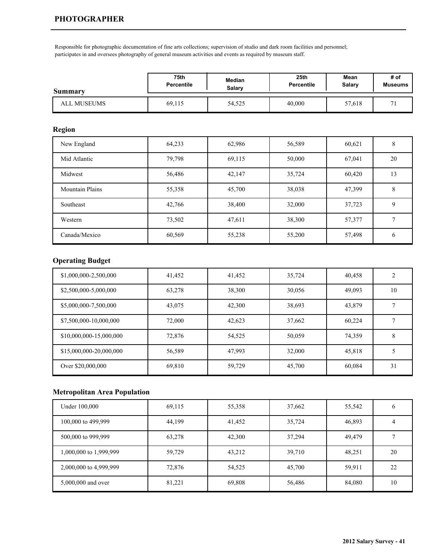Responsible for photographic documentation of fine arts collections; supervision of studio and dark room facilities and personnel; participates in and oversees photography of general museum activities and events as required by museum staff.

| <b>Summary</b>     | 75th              | Median | 25 <sub>th</sub> | Mean   | # of         |
|--------------------|-------------------|--------|------------------|--------|--------------|
|                    | <b>Percentile</b> | Salarv | Percentile       | Salary | Museums      |
| <b>ALL MUSEUMS</b> | 69,115            | 54,525 | 40,000           | 57,618 | $\mathbf{r}$ |

## **Region**

| New England            | 64,233 | 62,986 | 56,589 | 60,621 | 8  |
|------------------------|--------|--------|--------|--------|----|
| Mid Atlantic           | 79,798 | 69,115 | 50,000 | 67,041 | 20 |
| Midwest                | 56,486 | 42,147 | 35,724 | 60,420 | 13 |
| <b>Mountain Plains</b> | 55,358 | 45,700 | 38,038 | 47,399 | 8  |
| Southeast              | 42,766 | 38,400 | 32,000 | 37,723 | 9  |
| Western                | 73,502 | 47,611 | 38,300 | 57,377 |    |
| Canada/Mexico          | 60,569 | 55,238 | 55,200 | 57,498 | 6  |

# **Operating Budget**

| \$1,000,000-2,500,000   | 41,452 | 41,452 | 35,724 | 40,458 | $\overline{2}$ |
|-------------------------|--------|--------|--------|--------|----------------|
| \$2,500,000-5,000,000   | 63,278 | 38,300 | 30,056 | 49,093 | 10             |
| \$5,000,000-7,500,000   | 43,075 | 42,300 | 38,693 | 43,879 |                |
| \$7,500,000-10,000,000  | 72,000 | 42,623 | 37,662 | 60,224 |                |
| \$10,000,000-15,000,000 | 72,876 | 54,525 | 50,059 | 74,359 | 8              |
| \$15,000,000-20,000,000 | 56,589 | 47,993 | 32,000 | 45,818 | 5              |
| Over \$20,000,000       | 69,810 | 59,729 | 45,700 | 60,084 | 31             |

| Under 100,000          | 69,115 | 55,358 | 37,662 | 55,542 |    |
|------------------------|--------|--------|--------|--------|----|
| 100,000 to 499,999     | 44,199 | 41,452 | 35,724 | 46,893 | 4  |
| 500,000 to 999,999     | 63,278 | 42,300 | 37,294 | 49,479 |    |
| 1,000,000 to 1,999,999 | 59,729 | 43,212 | 39,710 | 48,251 | 20 |
| 2,000,000 to 4,999,999 | 72,876 | 54,525 | 45,700 | 59,911 | 22 |
| 5,000,000 and over     | 81,221 | 69,808 | 56,486 | 84,080 | 10 |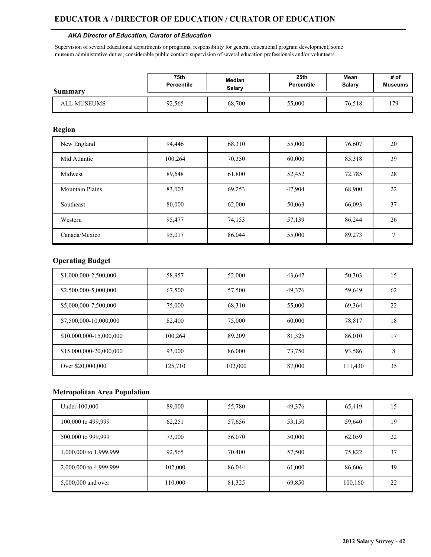#### *AKA Director of Education, Curator of Education*

Supervision of several educational departments or programs; responsibility for general educational program development; some museum administrative duties; considerable public contact; supervision of several education professionals and/or volunteers.

| <b>Summary</b> | 75th              | Median | 25 <sub>th</sub> | Mean   | # of           |
|----------------|-------------------|--------|------------------|--------|----------------|
|                | <b>Percentile</b> | Salarv | Percentile       | Salary | <b>Museums</b> |
| ALL MUSEUMS    | 92,565            | 68,700 | 55,000           | 76,518 | 170            |

#### **Region**

| New England            | 94,446  | 68,310 | 55,000 | 76,607 | 20 |
|------------------------|---------|--------|--------|--------|----|
| Mid Atlantic           | 100,264 | 70,350 | 60,000 | 85,318 | 39 |
| Midwest                | 89,648  | 61,800 | 52,452 | 72,785 | 28 |
| <b>Mountain Plains</b> | 83,003  | 69,253 | 47,904 | 68,900 | 22 |
| Southeast              | 80,000  | 62,000 | 50,063 | 66,093 | 37 |
| Western                | 95,477  | 74,153 | 57,139 | 86,244 | 26 |
| Canada/Mexico          | 95,017  | 86,044 | 55,000 | 89,273 | 7  |

## **Operating Budget**

| \$1,000,000-2,500,000   | 58,957  | 52,000  | 43,647 | 50,303  | 15 |
|-------------------------|---------|---------|--------|---------|----|
| \$2,500,000-5,000,000   | 67,500  | 57,500  | 49,376 | 59,649  | 62 |
| \$5,000,000-7,500,000   | 75,000  | 68,310  | 55,000 | 69,364  | 22 |
| \$7,500,000-10,000,000  | 82,400  | 75,000  | 60,000 | 78,817  | 18 |
| \$10,000,000-15,000,000 | 100,264 | 89,209  | 81,325 | 86,010  | 17 |
| \$15,000,000-20,000,000 | 93,000  | 86,000  | 73,750 | 93,586  | 8  |
| Over \$20,000,000       | 125,710 | 102,000 | 87,000 | 111,430 | 35 |

| Under 100,000          | 89,000  | 55,780 | 49,376 | 65,419  | 15 |
|------------------------|---------|--------|--------|---------|----|
| 100,000 to 499,999     | 62,251  | 57,656 | 53,150 | 59,640  | 19 |
| 500,000 to 999,999     | 73,000  | 56,070 | 50,000 | 62,059  | 22 |
| 1,000,000 to 1,999,999 | 92,565  | 70,400 | 57,500 | 75,822  | 37 |
| 2,000,000 to 4,999,999 | 102,000 | 86,044 | 61,000 | 86,606  | 49 |
| 5,000,000 and over     | 110,000 | 81,325 | 69,850 | 100,160 | 22 |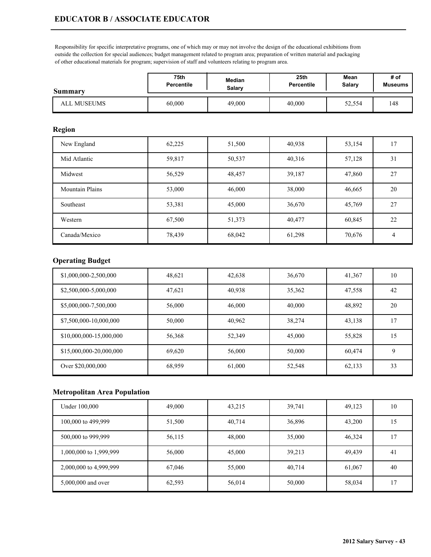Responsibility for specific interpretative programs, one of which may or may not involve the design of the educational exhibitions from outside the collection for special audiences; budget management related to program area; preparation of written material and packaging of other educational materials for program; supervision of staff and volunteers relating to program area.

| <b>Summary</b> | 75th              | Median | 25th       | Mean   | # of           |
|----------------|-------------------|--------|------------|--------|----------------|
|                | <b>Percentile</b> | Salary | Percentile | Salary | <b>Museums</b> |
| ALL MUSEUMS    | 60,000            | 49,000 | 40,000     | 52,554 | 148            |

#### **Region**

| New England            | 62,225 | 51,500 | 40,938 | 53,154 | 17 |
|------------------------|--------|--------|--------|--------|----|
| Mid Atlantic           | 59,817 | 50,537 | 40,316 | 57,128 | 31 |
| Midwest                | 56,529 | 48,457 | 39,187 | 47,860 | 27 |
| <b>Mountain Plains</b> | 53,000 | 46,000 | 38,000 | 46,665 | 20 |
| Southeast              | 53,381 | 45,000 | 36,670 | 45,769 | 27 |
| Western                | 67,500 | 51,373 | 40,477 | 60,845 | 22 |
| Canada/Mexico          | 78,439 | 68,042 | 61,298 | 70,676 | 4  |

## **Operating Budget**

| \$1,000,000-2,500,000   | 48,621 | 42,638 | 36,670 | 41,367 | 10 |
|-------------------------|--------|--------|--------|--------|----|
| \$2,500,000-5,000,000   | 47,621 | 40,938 | 35,362 | 47,558 | 42 |
| \$5,000,000-7,500,000   | 56,000 | 46,000 | 40,000 | 48,892 | 20 |
| \$7,500,000-10,000,000  | 50,000 | 40,962 | 38,274 | 43,138 | 17 |
| \$10,000,000-15,000,000 | 56,368 | 52,349 | 45,000 | 55,828 | 15 |
| \$15,000,000-20,000,000 | 69.620 | 56,000 | 50,000 | 60,474 | 9  |
| Over \$20,000,000       | 68,959 | 61,000 | 52,548 | 62,133 | 33 |

| Under 100,000          | 49,000 | 43,215 | 39,741 | 49,123 | 10             |
|------------------------|--------|--------|--------|--------|----------------|
| 100,000 to 499,999     | 51,500 | 40,714 | 36,896 | 43,200 | 15             |
| 500,000 to 999,999     | 56,115 | 48,000 | 35,000 | 46,324 | -7             |
| 1,000,000 to 1,999,999 | 56,000 | 45,000 | 39,213 | 49,439 | 4 <sup>1</sup> |
| 2,000,000 to 4,999,999 | 67,046 | 55,000 | 40,714 | 61,067 | 40             |
| 5,000,000 and over     | 62,593 | 56,014 | 50,000 | 58,034 | 17             |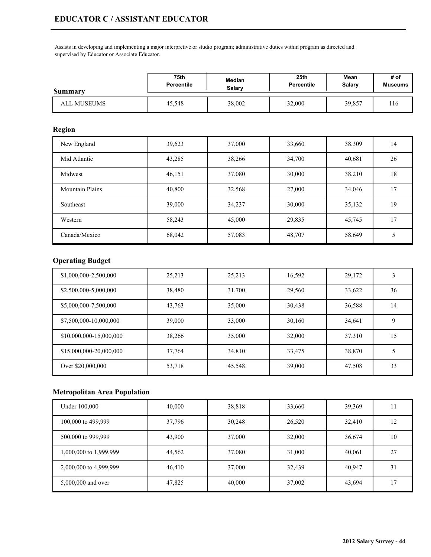Assists in developing and implementing a major interpretive or studio program; administrative duties within program as directed and supervised by Educator or Associate Educator.

| Summary     | 75th              | Median | 25 <sub>th</sub> | Mean   | # of           |
|-------------|-------------------|--------|------------------|--------|----------------|
|             | <b>Percentile</b> | Salarv | Percentile       | Salary | <b>Museums</b> |
| ALL MUSEUMS | 45,548            | 38,002 | 32,000           | 39,857 | 116            |

### **Region**

| New England            | 39,623 | 37,000 | 33,660 | 38,309 | 14 |
|------------------------|--------|--------|--------|--------|----|
| Mid Atlantic           | 43,285 | 38,266 | 34,700 | 40,681 | 26 |
| Midwest                | 46,151 | 37,080 | 30,000 | 38,210 | 18 |
| <b>Mountain Plains</b> | 40,800 | 32,568 | 27,000 | 34,046 | 17 |
| Southeast              | 39,000 | 34,237 | 30,000 | 35,132 | 19 |
| Western                | 58,243 | 45,000 | 29,835 | 45,745 | 17 |
| Canada/Mexico          | 68,042 | 57,083 | 48,707 | 58,649 |    |

# **Operating Budget**

| \$1,000,000-2,500,000   | 25,213 | 25,213 | 16,592 | 29,172 | 3  |
|-------------------------|--------|--------|--------|--------|----|
| \$2,500,000-5,000,000   | 38,480 | 31,700 | 29,560 | 33,622 | 36 |
| \$5,000,000-7,500,000   | 43,763 | 35,000 | 30,438 | 36,588 | 14 |
| \$7,500,000-10,000,000  | 39,000 | 33,000 | 30,160 | 34,641 | 9  |
| \$10,000,000-15,000,000 | 38,266 | 35,000 | 32,000 | 37,310 | 15 |
| \$15,000,000-20,000,000 | 37,764 | 34,810 | 33,475 | 38,870 | 5  |
| Over \$20,000,000       | 53,718 | 45,548 | 39,000 | 47,508 | 33 |

| Under 100,000          | 40,000 | 38,818 | 33,660 | 39,369 |        |
|------------------------|--------|--------|--------|--------|--------|
| 100,000 to 499,999     | 37,796 | 30,248 | 26,520 | 32,410 | 12     |
| 500,000 to 999,999     | 43,900 | 37,000 | 32,000 | 36,674 | 10     |
| 1,000,000 to 1,999,999 | 44,562 | 37,080 | 31,000 | 40,061 | 27     |
| 2,000,000 to 4,999,999 | 46,410 | 37,000 | 32,439 | 40,947 | 31     |
| 5,000,000 and over     | 47,825 | 40,000 | 37,002 | 43,694 | $\tau$ |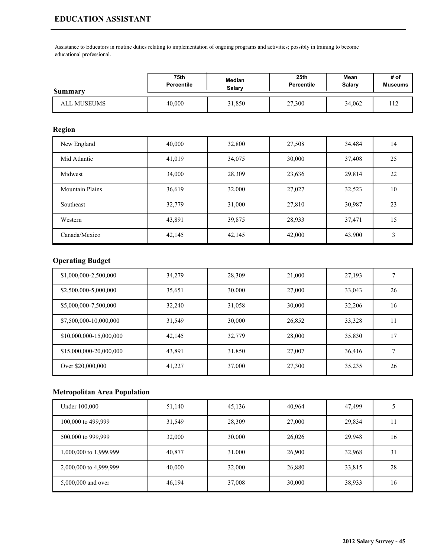# **EDUCATION ASSISTANT**

Assistance to Educators in routine duties relating to implementation of ongoing programs and activities; possibly in training to become educational professional.

| Summary     | <b>75th</b> | Median | 25th       | Mean   | # of           |
|-------------|-------------|--------|------------|--------|----------------|
|             | Percentile  | Salarv | Percentile | Salary | <b>Museums</b> |
| ALL MUSEUMS | 40,000      | 31,850 | 27,300     | 34,062 | $\sim$<br>.    |

### **Region**

| New England            | 40,000 | 32,800 | 27,508 | 34,484 | 14 |
|------------------------|--------|--------|--------|--------|----|
| Mid Atlantic           | 41,019 | 34,075 | 30,000 | 37,408 | 25 |
| Midwest                | 34,000 | 28,309 | 23,636 | 29,814 | 22 |
| <b>Mountain Plains</b> | 36,619 | 32,000 | 27,027 | 32,523 | 10 |
| Southeast              | 32,779 | 31,000 | 27,810 | 30,987 | 23 |
| Western                | 43,891 | 39,875 | 28,933 | 37,471 | 15 |
| Canada/Mexico          | 42,145 | 42,145 | 42,000 | 43,900 | 3  |

# **Operating Budget**

| \$1,000,000-2,500,000   | 34,279 | 28,309 | 21,000 | 27,193 |    |
|-------------------------|--------|--------|--------|--------|----|
| \$2,500,000-5,000,000   | 35,651 | 30,000 | 27,000 | 33,043 | 26 |
| \$5,000,000-7,500,000   | 32,240 | 31,058 | 30,000 | 32,206 | 16 |
| \$7,500,000-10,000,000  | 31,549 | 30,000 | 26,852 | 33,328 | 11 |
| \$10,000,000-15,000,000 | 42,145 | 32,779 | 28,000 | 35,830 | 17 |
| \$15,000,000-20,000,000 | 43,891 | 31,850 | 27,007 | 36,416 |    |
| Over \$20,000,000       | 41,227 | 37,000 | 27,300 | 35,235 | 26 |

| Under 100,000          | 51,140 | 45,136 | 40,964 | 47,499 |    |
|------------------------|--------|--------|--------|--------|----|
| 100,000 to 499,999     | 31,549 | 28,309 | 27,000 | 29,834 |    |
| 500,000 to 999,999     | 32,000 | 30,000 | 26,026 | 29,948 | 16 |
| 1,000,000 to 1,999,999 | 40,877 | 31,000 | 26,900 | 32,968 | 31 |
| 2,000,000 to 4,999,999 | 40,000 | 32,000 | 26,880 | 33,815 | 28 |
| 5,000,000 and over     | 46,194 | 37,008 | 30,000 | 38,933 | 16 |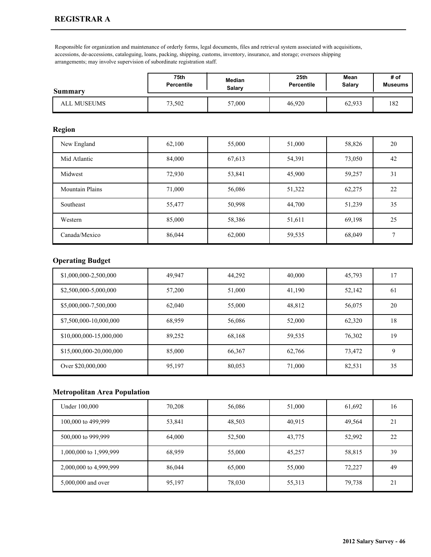Responsible for organization and maintenance of orderly forms, legal documents, files and retrieval system associated with acquisitions, accessions, de-accessions, cataloguing, loans, packing, shipping, customs, inventory, insurance, and storage; oversees shipping arrangements; may involve supervision of subordinate registration staff.

| <b>Summary</b>     | 75th              | Median | 25th       | Mean   | # of           |
|--------------------|-------------------|--------|------------|--------|----------------|
|                    | <b>Percentile</b> | Salary | Percentile | Salary | <b>Museums</b> |
| <b>ALL MUSEUMS</b> | 73,502            | 57,000 | 46,920     | 62,933 | 182            |

### **Region**

| New England            | 62,100 | 55,000 | 51,000 | 58,826 | 20 |
|------------------------|--------|--------|--------|--------|----|
| Mid Atlantic           | 84,000 | 67,613 | 54,391 | 73,050 | 42 |
| Midwest                | 72,930 | 53,841 | 45,900 | 59,257 | 31 |
| <b>Mountain Plains</b> | 71,000 | 56,086 | 51,322 | 62,275 | 22 |
| Southeast              | 55,477 | 50,998 | 44,700 | 51,239 | 35 |
| Western                | 85,000 | 58,386 | 51,611 | 69,198 | 25 |
| Canada/Mexico          | 86,044 | 62,000 | 59,535 | 68,049 |    |

### **Operating Budget**

| \$1,000,000-2,500,000   | 49.947 | 44,292 | 40,000 | 45,793 | 17 |
|-------------------------|--------|--------|--------|--------|----|
| \$2,500,000-5,000,000   | 57,200 | 51,000 | 41,190 | 52,142 | 61 |
| \$5,000,000-7,500,000   | 62,040 | 55,000 | 48,812 | 56,075 | 20 |
| \$7,500,000-10,000,000  | 68,959 | 56,086 | 52,000 | 62,320 | 18 |
| \$10,000,000-15,000,000 | 89,252 | 68,168 | 59,535 | 76,302 | 19 |
| \$15,000,000-20,000,000 | 85,000 | 66,367 | 62,766 | 73,472 | 9  |
| Over \$20,000,000       | 95,197 | 80,053 | 71,000 | 82,531 | 35 |

| Under 100,000          | 70,208 | 56,086 | 51,000 | 61,692 | 16 |
|------------------------|--------|--------|--------|--------|----|
| 100,000 to 499,999     | 53,841 | 48,503 | 40,915 | 49,564 | 21 |
| 500,000 to 999,999     | 64,000 | 52,500 | 43,775 | 52,992 | 22 |
| 1,000,000 to 1,999,999 | 68,959 | 55,000 | 45,257 | 58,815 | 39 |
| 2,000,000 to 4,999,999 | 86,044 | 65,000 | 55,000 | 72,227 | 49 |
| 5,000,000 and over     | 95,197 | 78,030 | 55,313 | 79,738 | 21 |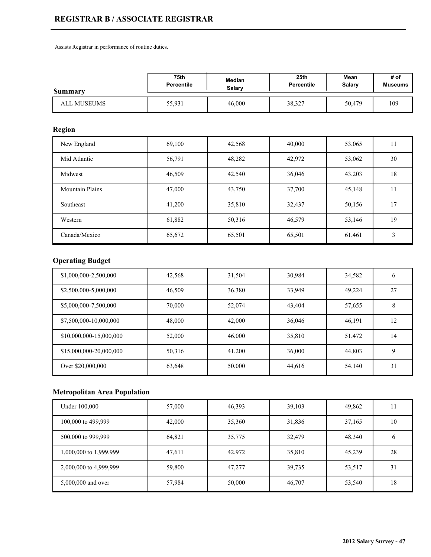# **REGISTRAR B / ASSOCIATE REGISTRAR**

Assists Registrar in performance of routine duties.

| <b>Summary</b> | 75th              | Median | 25 <sub>th</sub> | Mean          | # of    |
|----------------|-------------------|--------|------------------|---------------|---------|
|                | <b>Percentile</b> | Salary | Percentile       | <b>Salary</b> | Museums |
| ALL MUSEUMS    | 55,931            | 46,000 | 38,327           | 50,479        | 109     |

## **Region**

| New England            | 69,100 | 42,568 | 40,000 | 53,065 | 11 |
|------------------------|--------|--------|--------|--------|----|
| Mid Atlantic           | 56,791 | 48,282 | 42,972 | 53,062 | 30 |
| Midwest                | 46,509 | 42,540 | 36,046 | 43,203 | 18 |
| <b>Mountain Plains</b> | 47,000 | 43,750 | 37,700 | 45,148 |    |
| Southeast              | 41,200 | 35,810 | 32,437 | 50,156 | 17 |
| Western                | 61,882 | 50,316 | 46,579 | 53,146 | 19 |
| Canada/Mexico          | 65,672 | 65,501 | 65,501 | 61,461 | 3  |

# **Operating Budget**

| \$1,000,000-2,500,000   | 42,568 | 31,504 | 30,984 | 34,582 | 6  |
|-------------------------|--------|--------|--------|--------|----|
| \$2,500,000-5,000,000   | 46,509 | 36,380 | 33,949 | 49,224 | 27 |
| \$5,000,000-7,500,000   | 70,000 | 52,074 | 43,404 | 57,655 | 8  |
| \$7,500,000-10,000,000  | 48,000 | 42,000 | 36,046 | 46,191 | 12 |
| \$10,000,000-15,000,000 | 52,000 | 46,000 | 35,810 | 51,472 | 14 |
| \$15,000,000-20,000,000 | 50,316 | 41,200 | 36,000 | 44,803 | 9  |
| Over \$20,000,000       | 63,648 | 50,000 | 44,616 | 54,140 | 31 |

| Under 100,000          | 57,000 | 46,393 | 39,103 | 49,862 |    |
|------------------------|--------|--------|--------|--------|----|
| 100,000 to 499,999     | 42,000 | 35,360 | 31,836 | 37,165 | 10 |
| 500,000 to 999,999     | 64,821 | 35,775 | 32,479 | 48,340 |    |
| 1,000,000 to 1,999,999 | 47,611 | 42,972 | 35,810 | 45,239 | 28 |
| 2,000,000 to 4,999,999 | 59,800 | 47,277 | 39,735 | 53,517 | 31 |
| 5,000,000 and over     | 57,984 | 50,000 | 46,707 | 53,540 | 18 |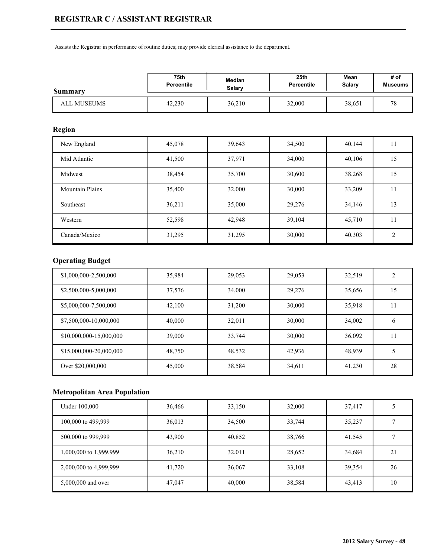Assists the Registrar in performance of routine duties; may provide clerical assistance to the department.

| <b>Summary</b>     | 75th              | Median | 25 <sub>th</sub> | Mean   | # of           |
|--------------------|-------------------|--------|------------------|--------|----------------|
|                    | <b>Percentile</b> | Salary | Percentile       | Salary | <b>Museums</b> |
| <b>ALL MUSEUMS</b> | 42,230            | 36,210 | 32,000           | 38,651 | 70<br>۰ ت      |

## **Region**

| New England            | 45,078 | 39,643 | 34,500 | 40,144 | 11             |
|------------------------|--------|--------|--------|--------|----------------|
| Mid Atlantic           | 41,500 | 37,971 | 34,000 | 40,106 | 15             |
| Midwest                | 38,454 | 35,700 | 30,600 | 38,268 | 15             |
| <b>Mountain Plains</b> | 35,400 | 32,000 | 30,000 | 33,209 |                |
| Southeast              | 36,211 | 35,000 | 29,276 | 34,146 | 13             |
| Western                | 52,598 | 42,948 | 39,104 | 45,710 | 11             |
| Canada/Mexico          | 31,295 | 31,295 | 30,000 | 40,303 | $\overline{c}$ |

# **Operating Budget**

| \$1,000,000-2,500,000   | 35,984 | 29,053 | 29,053 | 32,519 | 2  |
|-------------------------|--------|--------|--------|--------|----|
| \$2,500,000-5,000,000   | 37,576 | 34,000 | 29,276 | 35,656 | 15 |
| \$5,000,000-7,500,000   | 42,100 | 31,200 | 30,000 | 35,918 | 11 |
| \$7,500,000-10,000,000  | 40,000 | 32,011 | 30,000 | 34,002 | 6  |
| \$10,000,000-15,000,000 | 39,000 | 33,744 | 30,000 | 36,092 | 11 |
| \$15,000,000-20,000,000 | 48,750 | 48,532 | 42,936 | 48,939 | 5  |
| Over \$20,000,000       | 45,000 | 38,584 | 34,611 | 41,230 | 28 |

| Under 100,000          | 36,466 | 33,150 | 32,000 | 37,417 |    |
|------------------------|--------|--------|--------|--------|----|
| 100,000 to 499,999     | 36,013 | 34,500 | 33,744 | 35,237 |    |
| 500,000 to 999,999     | 43,900 | 40,852 | 38,766 | 41,545 |    |
| 1,000,000 to 1,999,999 | 36,210 | 32,011 | 28,652 | 34,684 | 21 |
| 2,000,000 to 4,999,999 | 41,720 | 36,067 | 33,108 | 39,354 | 26 |
| 5,000,000 and over     | 47,047 | 40,000 | 38,584 | 43,413 | 10 |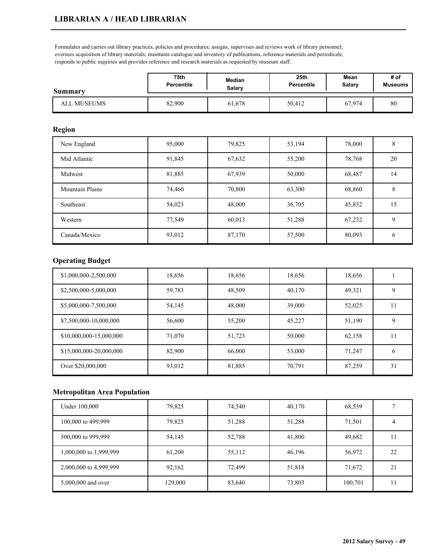Formulates and carries out library practices, policies and procedures; assigns, supervises and reviews work of library personnel; oversees acquisition of library materials; maintains catalogue and inventory of publications, reference materials and periodicals; responds to public inquiries and provides reference and research materials as requested by museum staff.

| <b>Summary</b> | 75th              | Median | 25th       | Mean   | # of           |
|----------------|-------------------|--------|------------|--------|----------------|
|                | <b>Percentile</b> | Salarv | Percentile | Salary | <b>Museums</b> |
| ALL MUSEUMS    | 82,900            | 61,678 | 50,412     | 67,974 | 80             |

### **Region**

| New England            | 95,000 | 79,825 | 53,194 | 78,000 | 8             |
|------------------------|--------|--------|--------|--------|---------------|
| Mid Atlantic           | 91,845 | 67,632 | 55,200 | 78,768 | 20            |
| Midwest                | 81,885 | 67,939 | 50,000 | 68,487 | 14            |
| <b>Mountain Plains</b> | 74,460 | 70,800 | 63,300 | 68,860 | 8             |
| Southeast              | 54,023 | 48,000 | 36,705 | 45,832 | 15            |
| Western                | 77,549 | 60,013 | 51,288 | 67,232 | 9             |
| Canada/Mexico          | 93,012 | 87,170 | 57,500 | 80,093 | $\mathfrak b$ |

## **Operating Budget**

| \$1,000,000-2,500,000   | 18,656 | 18,656 | 18,656 | 18,656 |    |
|-------------------------|--------|--------|--------|--------|----|
| \$2,500,000-5,000,000   | 59,783 | 48,509 | 40,170 | 49,321 | 9  |
| \$5,000,000-7,500,000   | 54,145 | 48,000 | 39,000 | 52,025 | 11 |
| \$7,500,000-10,000,000  | 56,600 | 55,200 | 45,227 | 51,190 | 9  |
| \$10,000,000-15,000,000 | 71,070 | 51,723 | 50,000 | 62,158 | 11 |
| \$15,000,000-20,000,000 | 82,900 | 66,000 | 53,000 | 71.247 | 6  |
| Over \$20,000,000       | 93,012 | 81,885 | 70,791 | 87,259 | 31 |

| Under 100,000          | 79,825  | 74,540 | 40,170 | 68,539  |    |
|------------------------|---------|--------|--------|---------|----|
| 100,000 to 499,999     | 79,825  | 51,288 | 51,288 | 71,501  |    |
| 500,000 to 999,999     | 54,145  | 52,788 | 41,800 | 49,682  |    |
| 1,000,000 to 1,999,999 | 61,200  | 55,112 | 46,196 | 56,972  | 22 |
| 2,000,000 to 4,999,999 | 92,162  | 72,499 | 51,818 | 71,672  | 21 |
| 5,000,000 and over     | 129,000 | 83,640 | 73,803 | 100,701 |    |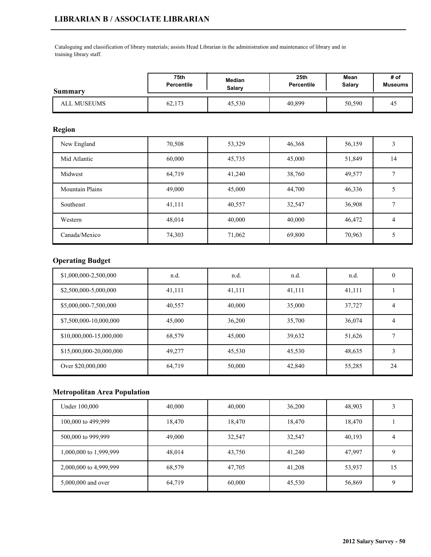Cataloguing and classification of library materials; assists Head Librarian in the administration and maintenance of library and in training library staff.

| <b>Summary</b> | <b>75th</b>       | Median | 25 <sub>th</sub> | Mean   | # of           |
|----------------|-------------------|--------|------------------|--------|----------------|
|                | <b>Percentile</b> | Salarv | Percentile       | Salary | <b>Museums</b> |
| ALL MUSEUMS    | 62,173            | 45,530 | 40,899           | 50,590 | 45             |

#### **Region**

| New England            | 70,508 | 53,329 | 46,368 | 56,159 | 3  |
|------------------------|--------|--------|--------|--------|----|
| Mid Atlantic           | 60,000 | 45,735 | 45,000 | 51,849 | 14 |
| Midwest                | 64,719 | 41,240 | 38,760 | 49,577 |    |
| <b>Mountain Plains</b> | 49,000 | 45,000 | 44,700 | 46,336 |    |
| Southeast              | 41,111 | 40,557 | 32,547 | 36,908 |    |
| Western                | 48,014 | 40,000 | 40,000 | 46,472 | 4  |
| Canada/Mexico          | 74,303 | 71,062 | 69,800 | 70,963 | 5  |

# **Operating Budget**

| \$1,000,000-2,500,000   | n.d.   | n.d.   | n.d.   | n.d.   | 0  |
|-------------------------|--------|--------|--------|--------|----|
| \$2,500,000-5,000,000   | 41,111 | 41,111 | 41,111 | 41,111 |    |
| \$5,000,000-7,500,000   | 40,557 | 40,000 | 35,000 | 37,727 | 4  |
| \$7,500,000-10,000,000  | 45,000 | 36,200 | 35,700 | 36,074 | 4  |
| \$10,000,000-15,000,000 | 68,579 | 45,000 | 39,632 | 51,626 |    |
| \$15,000,000-20,000,000 | 49.277 | 45,530 | 45,530 | 48,635 | 3  |
| Over \$20,000,000       | 64,719 | 50,000 | 42,840 | 55,285 | 24 |

| Under 100,000          | 40,000 | 40,000 | 36,200 | 48,903 |    |
|------------------------|--------|--------|--------|--------|----|
| 100,000 to 499,999     | 18,470 | 18,470 | 18,470 | 18,470 |    |
| 500,000 to 999,999     | 49,000 | 32,547 | 32,547 | 40,193 | 4  |
| 1,000,000 to 1,999,999 | 48,014 | 43,750 | 41.240 | 47,997 |    |
| 2,000,000 to 4,999,999 | 68,579 | 47,705 | 41,208 | 53,937 | 15 |
| 5,000,000 and over     | 64,719 | 60,000 | 45,530 | 56,869 |    |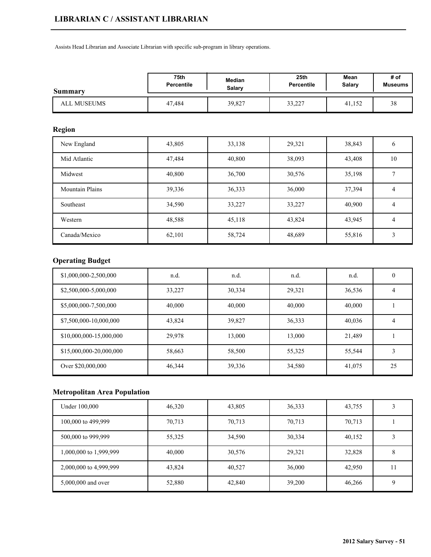## **LIBRARIAN C / ASSISTANT LIBRARIAN**

Assists Head Librarian and Associate Librarian with specific sub-program in library operations.

| Summary     | 75th              | Median        | 25 <sub>th</sub>  | Mean   | # of           |
|-------------|-------------------|---------------|-------------------|--------|----------------|
|             | <b>Percentile</b> | <b>Salary</b> | <b>Percentile</b> | Salary | <b>Museums</b> |
| ALL MUSEUMS | 47.484            | 39,827        | 33,227            | 41,152 | 38             |

### **Region**

| New England            | 43,805 | 33,138 | 29,321 | 38,843 | $\mathfrak b$  |
|------------------------|--------|--------|--------|--------|----------------|
| Mid Atlantic           | 47,484 | 40,800 | 38,093 | 43,408 | 10             |
| Midwest                | 40,800 | 36,700 | 30,576 | 35,198 |                |
| <b>Mountain Plains</b> | 39,336 | 36,333 | 36,000 | 37,394 | 4              |
| Southeast              | 34,590 | 33,227 | 33,227 | 40,900 | $\overline{4}$ |
| Western                | 48,588 | 45,118 | 43,824 | 43,945 | $\overline{4}$ |
| Canada/Mexico          | 62,101 | 58,724 | 48,689 | 55,816 | 3              |

# **Operating Budget**

| \$1,000,000-2,500,000   | n.d.   | n.d.   | n.d.   | n.d.   | 0  |
|-------------------------|--------|--------|--------|--------|----|
| \$2,500,000-5,000,000   | 33,227 | 30,334 | 29,321 | 36,536 | 4  |
| \$5,000,000-7,500,000   | 40,000 | 40,000 | 40,000 | 40,000 |    |
| \$7,500,000-10,000,000  | 43,824 | 39,827 | 36,333 | 40,036 | 4  |
| \$10,000,000-15,000,000 | 29,978 | 13,000 | 13,000 | 21,489 |    |
| \$15,000,000-20,000,000 | 58,663 | 58,500 | 55,325 | 55,544 | 3  |
| Over \$20,000,000       | 46,344 | 39,336 | 34,580 | 41,075 | 25 |

| Under 100,000          | 46,320 | 43,805 | 36,333 | 43,755 |  |
|------------------------|--------|--------|--------|--------|--|
| 100,000 to 499,999     | 70,713 | 70,713 | 70,713 | 70,713 |  |
| 500,000 to 999,999     | 55,325 | 34,590 | 30,334 | 40,152 |  |
| 1,000,000 to 1,999,999 | 40,000 | 30,576 | 29,321 | 32,828 |  |
| 2,000,000 to 4,999,999 | 43,824 | 40,527 | 36,000 | 42,950 |  |
| 5,000,000 and over     | 52,880 | 42,840 | 39,200 | 46,266 |  |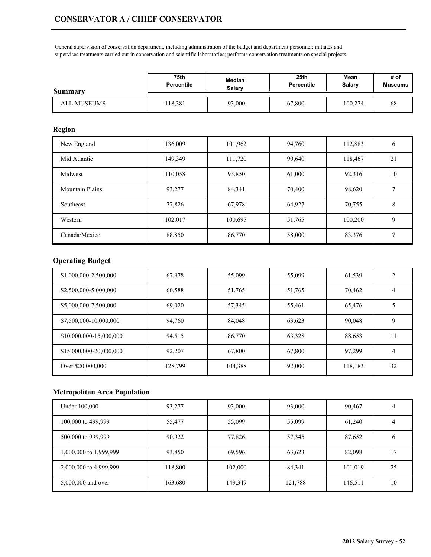General supervision of conservation department, including administration of the budget and department personnel; initiates and supervises treatments carried out in conservation and scientific laboratories; performs conservation treatments on special projects.

| <b>Summary</b> | 75th       | Median | 25th              | Mean    | # of           |
|----------------|------------|--------|-------------------|---------|----------------|
|                | Percentile | Salarv | <b>Percentile</b> | Salary  | <b>Museums</b> |
| ALL MUSEUMS    | 18,381     | 93,000 | 67,800            | 100,274 | 68             |

## **Region**

| New England            | 136,009 | 101,962 | 94,760 | 112,883 | $\mathfrak b$ |
|------------------------|---------|---------|--------|---------|---------------|
| Mid Atlantic           | 149,349 | 111,720 | 90,640 | 118,467 | 21            |
| Midwest                | 110,058 | 93,850  | 61,000 | 92,316  | 10            |
| <b>Mountain Plains</b> | 93,277  | 84,341  | 70,400 | 98,620  |               |
| Southeast              | 77,826  | 67,978  | 64,927 | 70,755  | 8             |
| Western                | 102,017 | 100,695 | 51,765 | 100,200 | 9             |
| Canada/Mexico          | 88,850  | 86,770  | 58,000 | 83,376  | ┑             |

## **Operating Budget**

| \$1,000,000-2,500,000   | 67,978  | 55,099  | 55,099 | 61,539  | $\overline{2}$ |
|-------------------------|---------|---------|--------|---------|----------------|
| \$2,500,000-5,000,000   | 60,588  | 51,765  | 51,765 | 70,462  | 4              |
| \$5,000,000-7,500,000   | 69.020  | 57,345  | 55,461 | 65,476  |                |
| \$7,500,000-10,000,000  | 94,760  | 84,048  | 63,623 | 90,048  | 9              |
| \$10,000,000-15,000,000 | 94,515  | 86,770  | 63,328 | 88,653  | 11             |
| \$15,000,000-20,000,000 | 92.207  | 67,800  | 67,800 | 97.299  | 4              |
| Over \$20,000,000       | 128,799 | 104,388 | 92,000 | 118,183 | 32             |

| Under 100,000          | 93,277  | 93,000  | 93,000  | 90,467  |    |
|------------------------|---------|---------|---------|---------|----|
| 100,000 to 499,999     | 55,477  | 55,099  | 55,099  | 61,240  |    |
| 500,000 to 999,999     | 90,922  | 77,826  | 57,345  | 87,652  | b  |
| 1,000,000 to 1,999,999 | 93,850  | 69,596  | 63,623  | 82,098  | -7 |
| 2,000,000 to 4,999,999 | 118,800 | 102,000 | 84,341  | 101,019 | 25 |
| 5,000,000 and over     | 163,680 | 149,349 | 121,788 | 146,511 | 10 |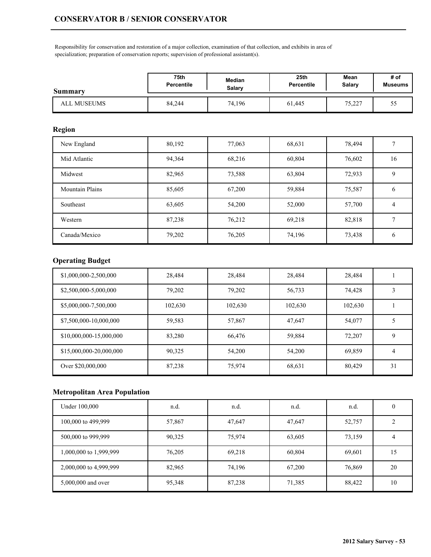Responsibility for conservation and restoration of a major collection, examination of that collection, and exhibits in area of specialization; preparation of conservation reports; supervision of professional assistant(s).

| Summary     | 75th              | Median        | 25 <sub>th</sub>  | Mean          | # of           |
|-------------|-------------------|---------------|-------------------|---------------|----------------|
|             | <b>Percentile</b> | <b>Salary</b> | <b>Percentile</b> | <b>Salary</b> | <b>Museums</b> |
| ALL MUSEUMS | 84,244            | 74,196        | 61,445            | 75,227        | - -<br>55      |

### **Region**

| New England            | 80,192 | 77,063 | 68,631 | 78,494 |    |
|------------------------|--------|--------|--------|--------|----|
| Mid Atlantic           | 94,364 | 68,216 | 60,804 | 76,602 | 16 |
| Midwest                | 82,965 | 73,588 | 63,804 | 72,933 | 9  |
| <b>Mountain Plains</b> | 85,605 | 67,200 | 59,884 | 75,587 | 6  |
| Southeast              | 63,605 | 54,200 | 52,000 | 57,700 | 4  |
| Western                | 87,238 | 76,212 | 69,218 | 82,818 |    |
| Canada/Mexico          | 79,202 | 76,205 | 74,196 | 73,438 | 6  |

# **Operating Budget**

| \$1,000,000-2,500,000   | 28,484  | 28,484  | 28,484  | 28,484  |    |
|-------------------------|---------|---------|---------|---------|----|
| \$2,500,000-5,000,000   | 79,202  | 79,202  | 56,733  | 74,428  |    |
| \$5,000,000-7,500,000   | 102,630 | 102,630 | 102,630 | 102,630 |    |
| \$7,500,000-10,000,000  | 59,583  | 57,867  | 47,647  | 54,077  |    |
| \$10,000,000-15,000,000 | 83,280  | 66,476  | 59,884  | 72,207  | 9  |
| \$15,000,000-20,000,000 | 90.325  | 54,200  | 54,200  | 69,859  | 4  |
| Over \$20,000,000       | 87,238  | 75,974  | 68,631  | 80,429  | 31 |

| Under 100,000          | n.d.   | n.d.   | n.d.   | n.d.   |    |
|------------------------|--------|--------|--------|--------|----|
| 100,000 to 499,999     | 57,867 | 47,647 | 47,647 | 52,757 |    |
| 500,000 to 999,999     | 90,325 | 75,974 | 63,605 | 73,159 | 4  |
| 1,000,000 to 1,999,999 | 76,205 | 69,218 | 60,804 | 69,601 | 15 |
| 2,000,000 to 4,999,999 | 82,965 | 74,196 | 67,200 | 76,869 | 20 |
| 5,000,000 and over     | 95,348 | 87,238 | 71,385 | 88,422 | 10 |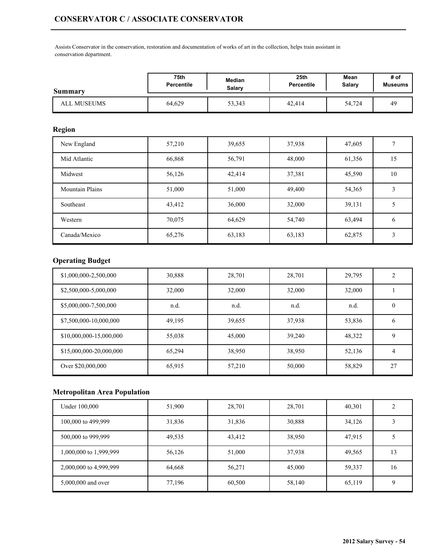Assists Conservator in the conservation, restoration and documentation of works of art in the collection, helps train assistant in conservation department.

| Summary     | 75th              | Median        | 25 <sub>th</sub> | Mean          | # of           |
|-------------|-------------------|---------------|------------------|---------------|----------------|
|             | <b>Percentile</b> | <b>Salary</b> | Percentile       | <b>Salary</b> | <b>Museums</b> |
| ALL MUSEUMS | 64,629            | 53,343        | 42,414           | 54,724        | 49             |

### **Region**

| New England            | 57,210 | 39,655 | 37,938 | 47,605 |               |
|------------------------|--------|--------|--------|--------|---------------|
| Mid Atlantic           | 66,868 | 56,791 | 48,000 | 61,356 | 15            |
| Midwest                | 56,126 | 42,414 | 37,381 | 45,590 | 10            |
| <b>Mountain Plains</b> | 51,000 | 51,000 | 49,400 | 54,365 |               |
| Southeast              | 43,412 | 36,000 | 32,000 | 39,131 |               |
| Western                | 70,075 | 64,629 | 54,740 | 63,494 | $\mathfrak b$ |
| Canada/Mexico          | 65,276 | 63,183 | 63,183 | 62,875 | 3             |

# **Operating Budget**

| \$1,000,000-2,500,000   | 30,888 | 28,701 | 28,701 | 29,795 | $\overline{2}$ |
|-------------------------|--------|--------|--------|--------|----------------|
| \$2,500,000-5,000,000   | 32,000 | 32,000 | 32,000 | 32,000 |                |
| \$5,000,000-7,500,000   | n.d.   | n.d.   | n.d.   | n.d.   | 0              |
| \$7,500,000-10,000,000  | 49,195 | 39,655 | 37,938 | 53,836 | <sub>b</sub>   |
| \$10,000,000-15,000,000 | 55,038 | 45,000 | 39,240 | 48,322 | 9              |
| \$15,000,000-20,000,000 | 65.294 | 38,950 | 38,950 | 52,136 | 4              |
| Over \$20,000,000       | 65,915 | 57,210 | 50,000 | 58,829 | 27             |

| Under 100,000          | 51,900 | 28,701 | 28,701 | 40,301 |    |
|------------------------|--------|--------|--------|--------|----|
| 100,000 to 499,999     | 31,836 | 31,836 | 30,888 | 34,126 |    |
| 500,000 to 999,999     | 49,535 | 43,412 | 38,950 | 47,915 |    |
| 1,000,000 to 1,999,999 | 56,126 | 51,000 | 37,938 | 49,565 | 13 |
| 2,000,000 to 4,999,999 | 64,668 | 56,271 | 45,000 | 59,337 | 16 |
| 5,000,000 and over     | 77,196 | 60,500 | 58,140 | 65,119 |    |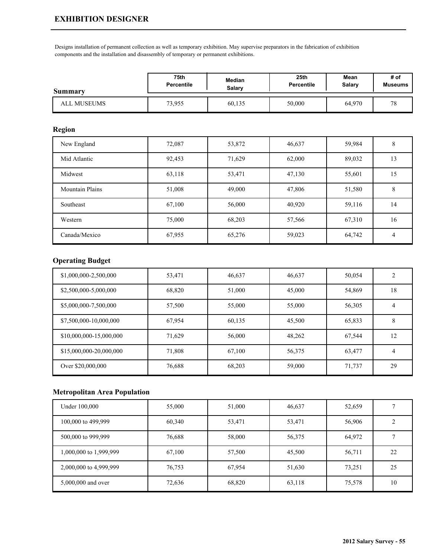## **EXHIBITION DESIGNER**

Designs installation of permanent collection as well as temporary exhibition. May supervise preparators in the fabrication of exhibition components and the installation and disassembly of temporary or permanent exhibitions.

| <b>Summary</b> | 75th       | Median | 25 <sub>th</sub>  | Mean   | # of           |
|----------------|------------|--------|-------------------|--------|----------------|
|                | Percentile | Salarv | <b>Percentile</b> | Salary | <b>Museums</b> |
| ALL MUSEUMS    | 73,955     | 60,135 | 50,000            | 64,970 | 70<br>v        |

### **Region**

| New England            | 72,087 | 53,872 | 46,637 | 59,984 | 8  |
|------------------------|--------|--------|--------|--------|----|
| Mid Atlantic           | 92,453 | 71,629 | 62,000 | 89,032 | 13 |
| Midwest                | 63,118 | 53,471 | 47,130 | 55,601 | 15 |
| <b>Mountain Plains</b> | 51,008 | 49,000 | 47,806 | 51,580 | 8  |
| Southeast              | 67,100 | 56,000 | 40,920 | 59,116 | 14 |
| Western                | 75,000 | 68,203 | 57,566 | 67,310 | 16 |
| Canada/Mexico          | 67,955 | 65,276 | 59,023 | 64,742 | 4  |

## **Operating Budget**

| \$1,000,000-2,500,000   | 53,471 | 46,637 | 46,637 | 50,054 | 2  |
|-------------------------|--------|--------|--------|--------|----|
| \$2,500,000-5,000,000   | 68,820 | 51,000 | 45,000 | 54,869 | 18 |
| \$5,000,000-7,500,000   | 57,500 | 55,000 | 55,000 | 56,305 | 4  |
| \$7,500,000-10,000,000  | 67,954 | 60,135 | 45,500 | 65,833 | 8  |
| \$10,000,000-15,000,000 | 71,629 | 56,000 | 48,262 | 67,544 | 12 |
| \$15,000,000-20,000,000 | 71,808 | 67,100 | 56,375 | 63,477 | 4  |
| Over \$20,000,000       | 76,688 | 68,203 | 59,000 | 71,737 | 29 |

| Under 100,000          | 55,000 | 51,000 | 46,637 | 52,659 |    |
|------------------------|--------|--------|--------|--------|----|
| 100,000 to 499,999     | 60,340 | 53,471 | 53,471 | 56,906 |    |
| 500,000 to 999,999     | 76,688 | 58,000 | 56,375 | 64,972 |    |
| 1,000,000 to 1,999,999 | 67,100 | 57,500 | 45,500 | 56,711 | 22 |
| 2,000,000 to 4,999,999 | 76,753 | 67,954 | 51,630 | 73,251 | 25 |
| 5,000,000 and over     | 72,636 | 68,820 | 63,118 | 75,578 | 10 |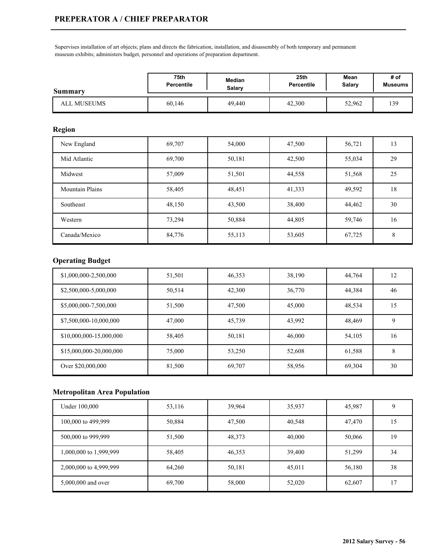## **PREPERATOR A / CHIEF PREPARATOR**

Supervises installation of art objects; plans and directs the fabrication, installation, and disassembly of both temporary and permanent museum exhibits; administers budget, personnel and operations of preparation department.

| Summary            | 75th              | Median | 25th       | Mean          | # of           |
|--------------------|-------------------|--------|------------|---------------|----------------|
|                    | <b>Percentile</b> | Salarv | Percentile | <b>Salary</b> | <b>Museums</b> |
| <b>ALL MUSEUMS</b> | 60,146            | 49,440 | 42,300     | 52,962        | 139            |

### **Region**

| New England            | 69,707 | 54,000 | 47,500 | 56,721 | 13 |
|------------------------|--------|--------|--------|--------|----|
| Mid Atlantic           | 69,700 | 50,181 | 42,500 | 55,034 | 29 |
| Midwest                | 57,009 | 51,501 | 44,558 | 51,568 | 25 |
| <b>Mountain Plains</b> | 58,405 | 48,451 | 41,333 | 49,592 | 18 |
| Southeast              | 48,150 | 43,500 | 38,400 | 44,462 | 30 |
| Western                | 73,294 | 50,884 | 44,805 | 59,746 | 16 |
| Canada/Mexico          | 84,776 | 55,113 | 53,605 | 67,725 | 8  |

## **Operating Budget**

| \$1,000,000-2,500,000   | 51,501 | 46,353 | 38,190 | 44,764 | 12 |
|-------------------------|--------|--------|--------|--------|----|
| \$2,500,000-5,000,000   | 50,514 | 42,300 | 36,770 | 44,384 | 46 |
| \$5,000,000-7,500,000   | 51,500 | 47,500 | 45,000 | 48,534 | 15 |
| \$7,500,000-10,000,000  | 47,000 | 45,739 | 43,992 | 48,469 | 9  |
| \$10,000,000-15,000,000 | 58,405 | 50,181 | 46,000 | 54,105 | 16 |
| \$15,000,000-20,000,000 | 75,000 | 53,250 | 52,608 | 61,588 | 8  |
| Over \$20,000,000       | 81,500 | 69,707 | 58,956 | 69,304 | 30 |

| Under 100,000          | 53,116 | 39,964 | 35,937 | 45,987 |    |
|------------------------|--------|--------|--------|--------|----|
| 100,000 to 499,999     | 50,884 | 47,500 | 40,548 | 47,470 | 15 |
| 500,000 to 999,999     | 51,500 | 48,373 | 40,000 | 50,066 | 19 |
| 1,000,000 to 1,999,999 | 58,405 | 46,353 | 39,400 | 51,299 | 34 |
| 2,000,000 to 4,999,999 | 64,260 | 50,181 | 45,011 | 56,180 | 38 |
| 5,000,000 and over     | 69,700 | 58,000 | 52,020 | 62,607 | רו |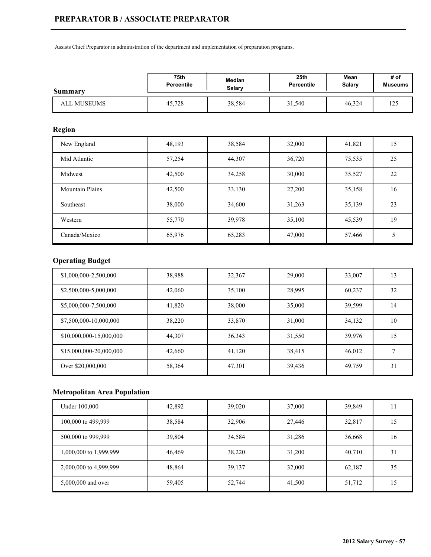Assists Chief Preparator in administration of the department and implementation of preparation programs.

| <b>Summary</b> | 75th              | Median | 25th       | Mean   | # of           |
|----------------|-------------------|--------|------------|--------|----------------|
|                | <b>Percentile</b> | Salarv | Percentile | Salary | <b>Museums</b> |
| ALL MUSEUMS    | 45,728            | 38,584 | 31,540     | 46,324 | 125<br>ر ۱۷    |

## **Region**

| New England            | 48,193 | 38,584 | 32,000 | 41,821 | 15 |
|------------------------|--------|--------|--------|--------|----|
| Mid Atlantic           | 57,254 | 44,307 | 36,720 | 75,535 | 25 |
| Midwest                | 42,500 | 34,258 | 30,000 | 35,527 | 22 |
| <b>Mountain Plains</b> | 42,500 | 33,130 | 27,200 | 35,158 | 16 |
| Southeast              | 38,000 | 34,600 | 31,263 | 35,139 | 23 |
| Western                | 55,770 | 39,978 | 35,100 | 45,539 | 19 |
| Canada/Mexico          | 65,976 | 65,283 | 47,000 | 57,466 |    |

# **Operating Budget**

| \$1,000,000-2,500,000   | 38,988 | 32,367 | 29,000 | 33,007 | 13 |
|-------------------------|--------|--------|--------|--------|----|
| \$2,500,000-5,000,000   | 42,060 | 35,100 | 28,995 | 60,237 | 32 |
| \$5,000,000-7,500,000   | 41,820 | 38,000 | 35,000 | 39,599 | 14 |
| \$7,500,000-10,000,000  | 38,220 | 33,870 | 31,000 | 34,132 | 10 |
| \$10,000,000-15,000,000 | 44,307 | 36,343 | 31,550 | 39,976 | 15 |
| \$15,000,000-20,000,000 | 42,660 | 41,120 | 38,415 | 46,012 | ⇁  |
| Over \$20,000,000       | 58,364 | 47,301 | 39,436 | 49,759 | 31 |

| Under 100,000          | 42,892 | 39,020 | 37,000 | 39,849 |    |
|------------------------|--------|--------|--------|--------|----|
| 100,000 to 499,999     | 38,584 | 32,906 | 27,446 | 32,817 | 15 |
| 500,000 to 999,999     | 39,804 | 34,584 | 31,286 | 36,668 | 16 |
| 1,000,000 to 1,999,999 | 46,469 | 38,220 | 31,200 | 40,710 | 31 |
| 2,000,000 to 4,999,999 | 48,864 | 39,137 | 32,000 | 62,187 | 35 |
| 5,000,000 and over     | 59,405 | 52,744 | 41,500 | 51,712 | 15 |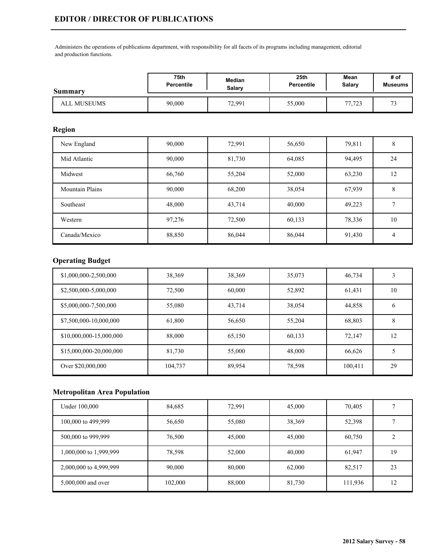Administers the operations of publications department, with responsibility for all facets of its programs including management, editorial and production functions.

| <b>Summary</b> | 75th              | Median | 25th              | Mean   | # of           |
|----------------|-------------------|--------|-------------------|--------|----------------|
|                | <b>Percentile</b> | Salarv | <b>Percentile</b> | Salary | <b>Museums</b> |
| ALL MUSEUMS    | 90,000            | 72,991 | 55,000            | 77,723 | $\mathbf{a}$   |

### **Region**

| New England            | 90,000 | 72,991 | 56,650 | 79,811 | 8  |
|------------------------|--------|--------|--------|--------|----|
| Mid Atlantic           | 90,000 | 81,730 | 64,085 | 94,495 | 24 |
| Midwest                | 66,760 | 55,204 | 52,000 | 63,230 | 12 |
| <b>Mountain Plains</b> | 90,000 | 68,200 | 38,054 | 67,939 | 8  |
| Southeast              | 48,000 | 43,714 | 40,000 | 49,223 |    |
| Western                | 97,276 | 72,500 | 60,133 | 78,336 | 10 |
| Canada/Mexico          | 88,850 | 86,044 | 86,044 | 91,430 | 4  |

# **Operating Budget**

| \$1,000,000-2,500,000   | 38,369  | 38,369 | 35,073 | 46,734  | 3  |
|-------------------------|---------|--------|--------|---------|----|
| \$2,500,000-5,000,000   | 72,500  | 60,000 | 52,892 | 61,431  | 10 |
| \$5,000,000-7,500,000   | 55,080  | 43,714 | 38,054 | 44,858  | b  |
| \$7,500,000-10,000,000  | 61,800  | 56,650 | 55,204 | 68,803  | 8  |
| \$10,000,000-15,000,000 | 88,000  | 65,150 | 60,133 | 72,147  | 12 |
| \$15,000,000-20,000,000 | 81,730  | 55,000 | 48,000 | 66,626  | 5  |
| Over \$20,000,000       | 104,737 | 89,954 | 78,598 | 100,411 | 29 |

| Under 100,000          | 84,685  | 72,991 | 45,000 | 70,405  |    |
|------------------------|---------|--------|--------|---------|----|
| 100,000 to 499,999     | 56,650  | 55,080 | 38,369 | 52,398  |    |
| 500,000 to 999,999     | 76,500  | 45,000 | 45,000 | 60,750  |    |
| 1,000,000 to 1,999,999 | 78,598  | 52,000 | 40,000 | 61,947  | 19 |
| 2,000,000 to 4,999,999 | 90,000  | 80,000 | 62,000 | 82,517  | 23 |
| 5,000,000 and over     | 102,000 | 88,000 | 81,730 | 111,936 | 12 |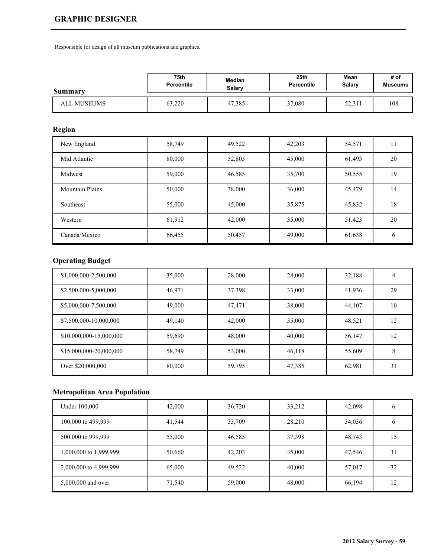# **GRAPHIC DESIGNER**

Responsible for design of all museum publications and graphics.

| Summary     | 75th       | Median | 25 <sub>th</sub> | Mean          | # of           |
|-------------|------------|--------|------------------|---------------|----------------|
|             | Percentile | Salarv | Percentile       | <b>Salary</b> | <b>Museums</b> |
| ALL MUSEUMS | 63,220     | 47,385 | 37,080           | 52,311        | 108            |

## **Region**

| New England            | 58,749 | 49,522 | 42,203 | 54,571 | 11            |
|------------------------|--------|--------|--------|--------|---------------|
| Mid Atlantic           | 80,000 | 52,805 | 45,000 | 61,493 | 20            |
| Midwest                | 59,000 | 46,585 | 35,700 | 50,555 | 19            |
| <b>Mountain Plains</b> | 50,000 | 38,000 | 36,000 | 45,479 | 14            |
| Southeast              | 55,000 | 45,000 | 35,875 | 45,832 | 18            |
| Western                | 61,912 | 42,000 | 35,000 | 51,423 | 20            |
| Canada/Mexico          | 66,455 | 50,457 | 49,000 | 61,638 | $\mathfrak b$ |

# **Operating Budget**

| \$1,000,000-2,500,000   | 35,000 | 28,000 | 28,000 | 32,188 | 4  |
|-------------------------|--------|--------|--------|--------|----|
| \$2,500,000-5,000,000   | 46,971 | 37,398 | 33,000 | 41,936 | 29 |
| \$5,000,000-7,500,000   | 49,000 | 47,471 | 38,000 | 44,107 | 10 |
| \$7,500,000-10,000,000  | 49,140 | 42,000 | 35,000 | 48,521 | 12 |
| \$10,000,000-15,000,000 | 59,690 | 48,000 | 40,000 | 56,147 | 12 |
| \$15,000,000-20,000,000 | 58.749 | 53,000 | 46,118 | 55,609 | 8  |
| Over \$20,000,000       | 80,000 | 59,795 | 47,385 | 62,981 | 31 |

| Under 100,000          | 42,000 | 36,720 | 33,212 | 42,098 |    |
|------------------------|--------|--------|--------|--------|----|
| 100,000 to 499,999     | 41,544 | 33,709 | 28,210 | 34,036 |    |
| 500,000 to 999,999     | 55,000 | 46,585 | 37,398 | 48,743 | 15 |
| 1,000,000 to 1,999,999 | 50,660 | 42,203 | 35,000 | 47,546 | 31 |
| 2,000,000 to 4,999,999 | 65,000 | 49,522 | 40,000 | 57,017 | 32 |
| 5,000,000 and over     | 71,540 | 59,000 | 48,000 | 66,194 | 12 |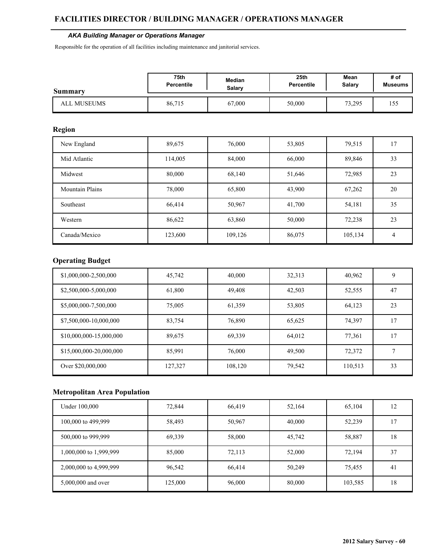#### **FACILITIES DIRECTOR / BUILDING MANAGER / OPERATIONS MANAGER**

#### *AKA Building Manager or Operations Manager*

Responsible for the operation of all facilities including maintenance and janitorial services.

| <b>Summary</b> | 75th              | Median | 25th              | Mean   | # of    |
|----------------|-------------------|--------|-------------------|--------|---------|
|                | <b>Percentile</b> | Salary | <b>Percentile</b> | Salary | Museums |
| ALL MUSEUMS    | 86,715            | 67,000 | 50,000            | 73,295 | 155     |

## **Region**

| New England            | 89,675  | 76,000  | 53,805 | 79,515  | 17 |
|------------------------|---------|---------|--------|---------|----|
| Mid Atlantic           | 114,005 | 84,000  | 66,000 | 89,846  | 33 |
| Midwest                | 80,000  | 68,140  | 51,646 | 72,985  | 23 |
| <b>Mountain Plains</b> | 78,000  | 65,800  | 43,900 | 67,262  | 20 |
| Southeast              | 66,414  | 50,967  | 41,700 | 54,181  | 35 |
| Western                | 86,622  | 63,860  | 50,000 | 72,238  | 23 |
| Canada/Mexico          | 123,600 | 109,126 | 86,075 | 105,134 | 4  |

# **Operating Budget**

| \$1,000,000-2,500,000   | 45,742  | 40,000  | 32,313 | 40,962  | 9  |
|-------------------------|---------|---------|--------|---------|----|
| \$2,500,000-5,000,000   | 61,800  | 49,408  | 42,503 | 52,555  | 47 |
| \$5,000,000-7,500,000   | 75,005  | 61,359  | 53,805 | 64,123  | 23 |
| \$7,500,000-10,000,000  | 83,754  | 76,890  | 65,625 | 74,397  | 17 |
| \$10,000,000-15,000,000 | 89,675  | 69,339  | 64,012 | 77,361  | 17 |
| \$15,000,000-20,000,000 | 85.991  | 76,000  | 49,500 | 72,372  | ⇁  |
| Over \$20,000,000       | 127,327 | 108,120 | 79,542 | 110,513 | 33 |

| Under 100,000          | 72,844  | 66,419 | 52,164 | 65,104  | 12 |
|------------------------|---------|--------|--------|---------|----|
| 100,000 to 499,999     | 58,493  | 50,967 | 40,000 | 52,239  |    |
| 500,000 to 999,999     | 69,339  | 58,000 | 45,742 | 58,887  | 18 |
| 1,000,000 to 1,999,999 | 85,000  | 72,113 | 52,000 | 72,194  | 37 |
| 2,000,000 to 4,999,999 | 96,542  | 66,414 | 50,249 | 75,455  | 41 |
| 5,000,000 and over     | 125,000 | 96,000 | 80,000 | 103,585 | 18 |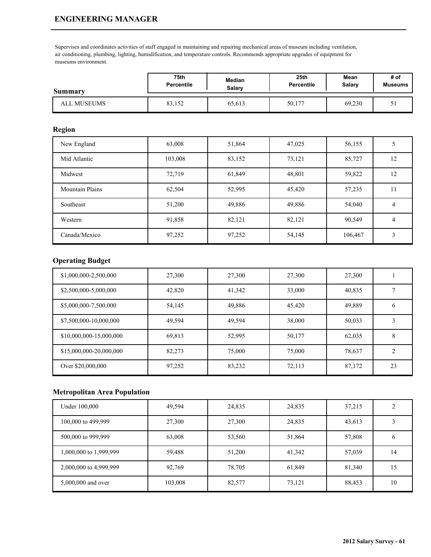### **ENGINEERING MANAGER**

Supervises and coordinates activities of staff engaged in maintaining and repairing mechanical areas of museum including ventilation, air conditioning, plumbing, lighting, humidification, and temperature controls. Recommends appropriate upgrades of equipment for museums environment.

| <b>Summary</b> | 75th              | Median | 25th       | Mean   | # of           |
|----------------|-------------------|--------|------------|--------|----------------|
|                | <b>Percentile</b> | Salary | Percentile | Salary | <b>Museums</b> |
| ALL MUSEUMS    | 83,152            | 65,613 | 50,177     | 69,230 | $\mathcal{L}$  |

### **Region**

| New England            | 63,008  | 51,864 | 47,025 | 56,155  |    |
|------------------------|---------|--------|--------|---------|----|
| Mid Atlantic           | 103,008 | 83,152 | 73,121 | 85,727  | 12 |
| Midwest                | 72,719  | 61,849 | 48,801 | 59,822  | 12 |
| <b>Mountain Plains</b> | 62,504  | 52,995 | 45,420 | 57,235  | 11 |
| Southeast              | 51,200  | 49,886 | 49,886 | 54,040  | 4  |
| Western                | 91,858  | 82,121 | 82,121 | 90,549  | 4  |
| Canada/Mexico          | 97,252  | 97,252 | 54,145 | 106,467 | 3  |

### **Operating Budget**

| \$1,000,000-2,500,000   | 27,300 | 27,300 | 27,300 | 27,300 |                |
|-------------------------|--------|--------|--------|--------|----------------|
| \$2,500,000-5,000,000   | 42,820 | 41,342 | 33,000 | 40,835 |                |
| \$5,000,000-7,500,000   | 54,145 | 49,886 | 45,420 | 49,889 | 6              |
| \$7,500,000-10,000,000  | 49,594 | 49,594 | 38,000 | 50,033 | 3              |
| \$10,000,000-15,000,000 | 69,813 | 52,995 | 50,177 | 62,035 | 8              |
| \$15,000,000-20,000,000 | 82,273 | 75,000 | 75,000 | 78,637 | $\overline{c}$ |
| Over \$20,000,000       | 97,252 | 83,232 | 72,113 | 87,172 | 23             |

| Under 100,000          | 49,594  | 24,835 | 24,835 | 37,215 |    |
|------------------------|---------|--------|--------|--------|----|
| 100,000 to 499,999     | 27,300  | 27,300 | 24,835 | 43,613 |    |
| 500,000 to 999,999     | 63,008  | 53,560 | 51,864 | 57,808 |    |
| 1,000,000 to 1,999,999 | 59,488  | 51,200 | 41,342 | 57,039 | 14 |
| 2,000,000 to 4,999,999 | 92,769  | 78,705 | 61,849 | 81,340 | 15 |
| 5,000,000 and over     | 103,008 | 82,577 | 73,121 | 88,453 | 10 |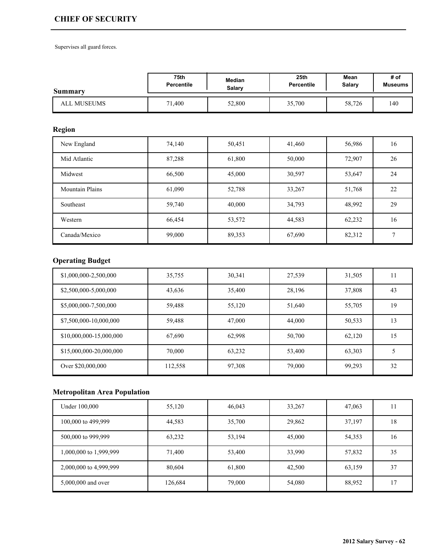## **CHIEF OF SECURITY**

Supervises all guard forces.

| Summary            | <b>75th</b><br><b>Median</b><br><b>Percentile</b><br><b>Salary</b> |        | 25 <sub>th</sub><br>Percentile | Mean<br><b>Salary</b> | # of<br><b>Museums</b> |
|--------------------|--------------------------------------------------------------------|--------|--------------------------------|-----------------------|------------------------|
| <b>ALL MUSEUMS</b> | 71,400                                                             | 52,800 | 35,700                         | 58,726                | 140                    |

# **Region**

| New England            | 74,140 | 50,451 | 41,460 | 56,986 | 16           |
|------------------------|--------|--------|--------|--------|--------------|
| Mid Atlantic           | 87,288 | 61,800 | 50,000 | 72,907 | 26           |
| Midwest                | 66,500 | 45,000 | 30,597 | 53,647 | 24           |
| <b>Mountain Plains</b> | 61,090 | 52,788 | 33,267 | 51,768 | 22           |
| Southeast              | 59,740 | 40,000 | 34,793 | 48,992 | 29           |
| Western                | 66,454 | 53,572 | 44,583 | 62,232 | 16           |
| Canada/Mexico          | 99,000 | 89,353 | 67,690 | 82,312 | $\mathbf{r}$ |

# **Operating Budget**

| \$1,000,000-2,500,000   | 35,755  | 30,341 | 27,539 | 31,505 | 11 |
|-------------------------|---------|--------|--------|--------|----|
| \$2,500,000-5,000,000   | 43,636  | 35,400 | 28,196 | 37,808 | 43 |
| \$5,000,000-7,500,000   | 59,488  | 55,120 | 51,640 | 55,705 | 19 |
| \$7,500,000-10,000,000  | 59,488  | 47,000 | 44,000 | 50,533 | 13 |
| \$10,000,000-15,000,000 | 67,690  | 62,998 | 50,700 | 62,120 | 15 |
| \$15,000,000-20,000,000 | 70,000  | 63,232 | 53,400 | 63,303 | 5  |
| Over \$20,000,000       | 112,558 | 97,308 | 79,000 | 99,293 | 32 |

| Under 100,000          | 55,120  | 46,043 | 33,267 | 47,063 |    |
|------------------------|---------|--------|--------|--------|----|
| 100,000 to 499,999     | 44,583  | 35,700 | 29,862 | 37,197 | 18 |
| 500,000 to 999,999     | 63,232  | 53,194 | 45,000 | 54,353 | 16 |
| 1,000,000 to 1,999,999 | 71,400  | 53,400 | 33,990 | 57,832 | 35 |
| 2,000,000 to 4,999,999 | 80,604  | 61,800 | 42,500 | 63,159 | 37 |
| 5,000,000 and over     | 126,684 | 79,000 | 54,080 | 88,952 | 17 |